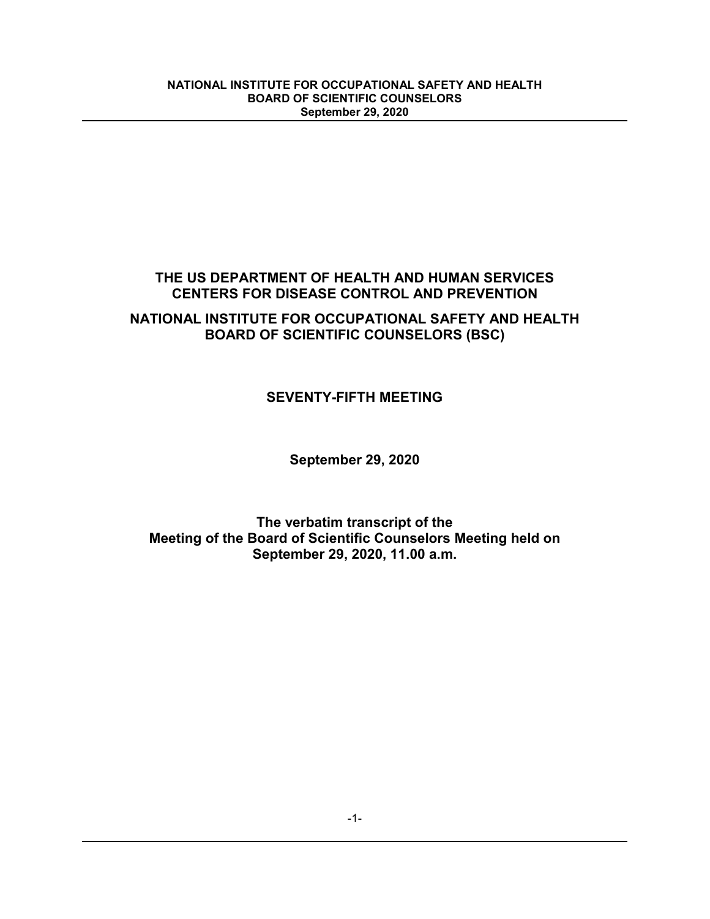# **THE US DEPARTMENT OF HEALTH AND HUMAN SERVICES CENTERS FOR DISEASE CONTROL AND PREVENTION**

# **NATIONAL INSTITUTE FOR OCCUPATIONAL SAFETY AND HEALTH BOARD OF SCIENTIFIC COUNSELORS (BSC)**

# **SEVENTY-FIFTH MEETING**

**September 29, 2020**

**The verbatim transcript of the Meeting of the Board of Scientific Counselors Meeting held on September 29, 2020, 11.00 a.m.**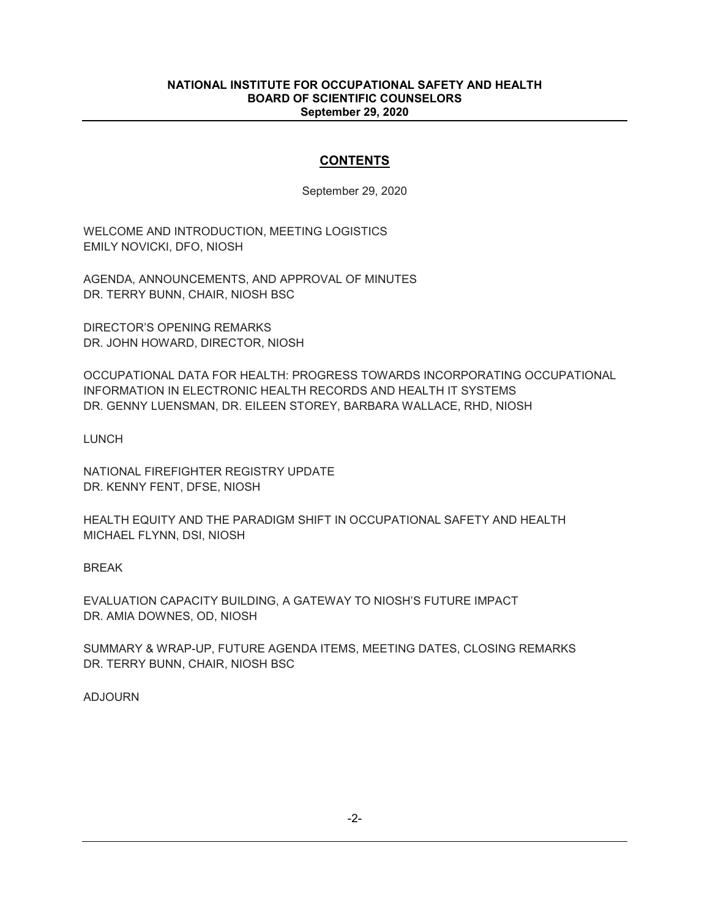## **CONTENTS**

September 29, 2020

WELCOME AND INTRODUCTION, MEETING LOGISTICS EMILY NOVICKI, DFO, NIOSH

AGENDA, ANNOUNCEMENTS, AND APPROVAL OF MINUTES DR. TERRY BUNN, CHAIR, NIOSH BSC

DIRECTOR'S OPENING REMARKS DR. JOHN HOWARD, DIRECTOR, NIOSH

OCCUPATIONAL DATA FOR HEALTH: PROGRESS TOWARDS INCORPORATING OCCUPATIONAL INFORMATION IN ELECTRONIC HEALTH RECORDS AND HEALTH IT SYSTEMS DR. GENNY LUENSMAN, DR. EILEEN STOREY, BARBARA WALLACE, RHD, NIOSH

LUNCH

NATIONAL FIREFIGHTER REGISTRY UPDATE DR. KENNY FENT, DFSE, NIOSH

HEALTH EQUITY AND THE PARADIGM SHIFT IN OCCUPATIONAL SAFETY AND HEALTH MICHAEL FLYNN, DSI, NIOSH

BREAK

EVALUATION CAPACITY BUILDING, A GATEWAY TO NIOSH'S FUTURE IMPACT DR. AMIA DOWNES, OD, NIOSH

SUMMARY & WRAP-UP, FUTURE AGENDA ITEMS, MEETING DATES, CLOSING REMARKS DR. TERRY BUNN, CHAIR, NIOSH BSC

ADJOURN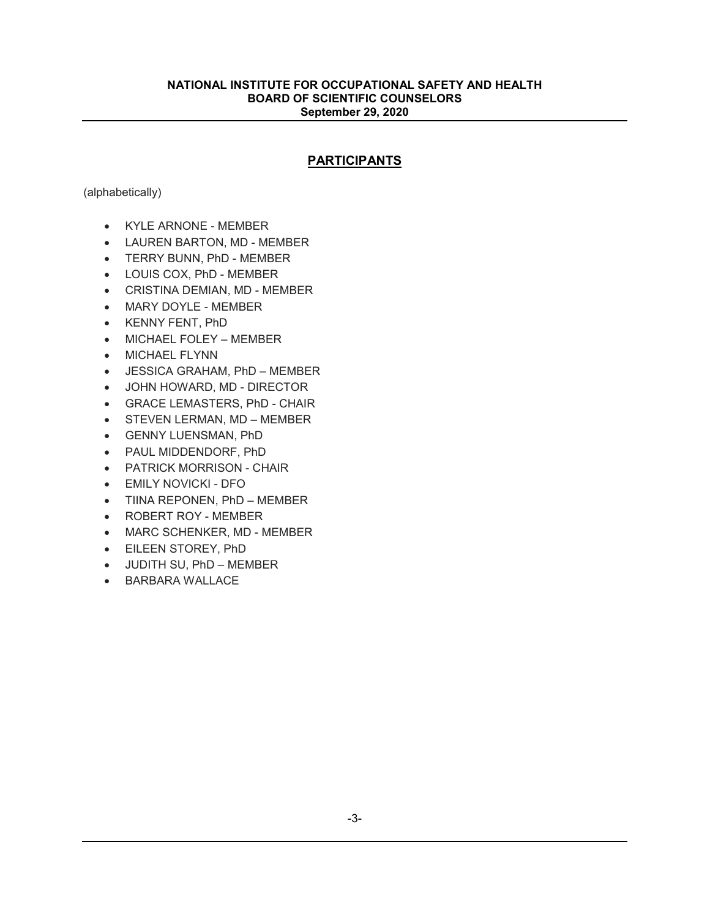## **PARTICIPANTS**

(alphabetically)

- KYLE ARNONE MEMBER
- LAUREN BARTON, MD MEMBER
- TERRY BUNN, PhD MEMBER
- LOUIS COX, PhD MEMBER
- CRISTINA DEMIAN, MD MEMBER
- MARY DOYLE MEMBER
- KENNY FENT, PhD
- MICHAEL FOLEY MEMBER
- MICHAEL FLYNN
- JESSICA GRAHAM, PhD MEMBER
- JOHN HOWARD, MD DIRECTOR
- GRACE LEMASTERS, PhD CHAIR
- STEVEN LERMAN, MD MEMBER
- GENNY LUENSMAN, PhD
- PAUL MIDDENDORF, PhD
- PATRICK MORRISON CHAIR
- EMILY NOVICKI DFO
- TIINA REPONEN, PhD MEMBER
- ROBERT ROY MEMBER
- MARC SCHENKER, MD MEMBER
- EILEEN STOREY, PhD
- JUDITH SU, PhD MEMBER
- BARBARA WALLACE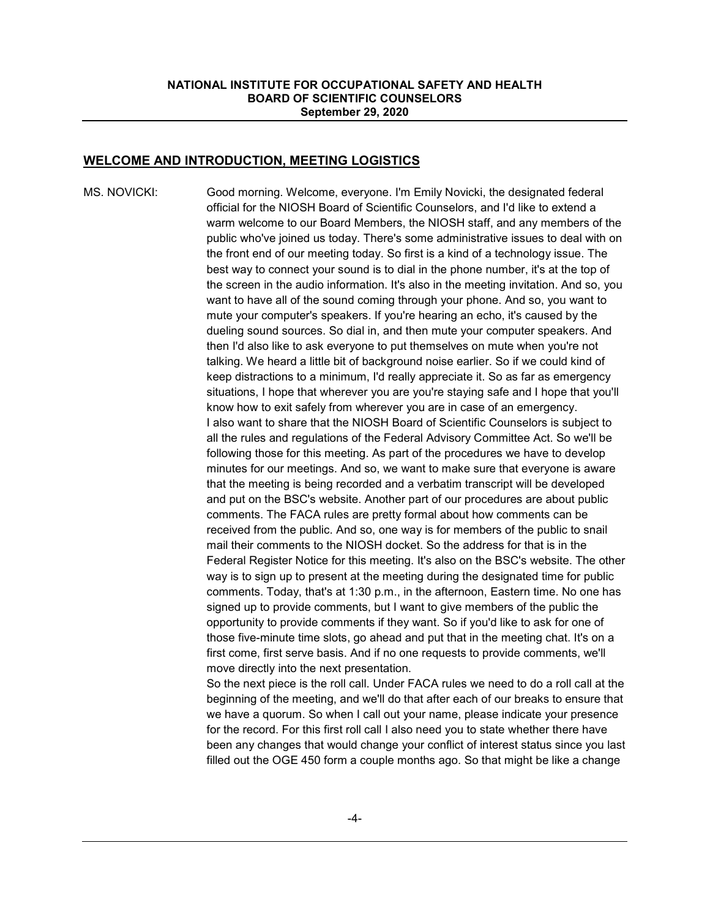## **WELCOME AND INTRODUCTION, MEETING LOGISTICS**

MS. NOVICKI: Good morning. Welcome, everyone. I'm Emily Novicki, the designated federal official for the NIOSH Board of Scientific Counselors, and I'd like to extend a warm welcome to our Board Members, the NIOSH staff, and any members of the public who've joined us today. There's some administrative issues to deal with on the front end of our meeting today. So first is a kind of a technology issue. The best way to connect your sound is to dial in the phone number, it's at the top of the screen in the audio information. It's also in the meeting invitation. And so, you want to have all of the sound coming through your phone. And so, you want to mute your computer's speakers. If you're hearing an echo, it's caused by the dueling sound sources. So dial in, and then mute your computer speakers. And then I'd also like to ask everyone to put themselves on mute when you're not talking. We heard a little bit of background noise earlier. So if we could kind of keep distractions to a minimum, I'd really appreciate it. So as far as emergency situations, I hope that wherever you are you're staying safe and I hope that you'll know how to exit safely from wherever you are in case of an emergency. I also want to share that the NIOSH Board of Scientific Counselors is subject to all the rules and regulations of the Federal Advisory Committee Act. So we'll be following those for this meeting. As part of the procedures we have to develop minutes for our meetings. And so, we want to make sure that everyone is aware that the meeting is being recorded and a verbatim transcript will be developed and put on the BSC's website. Another part of our procedures are about public comments. The FACA rules are pretty formal about how comments can be received from the public. And so, one way is for members of the public to snail mail their comments to the NIOSH docket. So the address for that is in the Federal Register Notice for this meeting. It's also on the BSC's website. The other way is to sign up to present at the meeting during the designated time for public comments. Today, that's at 1:30 p.m., in the afternoon, Eastern time. No one has signed up to provide comments, but I want to give members of the public the opportunity to provide comments if they want. So if you'd like to ask for one of those five-minute time slots, go ahead and put that in the meeting chat. It's on a first come, first serve basis. And if no one requests to provide comments, we'll move directly into the next presentation.

> So the next piece is the roll call. Under FACA rules we need to do a roll call at the beginning of the meeting, and we'll do that after each of our breaks to ensure that we have a quorum. So when I call out your name, please indicate your presence for the record. For this first roll call I also need you to state whether there have been any changes that would change your conflict of interest status since you last filled out the OGE 450 form a couple months ago. So that might be like a change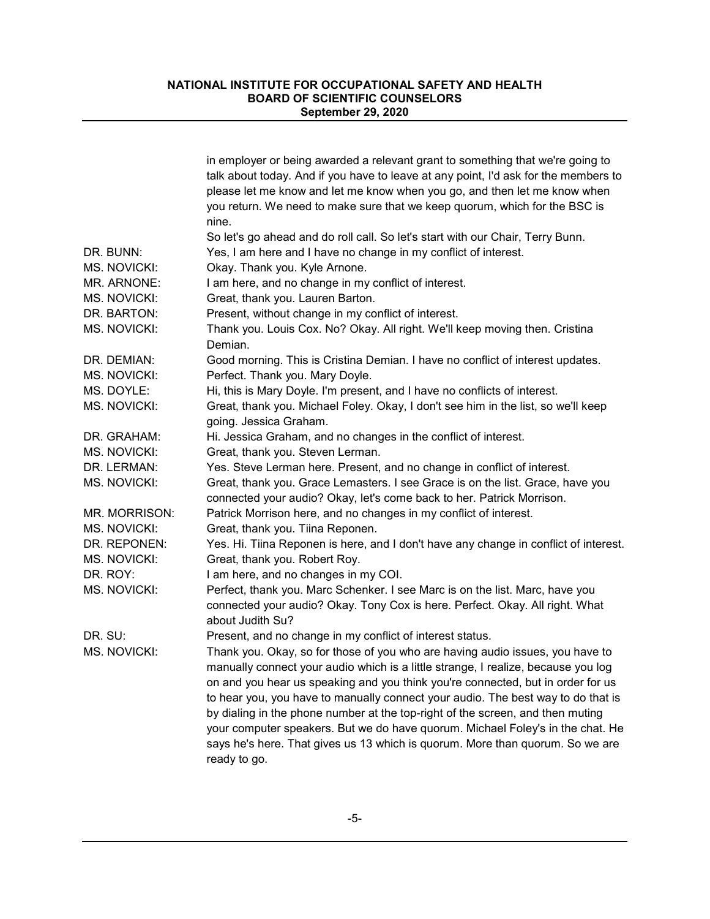|                     | in employer or being awarded a relevant grant to something that we're going to         |
|---------------------|----------------------------------------------------------------------------------------|
|                     | talk about today. And if you have to leave at any point, I'd ask for the members to    |
|                     | please let me know and let me know when you go, and then let me know when              |
|                     | you return. We need to make sure that we keep quorum, which for the BSC is             |
|                     | nine.                                                                                  |
|                     | So let's go ahead and do roll call. So let's start with our Chair, Terry Bunn.         |
| DR. BUNN:           | Yes, I am here and I have no change in my conflict of interest.                        |
| MS. NOVICKI:        | Okay. Thank you. Kyle Arnone.                                                          |
| MR. ARNONE:         | I am here, and no change in my conflict of interest.                                   |
| MS. NOVICKI:        | Great, thank you. Lauren Barton.                                                       |
| DR. BARTON:         | Present, without change in my conflict of interest.                                    |
| MS. NOVICKI:        | Thank you. Louis Cox. No? Okay. All right. We'll keep moving then. Cristina<br>Demian. |
| DR. DEMIAN:         | Good morning. This is Cristina Demian. I have no conflict of interest updates.         |
| MS. NOVICKI:        | Perfect. Thank you. Mary Doyle.                                                        |
| MS. DOYLE:          | Hi, this is Mary Doyle. I'm present, and I have no conflicts of interest.              |
| MS. NOVICKI:        | Great, thank you. Michael Foley. Okay, I don't see him in the list, so we'll keep      |
|                     | going. Jessica Graham.                                                                 |
| DR. GRAHAM:         | Hi. Jessica Graham, and no changes in the conflict of interest.                        |
| MS. NOVICKI:        | Great, thank you. Steven Lerman.                                                       |
| DR. LERMAN:         | Yes. Steve Lerman here. Present, and no change in conflict of interest.                |
| MS. NOVICKI:        | Great, thank you. Grace Lemasters. I see Grace is on the list. Grace, have you         |
|                     | connected your audio? Okay, let's come back to her. Patrick Morrison.                  |
| MR. MORRISON:       | Patrick Morrison here, and no changes in my conflict of interest.                      |
| <b>MS. NOVICKI:</b> | Great, thank you. Tiina Reponen.                                                       |
| DR. REPONEN:        | Yes. Hi. Tiina Reponen is here, and I don't have any change in conflict of interest.   |
| MS. NOVICKI:        | Great, thank you. Robert Roy.                                                          |
| DR. ROY:            | I am here, and no changes in my COI.                                                   |
| MS. NOVICKI:        | Perfect, thank you. Marc Schenker. I see Marc is on the list. Marc, have you           |
|                     | connected your audio? Okay. Tony Cox is here. Perfect. Okay. All right. What           |
|                     | about Judith Su?                                                                       |
| DR. SU:             | Present, and no change in my conflict of interest status.                              |
| MS. NOVICKI:        | Thank you. Okay, so for those of you who are having audio issues, you have to          |
|                     | manually connect your audio which is a little strange, I realize, because you log      |
|                     | on and you hear us speaking and you think you're connected, but in order for us        |
|                     | to hear you, you have to manually connect your audio. The best way to do that is       |
|                     | by dialing in the phone number at the top-right of the screen, and then muting         |
|                     | your computer speakers. But we do have quorum. Michael Foley's in the chat. He         |
|                     | says he's here. That gives us 13 which is quorum. More than quorum. So we are          |
|                     | ready to go.                                                                           |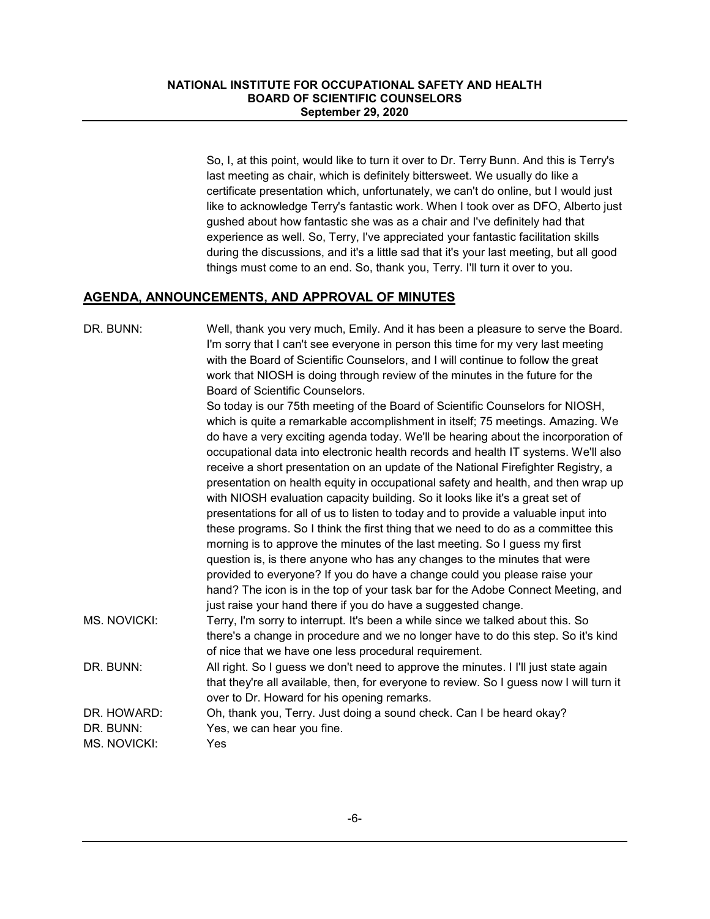So, I, at this point, would like to turn it over to Dr. Terry Bunn. And this is Terry's last meeting as chair, which is definitely bittersweet. We usually do like a certificate presentation which, unfortunately, we can't do online, but I would just like to acknowledge Terry's fantastic work. When I took over as DFO, Alberto just gushed about how fantastic she was as a chair and I've definitely had that experience as well. So, Terry, I've appreciated your fantastic facilitation skills during the discussions, and it's a little sad that it's your last meeting, but all good things must come to an end. So, thank you, Terry. I'll turn it over to you.

## **AGENDA, ANNOUNCEMENTS, AND APPROVAL OF MINUTES**

| DR. BUNN:                                | Well, thank you very much, Emily. And it has been a pleasure to serve the Board.<br>I'm sorry that I can't see everyone in person this time for my very last meeting<br>with the Board of Scientific Counselors, and I will continue to follow the great<br>work that NIOSH is doing through review of the minutes in the future for the<br>Board of Scientific Counselors. |
|------------------------------------------|-----------------------------------------------------------------------------------------------------------------------------------------------------------------------------------------------------------------------------------------------------------------------------------------------------------------------------------------------------------------------------|
|                                          | So today is our 75th meeting of the Board of Scientific Counselors for NIOSH,<br>which is quite a remarkable accomplishment in itself; 75 meetings. Amazing. We<br>do have a very exciting agenda today. We'll be hearing about the incorporation of<br>occupational data into electronic health records and health IT systems. We'll also                                  |
|                                          | receive a short presentation on an update of the National Firefighter Registry, a<br>presentation on health equity in occupational safety and health, and then wrap up<br>with NIOSH evaluation capacity building. So it looks like it's a great set of                                                                                                                     |
|                                          | presentations for all of us to listen to today and to provide a valuable input into<br>these programs. So I think the first thing that we need to do as a committee this<br>morning is to approve the minutes of the last meeting. So I guess my first                                                                                                                      |
|                                          | question is, is there anyone who has any changes to the minutes that were<br>provided to everyone? If you do have a change could you please raise your<br>hand? The icon is in the top of your task bar for the Adobe Connect Meeting, and                                                                                                                                  |
| MS. NOVICKI:                             | just raise your hand there if you do have a suggested change.<br>Terry, I'm sorry to interrupt. It's been a while since we talked about this. So<br>there's a change in procedure and we no longer have to do this step. So it's kind<br>of nice that we have one less procedural requirement.                                                                              |
| DR. BUNN:                                | All right. So I guess we don't need to approve the minutes. I I'll just state again<br>that they're all available, then, for everyone to review. So I guess now I will turn it<br>over to Dr. Howard for his opening remarks.                                                                                                                                               |
| DR. HOWARD:<br>DR. BUNN:<br>MS. NOVICKI: | Oh, thank you, Terry. Just doing a sound check. Can I be heard okay?<br>Yes, we can hear you fine.<br>Yes                                                                                                                                                                                                                                                                   |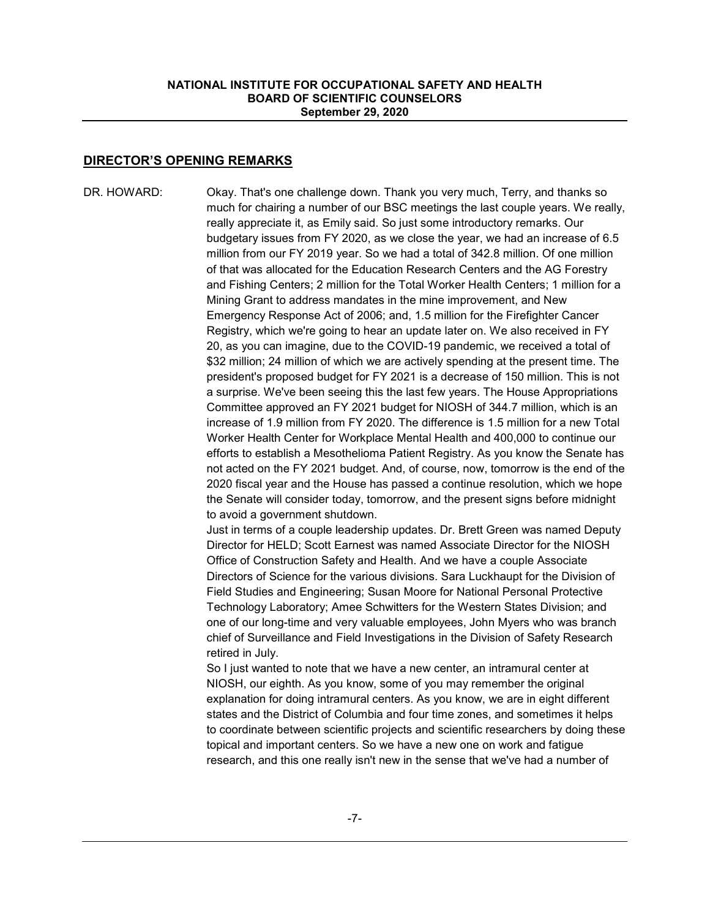## **DIRECTOR'S OPENING REMARKS**

DR. HOWARD: Okay. That's one challenge down. Thank you very much, Terry, and thanks so much for chairing a number of our BSC meetings the last couple years. We really, really appreciate it, as Emily said. So just some introductory remarks. Our budgetary issues from FY 2020, as we close the year, we had an increase of 6.5 million from our FY 2019 year. So we had a total of 342.8 million. Of one million of that was allocated for the Education Research Centers and the AG Forestry and Fishing Centers; 2 million for the Total Worker Health Centers; 1 million for a Mining Grant to address mandates in the mine improvement, and New Emergency Response Act of 2006; and, 1.5 million for the Firefighter Cancer Registry, which we're going to hear an update later on. We also received in FY 20, as you can imagine, due to the COVID-19 pandemic, we received a total of \$32 million; 24 million of which we are actively spending at the present time. The president's proposed budget for FY 2021 is a decrease of 150 million. This is not a surprise. We've been seeing this the last few years. The House Appropriations Committee approved an FY 2021 budget for NIOSH of 344.7 million, which is an increase of 1.9 million from FY 2020. The difference is 1.5 million for a new Total Worker Health Center for Workplace Mental Health and 400,000 to continue our efforts to establish a Mesothelioma Patient Registry. As you know the Senate has not acted on the FY 2021 budget. And, of course, now, tomorrow is the end of the 2020 fiscal year and the House has passed a continue resolution, which we hope the Senate will consider today, tomorrow, and the present signs before midnight to avoid a government shutdown.

> Just in terms of a couple leadership updates. Dr. Brett Green was named Deputy Director for HELD; Scott Earnest was named Associate Director for the NIOSH Office of Construction Safety and Health. And we have a couple Associate Directors of Science for the various divisions. Sara Luckhaupt for the Division of Field Studies and Engineering; Susan Moore for National Personal Protective Technology Laboratory; Amee Schwitters for the Western States Division; and one of our long-time and very valuable employees, John Myers who was branch chief of Surveillance and Field Investigations in the Division of Safety Research retired in July.

So I just wanted to note that we have a new center, an intramural center at NIOSH, our eighth. As you know, some of you may remember the original explanation for doing intramural centers. As you know, we are in eight different states and the District of Columbia and four time zones, and sometimes it helps to coordinate between scientific projects and scientific researchers by doing these topical and important centers. So we have a new one on work and fatigue research, and this one really isn't new in the sense that we've had a number of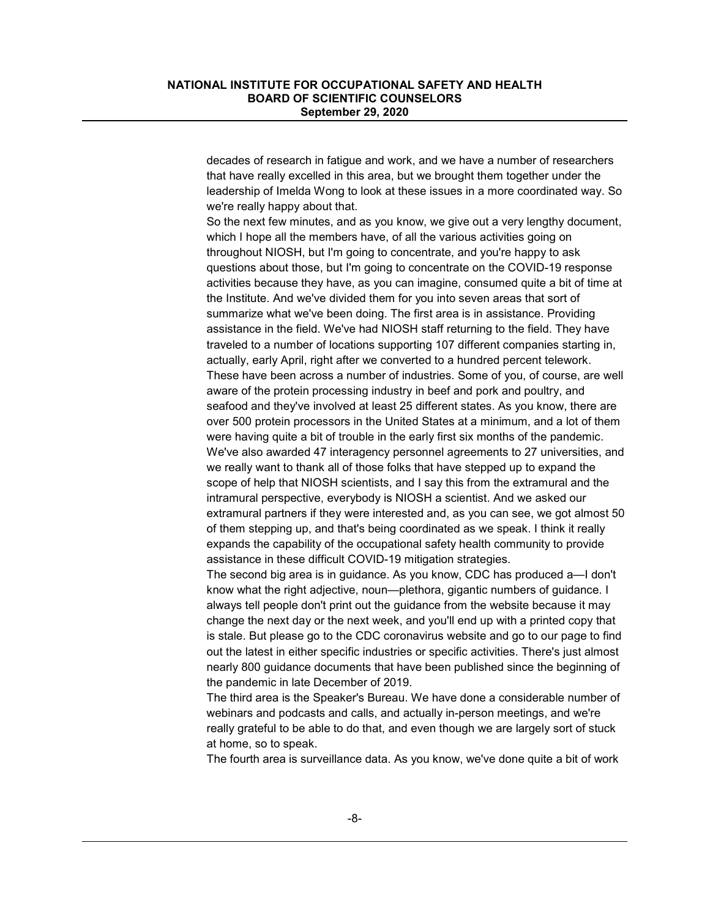decades of research in fatigue and work, and we have a number of researchers that have really excelled in this area, but we brought them together under the leadership of Imelda Wong to look at these issues in a more coordinated way. So we're really happy about that.

So the next few minutes, and as you know, we give out a very lengthy document, which I hope all the members have, of all the various activities going on throughout NIOSH, but I'm going to concentrate, and you're happy to ask questions about those, but I'm going to concentrate on the COVID-19 response activities because they have, as you can imagine, consumed quite a bit of time at the Institute. And we've divided them for you into seven areas that sort of summarize what we've been doing. The first area is in assistance. Providing assistance in the field. We've had NIOSH staff returning to the field. They have traveled to a number of locations supporting 107 different companies starting in, actually, early April, right after we converted to a hundred percent telework. These have been across a number of industries. Some of you, of course, are well aware of the protein processing industry in beef and pork and poultry, and seafood and they've involved at least 25 different states. As you know, there are over 500 protein processors in the United States at a minimum, and a lot of them were having quite a bit of trouble in the early first six months of the pandemic. We've also awarded 47 interagency personnel agreements to 27 universities, and we really want to thank all of those folks that have stepped up to expand the scope of help that NIOSH scientists, and I say this from the extramural and the intramural perspective, everybody is NIOSH a scientist. And we asked our extramural partners if they were interested and, as you can see, we got almost 50 of them stepping up, and that's being coordinated as we speak. I think it really expands the capability of the occupational safety health community to provide assistance in these difficult COVID-19 mitigation strategies.

The second big area is in guidance. As you know, CDC has produced a—I don't know what the right adjective, noun—plethora, gigantic numbers of guidance. I always tell people don't print out the guidance from the website because it may change the next day or the next week, and you'll end up with a printed copy that is stale. But please go to the CDC coronavirus website and go to our page to find out the latest in either specific industries or specific activities. There's just almost nearly 800 guidance documents that have been published since the beginning of the pandemic in late December of 2019.

The third area is the Speaker's Bureau. We have done a considerable number of webinars and podcasts and calls, and actually in-person meetings, and we're really grateful to be able to do that, and even though we are largely sort of stuck at home, so to speak.

The fourth area is surveillance data. As you know, we've done quite a bit of work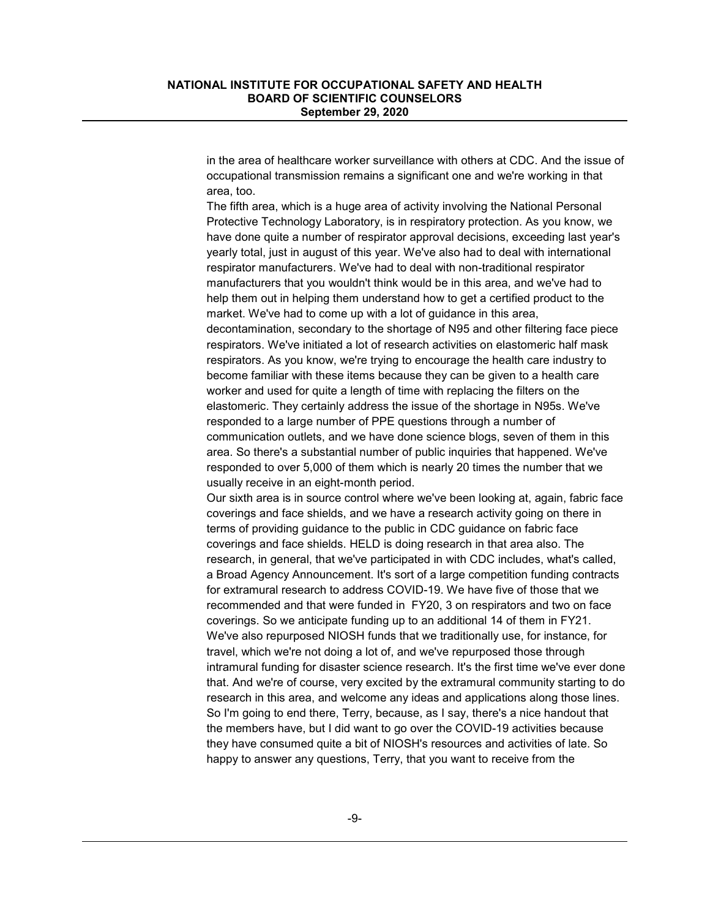in the area of healthcare worker surveillance with others at CDC. And the issue of occupational transmission remains a significant one and we're working in that area, too.

The fifth area, which is a huge area of activity involving the National Personal Protective Technology Laboratory, is in respiratory protection. As you know, we have done quite a number of respirator approval decisions, exceeding last year's yearly total, just in august of this year. We've also had to deal with international respirator manufacturers. We've had to deal with non-traditional respirator manufacturers that you wouldn't think would be in this area, and we've had to help them out in helping them understand how to get a certified product to the market. We've had to come up with a lot of guidance in this area, decontamination, secondary to the shortage of N95 and other filtering face piece respirators. We've initiated a lot of research activities on elastomeric half mask respirators. As you know, we're trying to encourage the health care industry to become familiar with these items because they can be given to a health care worker and used for quite a length of time with replacing the filters on the elastomeric. They certainly address the issue of the shortage in N95s. We've responded to a large number of PPE questions through a number of communication outlets, and we have done science blogs, seven of them in this area. So there's a substantial number of public inquiries that happened. We've responded to over 5,000 of them which is nearly 20 times the number that we usually receive in an eight-month period.

Our sixth area is in source control where we've been looking at, again, fabric face coverings and face shields, and we have a research activity going on there in terms of providing guidance to the public in CDC guidance on fabric face coverings and face shields. HELD is doing research in that area also. The research, in general, that we've participated in with CDC includes, what's called, a Broad Agency Announcement. It's sort of a large competition funding contracts for extramural research to address COVID-19. We have five of those that we recommended and that were funded in FY20, 3 on respirators and two on face coverings. So we anticipate funding up to an additional 14 of them in FY21. We've also repurposed NIOSH funds that we traditionally use, for instance, for travel, which we're not doing a lot of, and we've repurposed those through intramural funding for disaster science research. It's the first time we've ever done that. And we're of course, very excited by the extramural community starting to do research in this area, and welcome any ideas and applications along those lines. So I'm going to end there, Terry, because, as I say, there's a nice handout that the members have, but I did want to go over the COVID-19 activities because they have consumed quite a bit of NIOSH's resources and activities of late. So happy to answer any questions, Terry, that you want to receive from the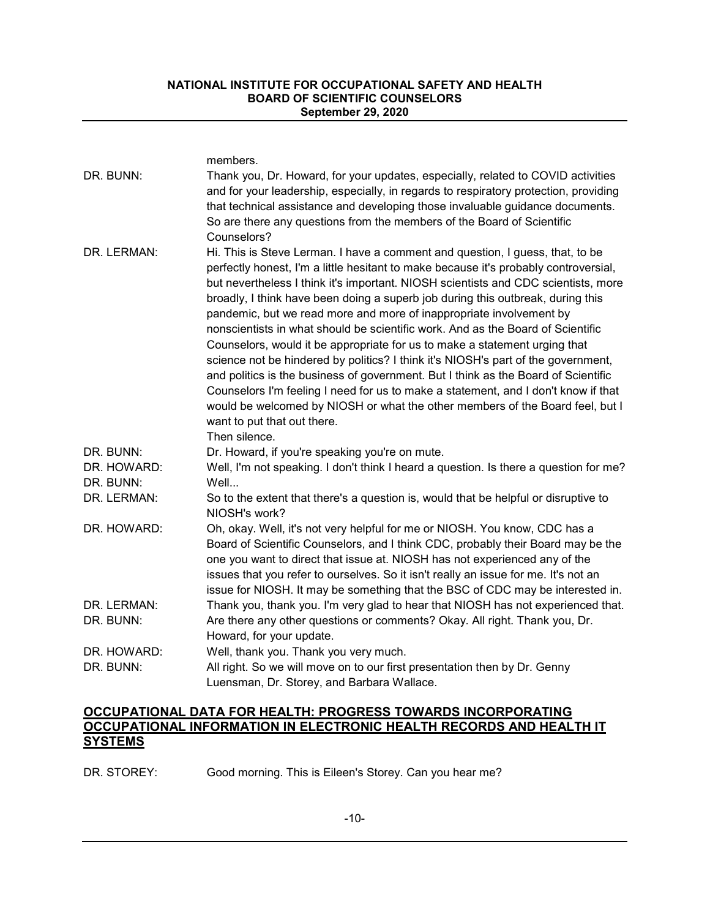|                          | members.                                                                                                                                                                                                                                                                                                                                                                                                                                                                                                                                                                                                                                                                                                                                                                                                                                                                                                                                                                                 |
|--------------------------|------------------------------------------------------------------------------------------------------------------------------------------------------------------------------------------------------------------------------------------------------------------------------------------------------------------------------------------------------------------------------------------------------------------------------------------------------------------------------------------------------------------------------------------------------------------------------------------------------------------------------------------------------------------------------------------------------------------------------------------------------------------------------------------------------------------------------------------------------------------------------------------------------------------------------------------------------------------------------------------|
| DR. BUNN:                | Thank you, Dr. Howard, for your updates, especially, related to COVID activities<br>and for your leadership, especially, in regards to respiratory protection, providing<br>that technical assistance and developing those invaluable guidance documents.<br>So are there any questions from the members of the Board of Scientific<br>Counselors?                                                                                                                                                                                                                                                                                                                                                                                                                                                                                                                                                                                                                                       |
| DR. LERMAN:              | Hi. This is Steve Lerman. I have a comment and question, I guess, that, to be<br>perfectly honest, I'm a little hesitant to make because it's probably controversial,<br>but nevertheless I think it's important. NIOSH scientists and CDC scientists, more<br>broadly, I think have been doing a superb job during this outbreak, during this<br>pandemic, but we read more and more of inappropriate involvement by<br>nonscientists in what should be scientific work. And as the Board of Scientific<br>Counselors, would it be appropriate for us to make a statement urging that<br>science not be hindered by politics? I think it's NIOSH's part of the government,<br>and politics is the business of government. But I think as the Board of Scientific<br>Counselors I'm feeling I need for us to make a statement, and I don't know if that<br>would be welcomed by NIOSH or what the other members of the Board feel, but I<br>want to put that out there.<br>Then silence. |
| DR. BUNN:                | Dr. Howard, if you're speaking you're on mute.                                                                                                                                                                                                                                                                                                                                                                                                                                                                                                                                                                                                                                                                                                                                                                                                                                                                                                                                           |
| DR. HOWARD:<br>DR. BUNN: | Well, I'm not speaking. I don't think I heard a question. Is there a question for me?<br>Well                                                                                                                                                                                                                                                                                                                                                                                                                                                                                                                                                                                                                                                                                                                                                                                                                                                                                            |
| DR. LERMAN:              | So to the extent that there's a question is, would that be helpful or disruptive to<br>NIOSH's work?                                                                                                                                                                                                                                                                                                                                                                                                                                                                                                                                                                                                                                                                                                                                                                                                                                                                                     |
| DR. HOWARD:              | Oh, okay. Well, it's not very helpful for me or NIOSH. You know, CDC has a<br>Board of Scientific Counselors, and I think CDC, probably their Board may be the<br>one you want to direct that issue at. NIOSH has not experienced any of the<br>issues that you refer to ourselves. So it isn't really an issue for me. It's not an<br>issue for NIOSH. It may be something that the BSC of CDC may be interested in.                                                                                                                                                                                                                                                                                                                                                                                                                                                                                                                                                                    |
| DR. LERMAN:              | Thank you, thank you. I'm very glad to hear that NIOSH has not experienced that.                                                                                                                                                                                                                                                                                                                                                                                                                                                                                                                                                                                                                                                                                                                                                                                                                                                                                                         |
| DR. BUNN:                | Are there any other questions or comments? Okay. All right. Thank you, Dr.<br>Howard, for your update.                                                                                                                                                                                                                                                                                                                                                                                                                                                                                                                                                                                                                                                                                                                                                                                                                                                                                   |
| DR. HOWARD:              | Well, thank you. Thank you very much.                                                                                                                                                                                                                                                                                                                                                                                                                                                                                                                                                                                                                                                                                                                                                                                                                                                                                                                                                    |
| DR. BUNN:                | All right. So we will move on to our first presentation then by Dr. Genny<br>Luensman, Dr. Storey, and Barbara Wallace.                                                                                                                                                                                                                                                                                                                                                                                                                                                                                                                                                                                                                                                                                                                                                                                                                                                                  |

## **OCCUPATIONAL DATA FOR HEALTH: PROGRESS TOWARDS INCORPORATING OCCUPATIONAL INFORMATION IN ELECTRONIC HEALTH RECORDS AND HEALTH IT SYSTEMS**

DR. STOREY: Good morning. This is Eileen's Storey. Can you hear me?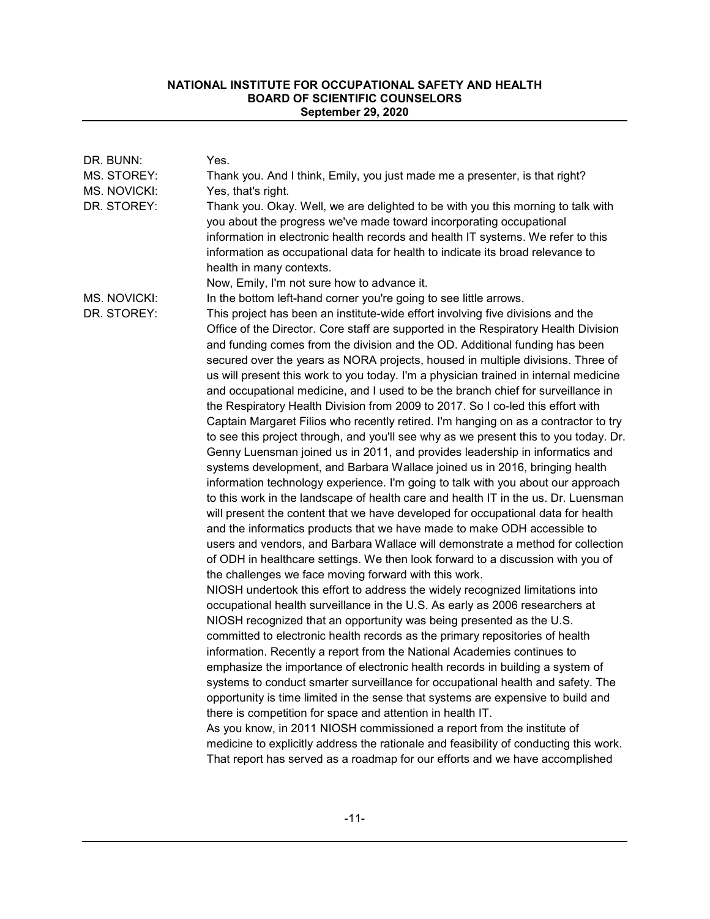| DR. BUNN:    | Yes.                                                                                  |
|--------------|---------------------------------------------------------------------------------------|
| MS. STOREY:  | Thank you. And I think, Emily, you just made me a presenter, is that right?           |
| MS. NOVICKI: | Yes, that's right.                                                                    |
| DR. STOREY:  | Thank you. Okay. Well, we are delighted to be with you this morning to talk with      |
|              | you about the progress we've made toward incorporating occupational                   |
|              | information in electronic health records and health IT systems. We refer to this      |
|              | information as occupational data for health to indicate its broad relevance to        |
|              | health in many contexts.                                                              |
|              | Now, Emily, I'm not sure how to advance it.                                           |
| MS. NOVICKI: | In the bottom left-hand corner you're going to see little arrows.                     |
| DR. STOREY:  | This project has been an institute-wide effort involving five divisions and the       |
|              | Office of the Director. Core staff are supported in the Respiratory Health Division   |
|              | and funding comes from the division and the OD. Additional funding has been           |
|              | secured over the years as NORA projects, housed in multiple divisions. Three of       |
|              | us will present this work to you today. I'm a physician trained in internal medicine  |
|              | and occupational medicine, and I used to be the branch chief for surveillance in      |
|              | the Respiratory Health Division from 2009 to 2017. So I co-led this effort with       |
|              | Captain Margaret Filios who recently retired. I'm hanging on as a contractor to try   |
|              | to see this project through, and you'll see why as we present this to you today. Dr.  |
|              | Genny Luensman joined us in 2011, and provides leadership in informatics and          |
|              | systems development, and Barbara Wallace joined us in 2016, bringing health           |
|              | information technology experience. I'm going to talk with you about our approach      |
|              | to this work in the landscape of health care and health IT in the us. Dr. Luensman    |
|              | will present the content that we have developed for occupational data for health      |
|              | and the informatics products that we have made to make ODH accessible to              |
|              | users and vendors, and Barbara Wallace will demonstrate a method for collection       |
|              | of ODH in healthcare settings. We then look forward to a discussion with you of       |
|              | the challenges we face moving forward with this work.                                 |
|              | NIOSH undertook this effort to address the widely recognized limitations into         |
|              | occupational health surveillance in the U.S. As early as 2006 researchers at          |
|              | NIOSH recognized that an opportunity was being presented as the U.S.                  |
|              | committed to electronic health records as the primary repositories of health          |
|              | information. Recently a report from the National Academies continues to               |
|              | emphasize the importance of electronic health records in building a system of         |
|              | systems to conduct smarter surveillance for occupational health and safety. The       |
|              | opportunity is time limited in the sense that systems are expensive to build and      |
|              | there is competition for space and attention in health IT.                            |
|              | As you know, in 2011 NIOSH commissioned a report from the institute of                |
|              | medicine to explicitly address the rationale and feasibility of conducting this work. |
|              | That report has served as a roadmap for our efforts and we have accomplished          |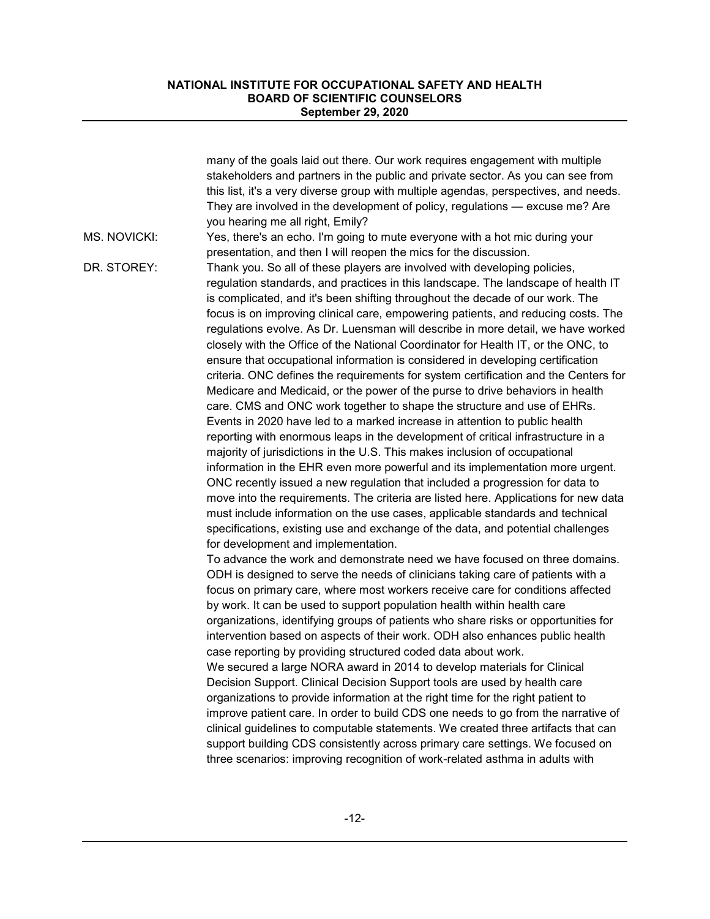|                     | many of the goals laid out there. Our work requires engagement with multiple<br>stakeholders and partners in the public and private sector. As you can see from<br>this list, it's a very diverse group with multiple agendas, perspectives, and needs.<br>They are involved in the development of policy, regulations - excuse me? Are<br>you hearing me all right, Emily?                                                                                                                                                                                                                                                                                                                                                                                                                                                                                                                                                                                                                                                                                                                                                                                                                                                                                                                                                                                                                                                                                                                                                                                           |
|---------------------|-----------------------------------------------------------------------------------------------------------------------------------------------------------------------------------------------------------------------------------------------------------------------------------------------------------------------------------------------------------------------------------------------------------------------------------------------------------------------------------------------------------------------------------------------------------------------------------------------------------------------------------------------------------------------------------------------------------------------------------------------------------------------------------------------------------------------------------------------------------------------------------------------------------------------------------------------------------------------------------------------------------------------------------------------------------------------------------------------------------------------------------------------------------------------------------------------------------------------------------------------------------------------------------------------------------------------------------------------------------------------------------------------------------------------------------------------------------------------------------------------------------------------------------------------------------------------|
| <b>MS. NOVICKI:</b> | Yes, there's an echo. I'm going to mute everyone with a hot mic during your<br>presentation, and then I will reopen the mics for the discussion.                                                                                                                                                                                                                                                                                                                                                                                                                                                                                                                                                                                                                                                                                                                                                                                                                                                                                                                                                                                                                                                                                                                                                                                                                                                                                                                                                                                                                      |
| DR. STOREY:         | Thank you. So all of these players are involved with developing policies,<br>regulation standards, and practices in this landscape. The landscape of health IT<br>is complicated, and it's been shifting throughout the decade of our work. The<br>focus is on improving clinical care, empowering patients, and reducing costs. The<br>regulations evolve. As Dr. Luensman will describe in more detail, we have worked<br>closely with the Office of the National Coordinator for Health IT, or the ONC, to<br>ensure that occupational information is considered in developing certification<br>criteria. ONC defines the requirements for system certification and the Centers for<br>Medicare and Medicaid, or the power of the purse to drive behaviors in health<br>care. CMS and ONC work together to shape the structure and use of EHRs.<br>Events in 2020 have led to a marked increase in attention to public health<br>reporting with enormous leaps in the development of critical infrastructure in a<br>majority of jurisdictions in the U.S. This makes inclusion of occupational<br>information in the EHR even more powerful and its implementation more urgent.<br>ONC recently issued a new regulation that included a progression for data to<br>move into the requirements. The criteria are listed here. Applications for new data<br>must include information on the use cases, applicable standards and technical<br>specifications, existing use and exchange of the data, and potential challenges<br>for development and implementation. |
|                     | To advance the work and demonstrate need we have focused on three domains.<br>ODH is designed to serve the needs of clinicians taking care of patients with a<br>focus on primary care, where most workers receive care for conditions affected<br>by work. It can be used to support population health within health care<br>organizations, identifying groups of patients who share risks or opportunities for<br>intervention based on aspects of their work. ODH also enhances public health<br>case reporting by providing structured coded data about work.<br>We secured a large NORA award in 2014 to develop materials for Clinical<br>Decision Support. Clinical Decision Support tools are used by health care<br>organizations to provide information at the right time for the right patient to<br>improve patient care. In order to build CDS one needs to go from the narrative of<br>clinical guidelines to computable statements. We created three artifacts that can<br>support building CDS consistently across primary care settings. We focused on<br>three scenarios: improving recognition of work-related asthma in adults with                                                                                                                                                                                                                                                                                                                                                                                                               |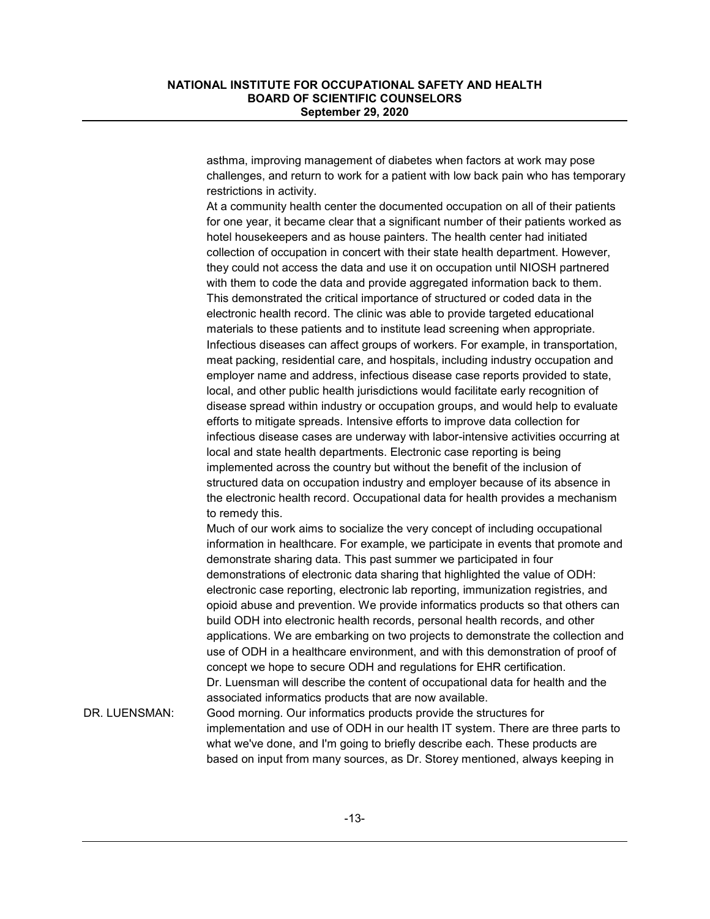asthma, improving management of diabetes when factors at work may pose challenges, and return to work for a patient with low back pain who has temporary restrictions in activity.

At a community health center the documented occupation on all of their patients for one year, it became clear that a significant number of their patients worked as hotel housekeepers and as house painters. The health center had initiated collection of occupation in concert with their state health department. However, they could not access the data and use it on occupation until NIOSH partnered with them to code the data and provide aggregated information back to them. This demonstrated the critical importance of structured or coded data in the electronic health record. The clinic was able to provide targeted educational materials to these patients and to institute lead screening when appropriate. Infectious diseases can affect groups of workers. For example, in transportation, meat packing, residential care, and hospitals, including industry occupation and employer name and address, infectious disease case reports provided to state, local, and other public health jurisdictions would facilitate early recognition of disease spread within industry or occupation groups, and would help to evaluate efforts to mitigate spreads. Intensive efforts to improve data collection for infectious disease cases are underway with labor-intensive activities occurring at local and state health departments. Electronic case reporting is being implemented across the country but without the benefit of the inclusion of structured data on occupation industry and employer because of its absence in the electronic health record. Occupational data for health provides a mechanism to remedy this.

Much of our work aims to socialize the very concept of including occupational information in healthcare. For example, we participate in events that promote and demonstrate sharing data. This past summer we participated in four demonstrations of electronic data sharing that highlighted the value of ODH: electronic case reporting, electronic lab reporting, immunization registries, and opioid abuse and prevention. We provide informatics products so that others can build ODH into electronic health records, personal health records, and other applications. We are embarking on two projects to demonstrate the collection and use of ODH in a healthcare environment, and with this demonstration of proof of concept we hope to secure ODH and regulations for EHR certification. Dr. Luensman will describe the content of occupational data for health and the associated informatics products that are now available.

DR. LUENSMAN: Good morning. Our informatics products provide the structures for implementation and use of ODH in our health IT system. There are three parts to what we've done, and I'm going to briefly describe each. These products are based on input from many sources, as Dr. Storey mentioned, always keeping in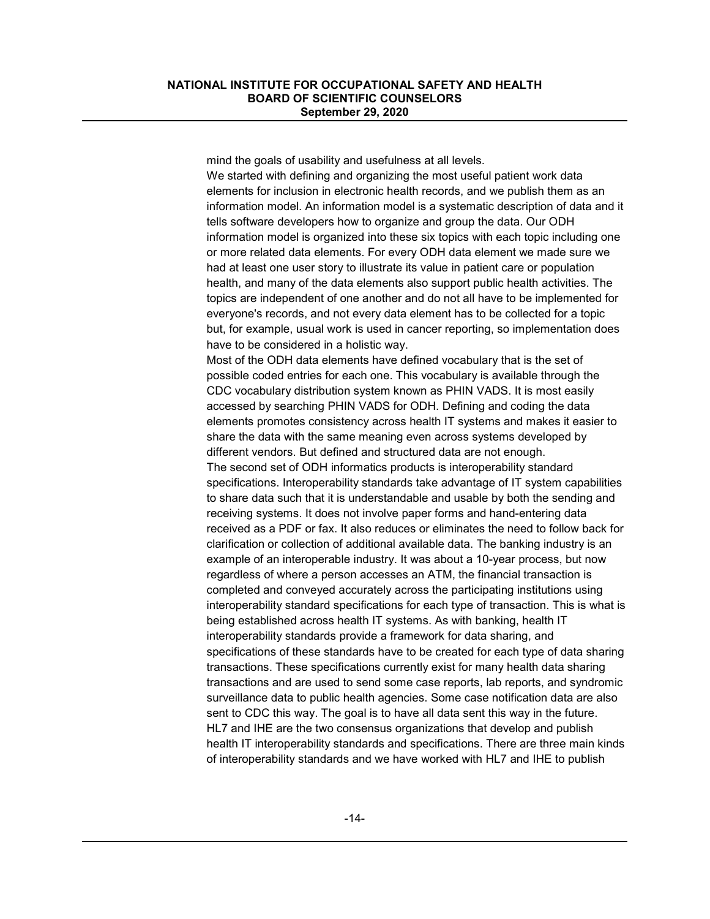mind the goals of usability and usefulness at all levels. We started with defining and organizing the most useful patient work data elements for inclusion in electronic health records, and we publish them as an information model. An information model is a systematic description of data and it tells software developers how to organize and group the data. Our ODH information model is organized into these six topics with each topic including one or more related data elements. For every ODH data element we made sure we had at least one user story to illustrate its value in patient care or population health, and many of the data elements also support public health activities. The topics are independent of one another and do not all have to be implemented for everyone's records, and not every data element has to be collected for a topic but, for example, usual work is used in cancer reporting, so implementation does have to be considered in a holistic way.

Most of the ODH data elements have defined vocabulary that is the set of possible coded entries for each one. This vocabulary is available through the CDC vocabulary distribution system known as PHIN VADS. It is most easily accessed by searching PHIN VADS for ODH. Defining and coding the data elements promotes consistency across health IT systems and makes it easier to share the data with the same meaning even across systems developed by different vendors. But defined and structured data are not enough. The second set of ODH informatics products is interoperability standard specifications. Interoperability standards take advantage of IT system capabilities to share data such that it is understandable and usable by both the sending and receiving systems. It does not involve paper forms and hand-entering data received as a PDF or fax. It also reduces or eliminates the need to follow back for clarification or collection of additional available data. The banking industry is an example of an interoperable industry. It was about a 10-year process, but now regardless of where a person accesses an ATM, the financial transaction is completed and conveyed accurately across the participating institutions using interoperability standard specifications for each type of transaction. This is what is being established across health IT systems. As with banking, health IT interoperability standards provide a framework for data sharing, and specifications of these standards have to be created for each type of data sharing transactions. These specifications currently exist for many health data sharing transactions and are used to send some case reports, lab reports, and syndromic surveillance data to public health agencies. Some case notification data are also sent to CDC this way. The goal is to have all data sent this way in the future. HL7 and IHE are the two consensus organizations that develop and publish health IT interoperability standards and specifications. There are three main kinds of interoperability standards and we have worked with HL7 and IHE to publish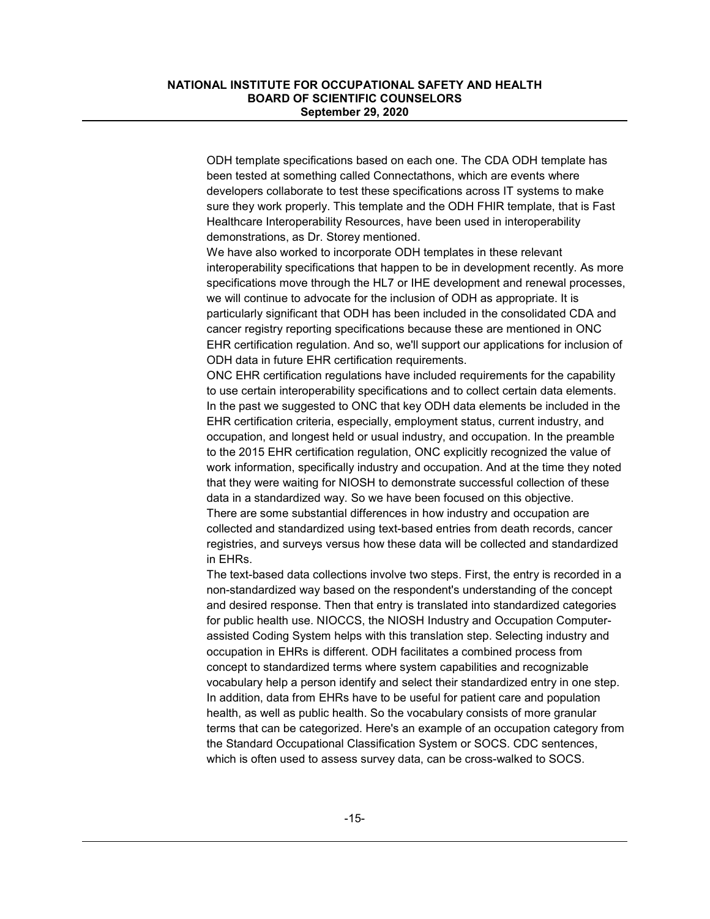ODH template specifications based on each one. The CDA ODH template has been tested at something called Connectathons, which are events where developers collaborate to test these specifications across IT systems to make sure they work properly. This template and the ODH FHIR template, that is Fast Healthcare Interoperability Resources, have been used in interoperability demonstrations, as Dr. Storey mentioned.

We have also worked to incorporate ODH templates in these relevant interoperability specifications that happen to be in development recently. As more specifications move through the HL7 or IHE development and renewal processes, we will continue to advocate for the inclusion of ODH as appropriate. It is particularly significant that ODH has been included in the consolidated CDA and cancer registry reporting specifications because these are mentioned in ONC EHR certification regulation. And so, we'll support our applications for inclusion of ODH data in future EHR certification requirements.

ONC EHR certification regulations have included requirements for the capability to use certain interoperability specifications and to collect certain data elements. In the past we suggested to ONC that key ODH data elements be included in the EHR certification criteria, especially, employment status, current industry, and occupation, and longest held or usual industry, and occupation. In the preamble to the 2015 EHR certification regulation, ONC explicitly recognized the value of work information, specifically industry and occupation. And at the time they noted that they were waiting for NIOSH to demonstrate successful collection of these data in a standardized way. So we have been focused on this objective. There are some substantial differences in how industry and occupation are collected and standardized using text-based entries from death records, cancer registries, and surveys versus how these data will be collected and standardized in EHRs.

The text-based data collections involve two steps. First, the entry is recorded in a non-standardized way based on the respondent's understanding of the concept and desired response. Then that entry is translated into standardized categories for public health use. NIOCCS, the NIOSH Industry and Occupation Computerassisted Coding System helps with this translation step. Selecting industry and occupation in EHRs is different. ODH facilitates a combined process from concept to standardized terms where system capabilities and recognizable vocabulary help a person identify and select their standardized entry in one step. In addition, data from EHRs have to be useful for patient care and population health, as well as public health. So the vocabulary consists of more granular terms that can be categorized. Here's an example of an occupation category from the Standard Occupational Classification System or SOCS. CDC sentences, which is often used to assess survey data, can be cross-walked to SOCS.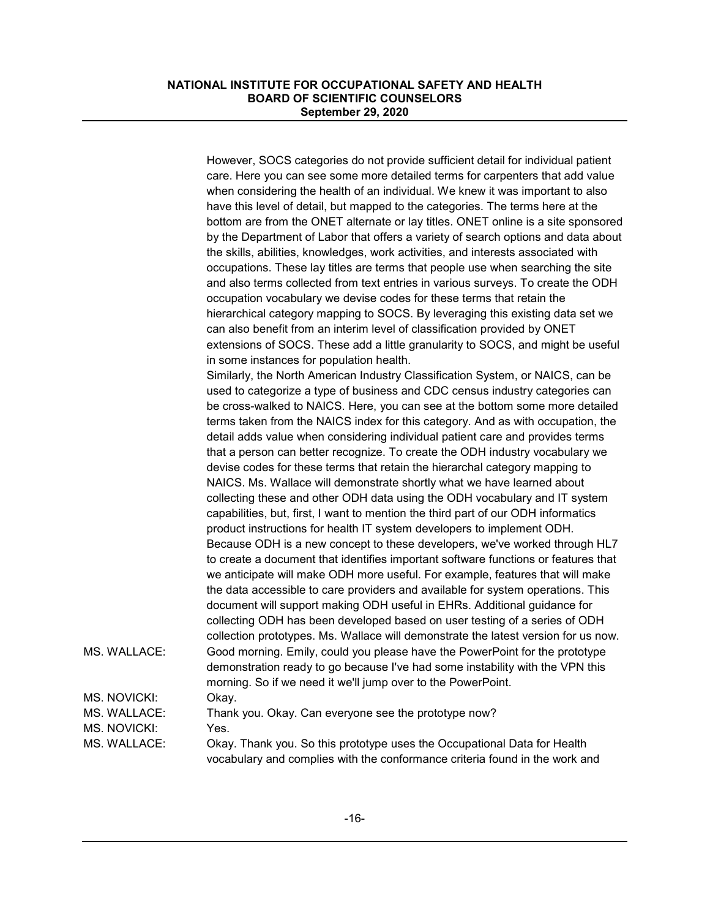|              | However, SOCS categories do not provide sufficient detail for individual patient                                                                            |
|--------------|-------------------------------------------------------------------------------------------------------------------------------------------------------------|
|              | care. Here you can see some more detailed terms for carpenters that add value                                                                               |
|              | when considering the health of an individual. We knew it was important to also                                                                              |
|              | have this level of detail, but mapped to the categories. The terms here at the                                                                              |
|              | bottom are from the ONET alternate or lay titles. ONET online is a site sponsored                                                                           |
|              | by the Department of Labor that offers a variety of search options and data about                                                                           |
|              |                                                                                                                                                             |
|              | the skills, abilities, knowledges, work activities, and interests associated with                                                                           |
|              | occupations. These lay titles are terms that people use when searching the site                                                                             |
|              | and also terms collected from text entries in various surveys. To create the ODH                                                                            |
|              | occupation vocabulary we devise codes for these terms that retain the                                                                                       |
|              | hierarchical category mapping to SOCS. By leveraging this existing data set we<br>can also benefit from an interim level of classification provided by ONET |
|              | extensions of SOCS. These add a little granularity to SOCS, and might be useful                                                                             |
|              | in some instances for population health.                                                                                                                    |
|              | Similarly, the North American Industry Classification System, or NAICS, can be                                                                              |
|              | used to categorize a type of business and CDC census industry categories can                                                                                |
|              | be cross-walked to NAICS. Here, you can see at the bottom some more detailed                                                                                |
|              | terms taken from the NAICS index for this category. And as with occupation, the                                                                             |
|              |                                                                                                                                                             |
|              | detail adds value when considering individual patient care and provides terms                                                                               |
|              | that a person can better recognize. To create the ODH industry vocabulary we                                                                                |
|              | devise codes for these terms that retain the hierarchal category mapping to                                                                                 |
|              | NAICS. Ms. Wallace will demonstrate shortly what we have learned about                                                                                      |
|              | collecting these and other ODH data using the ODH vocabulary and IT system                                                                                  |
|              | capabilities, but, first, I want to mention the third part of our ODH informatics                                                                           |
|              | product instructions for health IT system developers to implement ODH.                                                                                      |
|              | Because ODH is a new concept to these developers, we've worked through HL7                                                                                  |
|              | to create a document that identifies important software functions or features that                                                                          |
|              | we anticipate will make ODH more useful. For example, features that will make                                                                               |
|              | the data accessible to care providers and available for system operations. This                                                                             |
|              | document will support making ODH useful in EHRs. Additional guidance for                                                                                    |
|              | collecting ODH has been developed based on user testing of a series of ODH                                                                                  |
|              | collection prototypes. Ms. Wallace will demonstrate the latest version for us now.                                                                          |
| MS. WALLACE: | Good morning. Emily, could you please have the PowerPoint for the prototype                                                                                 |
|              | demonstration ready to go because I've had some instability with the VPN this                                                                               |
|              | morning. So if we need it we'll jump over to the PowerPoint.                                                                                                |
| MS. NOVICKI: | Okay.                                                                                                                                                       |
| MS. WALLACE: | Thank you. Okay. Can everyone see the prototype now?                                                                                                        |
|              |                                                                                                                                                             |
| MS. NOVICKI: | Yes.                                                                                                                                                        |
| MS. WALLACE: | Okay. Thank you. So this prototype uses the Occupational Data for Health                                                                                    |
|              | vocabulary and complies with the conformance criteria found in the work and                                                                                 |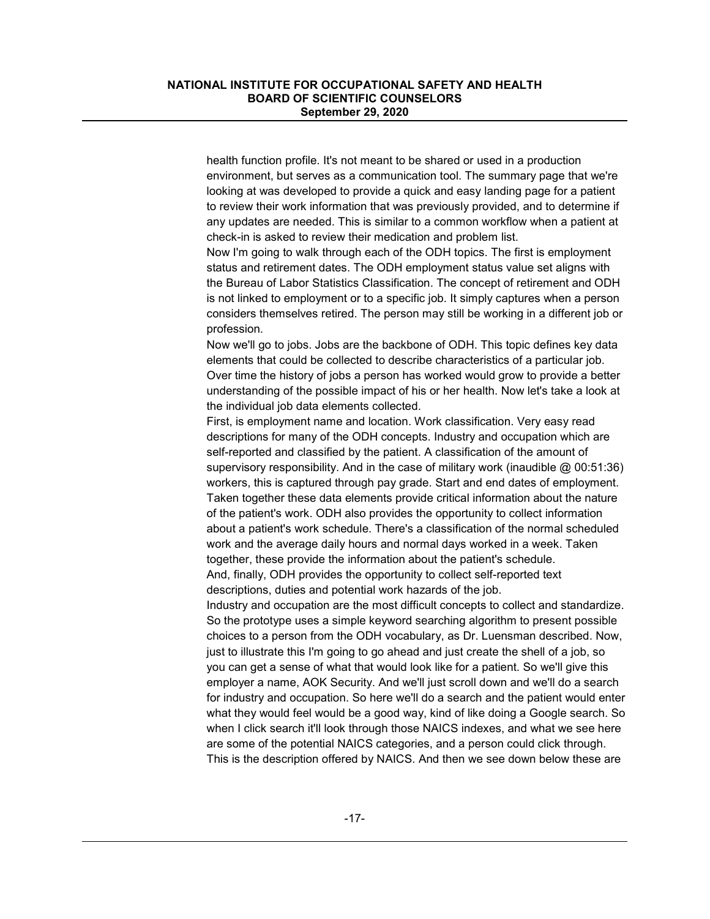health function profile. It's not meant to be shared or used in a production environment, but serves as a communication tool. The summary page that we're looking at was developed to provide a quick and easy landing page for a patient to review their work information that was previously provided, and to determine if any updates are needed. This is similar to a common workflow when a patient at check-in is asked to review their medication and problem list.

Now I'm going to walk through each of the ODH topics. The first is employment status and retirement dates. The ODH employment status value set aligns with the Bureau of Labor Statistics Classification. The concept of retirement and ODH is not linked to employment or to a specific job. It simply captures when a person considers themselves retired. The person may still be working in a different job or profession.

Now we'll go to jobs. Jobs are the backbone of ODH. This topic defines key data elements that could be collected to describe characteristics of a particular job. Over time the history of jobs a person has worked would grow to provide a better understanding of the possible impact of his or her health. Now let's take a look at the individual job data elements collected.

First, is employment name and location. Work classification. Very easy read descriptions for many of the ODH concepts. Industry and occupation which are self-reported and classified by the patient. A classification of the amount of supervisory responsibility. And in the case of military work (inaudible  $\omega$  00:51:36) workers, this is captured through pay grade. Start and end dates of employment. Taken together these data elements provide critical information about the nature of the patient's work. ODH also provides the opportunity to collect information about a patient's work schedule. There's a classification of the normal scheduled work and the average daily hours and normal days worked in a week. Taken together, these provide the information about the patient's schedule. And, finally, ODH provides the opportunity to collect self-reported text descriptions, duties and potential work hazards of the job.

Industry and occupation are the most difficult concepts to collect and standardize. So the prototype uses a simple keyword searching algorithm to present possible choices to a person from the ODH vocabulary, as Dr. Luensman described. Now, just to illustrate this I'm going to go ahead and just create the shell of a job, so you can get a sense of what that would look like for a patient. So we'll give this employer a name, AOK Security. And we'll just scroll down and we'll do a search for industry and occupation. So here we'll do a search and the patient would enter what they would feel would be a good way, kind of like doing a Google search. So when I click search it'll look through those NAICS indexes, and what we see here are some of the potential NAICS categories, and a person could click through. This is the description offered by NAICS. And then we see down below these are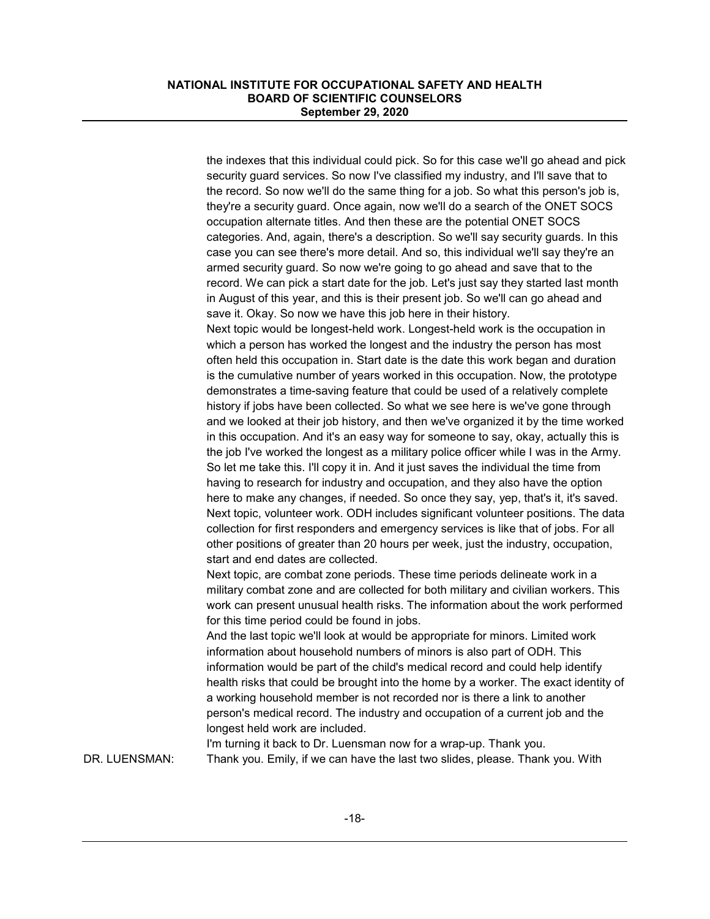the indexes that this individual could pick. So for this case we'll go ahead and pick security guard services. So now I've classified my industry, and I'll save that to the record. So now we'll do the same thing for a job. So what this person's job is, they're a security guard. Once again, now we'll do a search of the ONET SOCS occupation alternate titles. And then these are the potential ONET SOCS categories. And, again, there's a description. So we'll say security guards. In this case you can see there's more detail. And so, this individual we'll say they're an armed security guard. So now we're going to go ahead and save that to the record. We can pick a start date for the job. Let's just say they started last month in August of this year, and this is their present job. So we'll can go ahead and save it. Okay. So now we have this job here in their history. Next topic would be longest-held work. Longest-held work is the occupation in which a person has worked the longest and the industry the person has most often held this occupation in. Start date is the date this work began and duration is the cumulative number of years worked in this occupation. Now, the prototype demonstrates a time-saving feature that could be used of a relatively complete history if jobs have been collected. So what we see here is we've gone through and we looked at their job history, and then we've organized it by the time worked in this occupation. And it's an easy way for someone to say, okay, actually this is the job I've worked the longest as a military police officer while I was in the Army. So let me take this. I'll copy it in. And it just saves the individual the time from having to research for industry and occupation, and they also have the option here to make any changes, if needed. So once they say, yep, that's it, it's saved. Next topic, volunteer work. ODH includes significant volunteer positions. The data collection for first responders and emergency services is like that of jobs. For all other positions of greater than 20 hours per week, just the industry, occupation, start and end dates are collected. Next topic, are combat zone periods. These time periods delineate work in a military combat zone and are collected for both military and civilian workers. This work can present unusual health risks. The information about the work performed for this time period could be found in jobs. And the last topic we'll look at would be appropriate for minors. Limited work

information about household numbers of minors is also part of ODH. This information would be part of the child's medical record and could help identify health risks that could be brought into the home by a worker. The exact identity of a working household member is not recorded nor is there a link to another person's medical record. The industry and occupation of a current job and the longest held work are included.

I'm turning it back to Dr. Luensman now for a wrap-up. Thank you. DR. LUENSMAN: Thank you. Emily, if we can have the last two slides, please. Thank you. With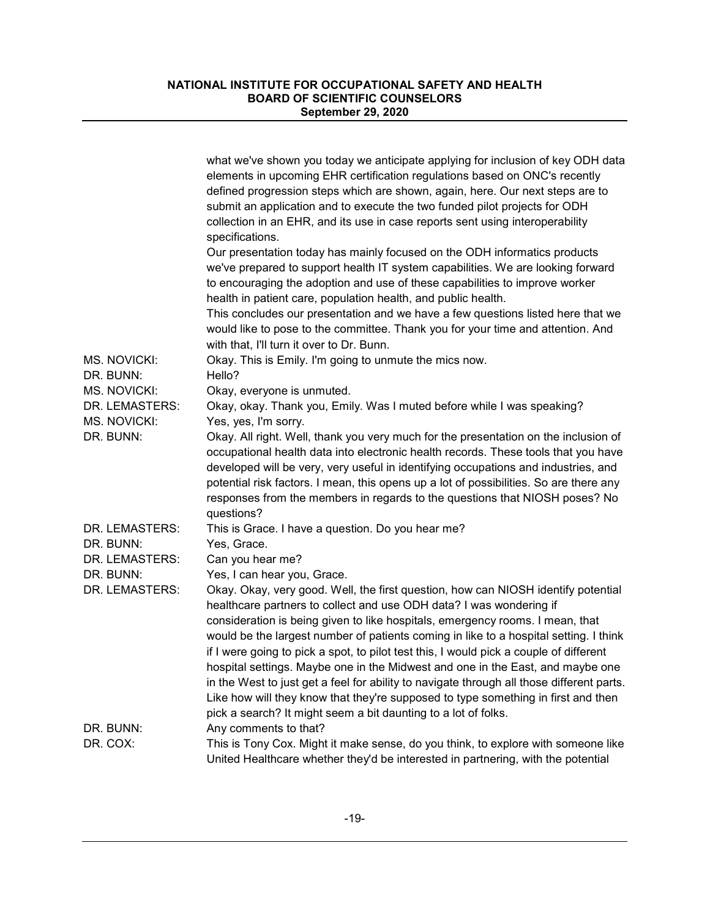|                | what we've shown you today we anticipate applying for inclusion of key ODH data<br>elements in upcoming EHR certification regulations based on ONC's recently<br>defined progression steps which are shown, again, here. Our next steps are to<br>submit an application and to execute the two funded pilot projects for ODH<br>collection in an EHR, and its use in case reports sent using interoperability<br>specifications.                       |
|----------------|--------------------------------------------------------------------------------------------------------------------------------------------------------------------------------------------------------------------------------------------------------------------------------------------------------------------------------------------------------------------------------------------------------------------------------------------------------|
|                | Our presentation today has mainly focused on the ODH informatics products<br>we've prepared to support health IT system capabilities. We are looking forward<br>to encouraging the adoption and use of these capabilities to improve worker<br>health in patient care, population health, and public health.                                                                                                                                           |
|                | This concludes our presentation and we have a few questions listed here that we<br>would like to pose to the committee. Thank you for your time and attention. And<br>with that, I'll turn it over to Dr. Bunn.                                                                                                                                                                                                                                        |
| MS. NOVICKI:   | Okay. This is Emily. I'm going to unmute the mics now.                                                                                                                                                                                                                                                                                                                                                                                                 |
| DR. BUNN:      | Hello?                                                                                                                                                                                                                                                                                                                                                                                                                                                 |
| MS. NOVICKI:   | Okay, everyone is unmuted.                                                                                                                                                                                                                                                                                                                                                                                                                             |
| DR. LEMASTERS: | Okay, okay. Thank you, Emily. Was I muted before while I was speaking?                                                                                                                                                                                                                                                                                                                                                                                 |
| MS. NOVICKI:   | Yes, yes, I'm sorry.                                                                                                                                                                                                                                                                                                                                                                                                                                   |
| DR. BUNN:      | Okay. All right. Well, thank you very much for the presentation on the inclusion of<br>occupational health data into electronic health records. These tools that you have<br>developed will be very, very useful in identifying occupations and industries, and<br>potential risk factors. I mean, this opens up a lot of possibilities. So are there any<br>responses from the members in regards to the questions that NIOSH poses? No<br>questions? |
| DR. LEMASTERS: | This is Grace. I have a question. Do you hear me?                                                                                                                                                                                                                                                                                                                                                                                                      |
| DR. BUNN:      | Yes, Grace.                                                                                                                                                                                                                                                                                                                                                                                                                                            |
| DR. LEMASTERS: | Can you hear me?                                                                                                                                                                                                                                                                                                                                                                                                                                       |
| DR. BUNN:      | Yes, I can hear you, Grace.                                                                                                                                                                                                                                                                                                                                                                                                                            |
| DR. LEMASTERS: | Okay. Okay, very good. Well, the first question, how can NIOSH identify potential<br>healthcare partners to collect and use ODH data? I was wondering if                                                                                                                                                                                                                                                                                               |
|                | consideration is being given to like hospitals, emergency rooms. I mean, that<br>would be the largest number of patients coming in like to a hospital setting. I think                                                                                                                                                                                                                                                                                 |
|                | if I were going to pick a spot, to pilot test this, I would pick a couple of different<br>hospital settings. Maybe one in the Midwest and one in the East, and maybe one<br>in the West to just get a feel for ability to navigate through all those different parts.                                                                                                                                                                                  |
|                | Like how will they know that they're supposed to type something in first and then<br>pick a search? It might seem a bit daunting to a lot of folks.                                                                                                                                                                                                                                                                                                    |
| DR. BUNN:      | Any comments to that?                                                                                                                                                                                                                                                                                                                                                                                                                                  |
| DR. COX:       | This is Tony Cox. Might it make sense, do you think, to explore with someone like<br>United Healthcare whether they'd be interested in partnering, with the potential                                                                                                                                                                                                                                                                                  |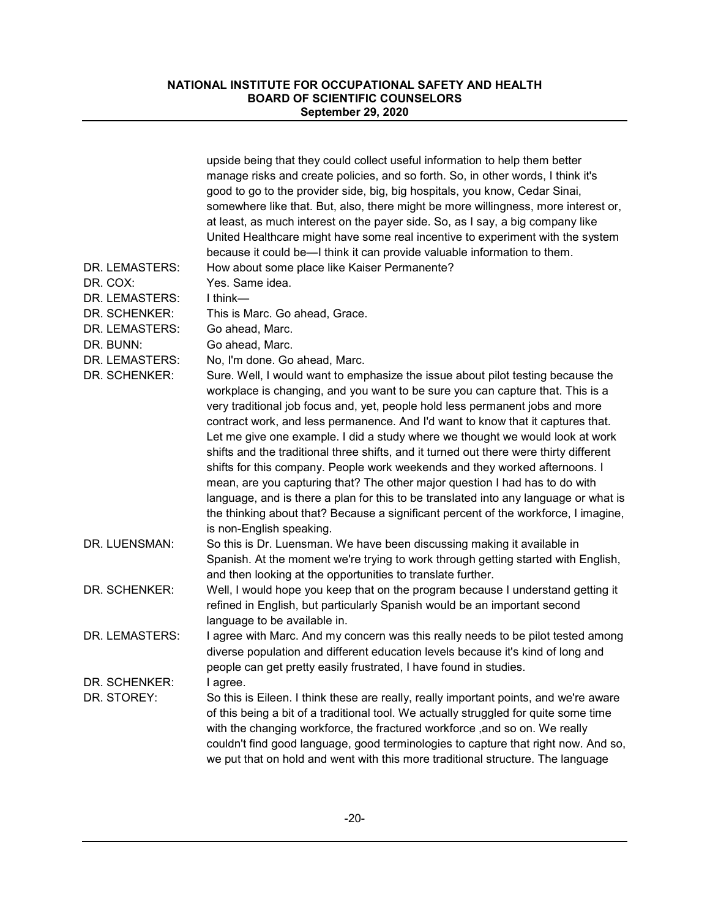|                                 | upside being that they could collect useful information to help them better<br>manage risks and create policies, and so forth. So, in other words, I think it's<br>good to go to the provider side, big, big hospitals, you know, Cedar Sinai,<br>somewhere like that. But, also, there might be more willingness, more interest or,<br>at least, as much interest on the payer side. So, as I say, a big company like<br>United Healthcare might have some real incentive to experiment with the system<br>because it could be-I think it can provide valuable information to them.                                                                                                                                                                                                                                                                                                      |
|---------------------------------|-------------------------------------------------------------------------------------------------------------------------------------------------------------------------------------------------------------------------------------------------------------------------------------------------------------------------------------------------------------------------------------------------------------------------------------------------------------------------------------------------------------------------------------------------------------------------------------------------------------------------------------------------------------------------------------------------------------------------------------------------------------------------------------------------------------------------------------------------------------------------------------------|
| DR. LEMASTERS:                  | How about some place like Kaiser Permanente?                                                                                                                                                                                                                                                                                                                                                                                                                                                                                                                                                                                                                                                                                                                                                                                                                                              |
| DR. COX:                        | Yes. Same idea.                                                                                                                                                                                                                                                                                                                                                                                                                                                                                                                                                                                                                                                                                                                                                                                                                                                                           |
| DR. LEMASTERS:                  | $I$ think—                                                                                                                                                                                                                                                                                                                                                                                                                                                                                                                                                                                                                                                                                                                                                                                                                                                                                |
| DR. SCHENKER:<br>DR. LEMASTERS: | This is Marc. Go ahead, Grace.                                                                                                                                                                                                                                                                                                                                                                                                                                                                                                                                                                                                                                                                                                                                                                                                                                                            |
| DR. BUNN:                       | Go ahead, Marc.<br>Go ahead, Marc.                                                                                                                                                                                                                                                                                                                                                                                                                                                                                                                                                                                                                                                                                                                                                                                                                                                        |
| DR. LEMASTERS:                  | No, I'm done. Go ahead, Marc.                                                                                                                                                                                                                                                                                                                                                                                                                                                                                                                                                                                                                                                                                                                                                                                                                                                             |
| DR. SCHENKER:                   | Sure. Well, I would want to emphasize the issue about pilot testing because the<br>workplace is changing, and you want to be sure you can capture that. This is a<br>very traditional job focus and, yet, people hold less permanent jobs and more<br>contract work, and less permanence. And I'd want to know that it captures that.<br>Let me give one example. I did a study where we thought we would look at work<br>shifts and the traditional three shifts, and it turned out there were thirty different<br>shifts for this company. People work weekends and they worked afternoons. I<br>mean, are you capturing that? The other major question I had has to do with<br>language, and is there a plan for this to be translated into any language or what is<br>the thinking about that? Because a significant percent of the workforce, I imagine,<br>is non-English speaking. |
| DR. LUENSMAN:                   | So this is Dr. Luensman. We have been discussing making it available in<br>Spanish. At the moment we're trying to work through getting started with English,<br>and then looking at the opportunities to translate further.                                                                                                                                                                                                                                                                                                                                                                                                                                                                                                                                                                                                                                                               |
| DR. SCHENKER:                   | Well, I would hope you keep that on the program because I understand getting it<br>refined in English, but particularly Spanish would be an important second<br>language to be available in.                                                                                                                                                                                                                                                                                                                                                                                                                                                                                                                                                                                                                                                                                              |
| DR. LEMASTERS:                  | I agree with Marc. And my concern was this really needs to be pilot tested among<br>diverse population and different education levels because it's kind of long and<br>people can get pretty easily frustrated, I have found in studies.                                                                                                                                                                                                                                                                                                                                                                                                                                                                                                                                                                                                                                                  |
| DR. SCHENKER:                   | I agree.                                                                                                                                                                                                                                                                                                                                                                                                                                                                                                                                                                                                                                                                                                                                                                                                                                                                                  |
| DR. STOREY:                     | So this is Eileen. I think these are really, really important points, and we're aware<br>of this being a bit of a traditional tool. We actually struggled for quite some time<br>with the changing workforce, the fractured workforce , and so on. We really<br>couldn't find good language, good terminologies to capture that right now. And so,<br>we put that on hold and went with this more traditional structure. The language                                                                                                                                                                                                                                                                                                                                                                                                                                                     |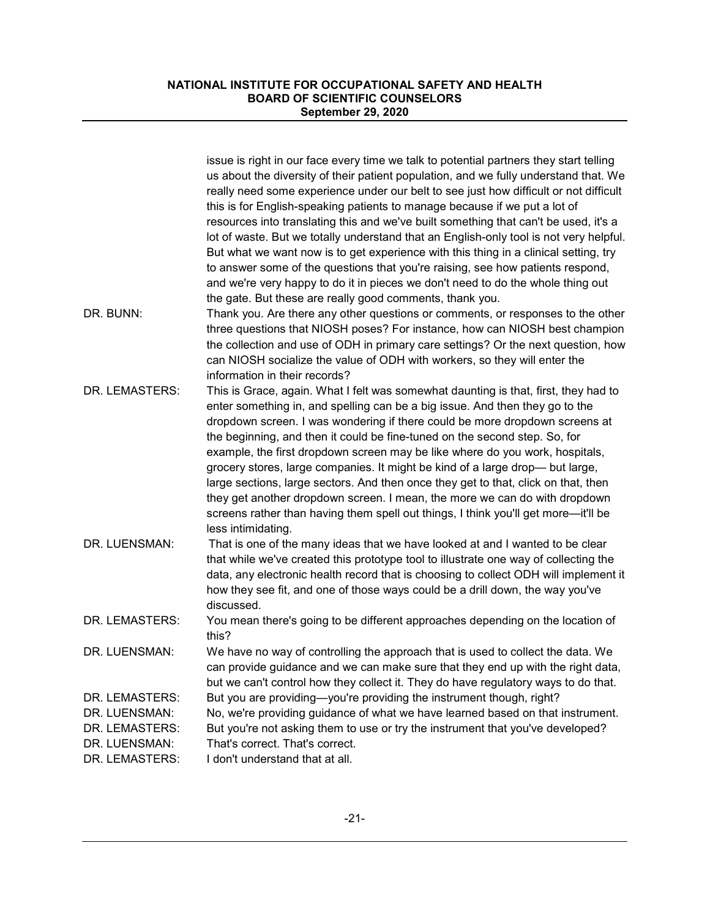|                                                                                      | issue is right in our face every time we talk to potential partners they start telling<br>us about the diversity of their patient population, and we fully understand that. We<br>really need some experience under our belt to see just how difficult or not difficult<br>this is for English-speaking patients to manage because if we put a lot of<br>resources into translating this and we've built something that can't be used, it's a<br>lot of waste. But we totally understand that an English-only tool is not very helpful.<br>But what we want now is to get experience with this thing in a clinical setting, try<br>to answer some of the questions that you're raising, see how patients respond,<br>and we're very happy to do it in pieces we don't need to do the whole thing out |
|--------------------------------------------------------------------------------------|------------------------------------------------------------------------------------------------------------------------------------------------------------------------------------------------------------------------------------------------------------------------------------------------------------------------------------------------------------------------------------------------------------------------------------------------------------------------------------------------------------------------------------------------------------------------------------------------------------------------------------------------------------------------------------------------------------------------------------------------------------------------------------------------------|
|                                                                                      | the gate. But these are really good comments, thank you.                                                                                                                                                                                                                                                                                                                                                                                                                                                                                                                                                                                                                                                                                                                                             |
| DR. BUNN:                                                                            | Thank you. Are there any other questions or comments, or responses to the other<br>three questions that NIOSH poses? For instance, how can NIOSH best champion<br>the collection and use of ODH in primary care settings? Or the next question, how<br>can NIOSH socialize the value of ODH with workers, so they will enter the<br>information in their records?                                                                                                                                                                                                                                                                                                                                                                                                                                    |
| DR. LEMASTERS:                                                                       | This is Grace, again. What I felt was somewhat daunting is that, first, they had to<br>enter something in, and spelling can be a big issue. And then they go to the<br>dropdown screen. I was wondering if there could be more dropdown screens at<br>the beginning, and then it could be fine-tuned on the second step. So, for<br>example, the first dropdown screen may be like where do you work, hospitals,<br>grocery stores, large companies. It might be kind of a large drop- but large,<br>large sections, large sectors. And then once they get to that, click on that, then<br>they get another dropdown screen. I mean, the more we can do with dropdown<br>screens rather than having them spell out things, I think you'll get more—it'll be<br>less intimidating.                    |
| DR. LUENSMAN:                                                                        | That is one of the many ideas that we have looked at and I wanted to be clear<br>that while we've created this prototype tool to illustrate one way of collecting the<br>data, any electronic health record that is choosing to collect ODH will implement it<br>how they see fit, and one of those ways could be a drill down, the way you've<br>discussed.                                                                                                                                                                                                                                                                                                                                                                                                                                         |
| DR. LEMASTERS:                                                                       | You mean there's going to be different approaches depending on the location of<br>this?                                                                                                                                                                                                                                                                                                                                                                                                                                                                                                                                                                                                                                                                                                              |
| DR. LUENSMAN:                                                                        | We have no way of controlling the approach that is used to collect the data. We<br>can provide guidance and we can make sure that they end up with the right data,<br>but we can't control how they collect it. They do have regulatory ways to do that.                                                                                                                                                                                                                                                                                                                                                                                                                                                                                                                                             |
| DR. LEMASTERS:<br>DR. LUENSMAN:<br>DR. LEMASTERS:<br>DR. LUENSMAN:<br>DR. LEMASTERS: | But you are providing-you're providing the instrument though, right?<br>No, we're providing guidance of what we have learned based on that instrument.<br>But you're not asking them to use or try the instrument that you've developed?<br>That's correct. That's correct.<br>I don't understand that at all.                                                                                                                                                                                                                                                                                                                                                                                                                                                                                       |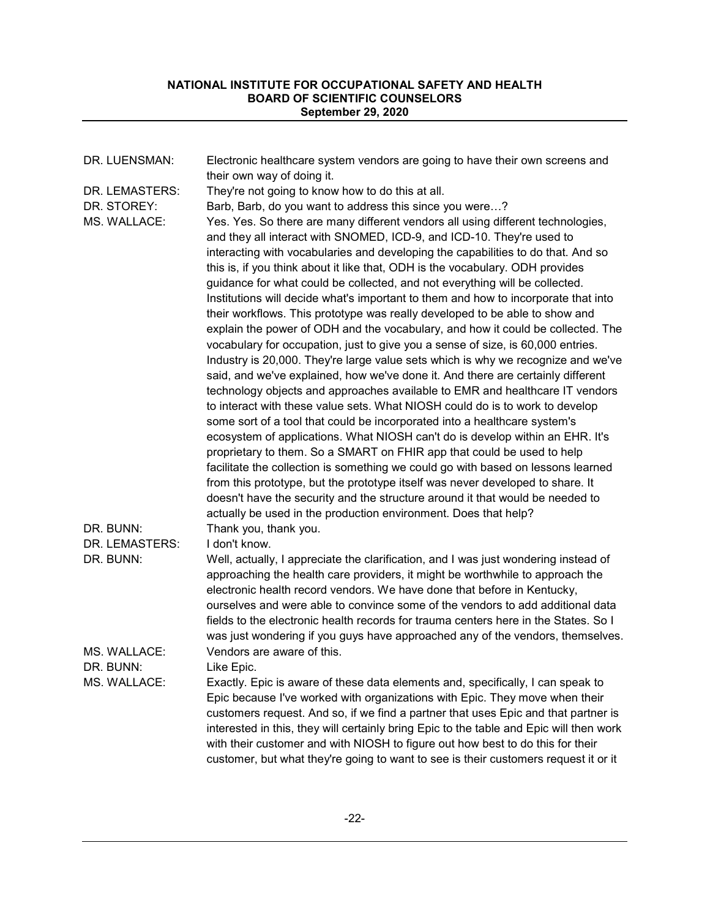| DR. LUENSMAN:                                 | Electronic healthcare system vendors are going to have their own screens and<br>their own way of doing it.                                                                                                                                                                                                                                                                                                                                                                                                                                                                                                                                                                                                                                                                                                                                                                                                                                                                                                                                                                                                                                                                                                                                                                                                                                                                                                                                                                                                                                                                                                                                                                                                                                                                      |
|-----------------------------------------------|---------------------------------------------------------------------------------------------------------------------------------------------------------------------------------------------------------------------------------------------------------------------------------------------------------------------------------------------------------------------------------------------------------------------------------------------------------------------------------------------------------------------------------------------------------------------------------------------------------------------------------------------------------------------------------------------------------------------------------------------------------------------------------------------------------------------------------------------------------------------------------------------------------------------------------------------------------------------------------------------------------------------------------------------------------------------------------------------------------------------------------------------------------------------------------------------------------------------------------------------------------------------------------------------------------------------------------------------------------------------------------------------------------------------------------------------------------------------------------------------------------------------------------------------------------------------------------------------------------------------------------------------------------------------------------------------------------------------------------------------------------------------------------|
| DR. LEMASTERS:<br>DR. STOREY:<br>MS. WALLACE: | They're not going to know how to do this at all.<br>Barb, Barb, do you want to address this since you were?<br>Yes. Yes. So there are many different vendors all using different technologies,<br>and they all interact with SNOMED, ICD-9, and ICD-10. They're used to<br>interacting with vocabularies and developing the capabilities to do that. And so<br>this is, if you think about it like that, ODH is the vocabulary. ODH provides<br>guidance for what could be collected, and not everything will be collected.<br>Institutions will decide what's important to them and how to incorporate that into<br>their workflows. This prototype was really developed to be able to show and<br>explain the power of ODH and the vocabulary, and how it could be collected. The<br>vocabulary for occupation, just to give you a sense of size, is 60,000 entries.<br>Industry is 20,000. They're large value sets which is why we recognize and we've<br>said, and we've explained, how we've done it. And there are certainly different<br>technology objects and approaches available to EMR and healthcare IT vendors<br>to interact with these value sets. What NIOSH could do is to work to develop<br>some sort of a tool that could be incorporated into a healthcare system's<br>ecosystem of applications. What NIOSH can't do is develop within an EHR. It's<br>proprietary to them. So a SMART on FHIR app that could be used to help<br>facilitate the collection is something we could go with based on lessons learned<br>from this prototype, but the prototype itself was never developed to share. It<br>doesn't have the security and the structure around it that would be needed to<br>actually be used in the production environment. Does that help? |
| DR. BUNN:                                     | Thank you, thank you.                                                                                                                                                                                                                                                                                                                                                                                                                                                                                                                                                                                                                                                                                                                                                                                                                                                                                                                                                                                                                                                                                                                                                                                                                                                                                                                                                                                                                                                                                                                                                                                                                                                                                                                                                           |
| DR. LEMASTERS:                                | I don't know.                                                                                                                                                                                                                                                                                                                                                                                                                                                                                                                                                                                                                                                                                                                                                                                                                                                                                                                                                                                                                                                                                                                                                                                                                                                                                                                                                                                                                                                                                                                                                                                                                                                                                                                                                                   |
| DR. BUNN:                                     | Well, actually, I appreciate the clarification, and I was just wondering instead of<br>approaching the health care providers, it might be worthwhile to approach the<br>electronic health record vendors. We have done that before in Kentucky,<br>ourselves and were able to convince some of the vendors to add additional data<br>fields to the electronic health records for trauma centers here in the States. So I<br>was just wondering if you guys have approached any of the vendors, themselves.                                                                                                                                                                                                                                                                                                                                                                                                                                                                                                                                                                                                                                                                                                                                                                                                                                                                                                                                                                                                                                                                                                                                                                                                                                                                      |
| MS. WALLACE:                                  | Vendors are aware of this.                                                                                                                                                                                                                                                                                                                                                                                                                                                                                                                                                                                                                                                                                                                                                                                                                                                                                                                                                                                                                                                                                                                                                                                                                                                                                                                                                                                                                                                                                                                                                                                                                                                                                                                                                      |
| DR. BUNN:                                     | Like Enic.                                                                                                                                                                                                                                                                                                                                                                                                                                                                                                                                                                                                                                                                                                                                                                                                                                                                                                                                                                                                                                                                                                                                                                                                                                                                                                                                                                                                                                                                                                                                                                                                                                                                                                                                                                      |
| MS. WALLACE:                                  | Exactly. Epic is aware of these data elements and, specifically, I can speak to<br>Epic because I've worked with organizations with Epic. They move when their<br>customers request. And so, if we find a partner that uses Epic and that partner is<br>interested in this, they will certainly bring Epic to the table and Epic will then work<br>with their customer and with NIOSH to figure out how best to do this for their<br>customer, but what they're going to want to see is their customers request it or it                                                                                                                                                                                                                                                                                                                                                                                                                                                                                                                                                                                                                                                                                                                                                                                                                                                                                                                                                                                                                                                                                                                                                                                                                                                        |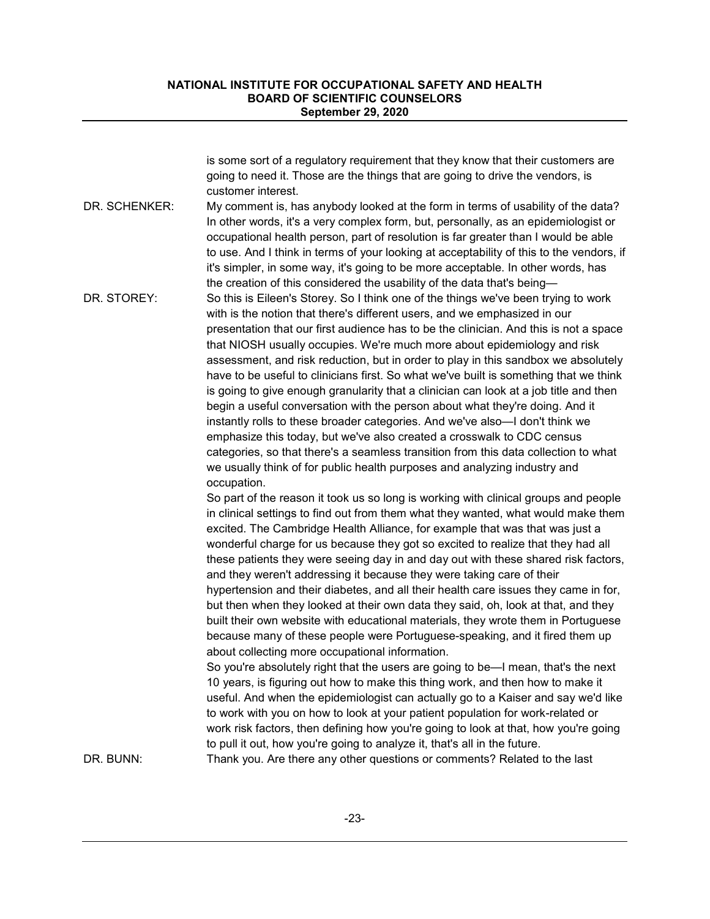|               | is some sort of a regulatory requirement that they know that their customers are<br>going to need it. Those are the things that are going to drive the vendors, is                                                                                                                                                                                                                                                                                                                                                                                                                                                                                                                                                                                                                                                                                                                                                                                                                                                                                                                                                                                                                                                                                                                                                                                                                                                               |
|---------------|----------------------------------------------------------------------------------------------------------------------------------------------------------------------------------------------------------------------------------------------------------------------------------------------------------------------------------------------------------------------------------------------------------------------------------------------------------------------------------------------------------------------------------------------------------------------------------------------------------------------------------------------------------------------------------------------------------------------------------------------------------------------------------------------------------------------------------------------------------------------------------------------------------------------------------------------------------------------------------------------------------------------------------------------------------------------------------------------------------------------------------------------------------------------------------------------------------------------------------------------------------------------------------------------------------------------------------------------------------------------------------------------------------------------------------|
|               | customer interest.                                                                                                                                                                                                                                                                                                                                                                                                                                                                                                                                                                                                                                                                                                                                                                                                                                                                                                                                                                                                                                                                                                                                                                                                                                                                                                                                                                                                               |
| DR. SCHENKER: | My comment is, has anybody looked at the form in terms of usability of the data?<br>In other words, it's a very complex form, but, personally, as an epidemiologist or<br>occupational health person, part of resolution is far greater than I would be able<br>to use. And I think in terms of your looking at acceptability of this to the vendors, if<br>it's simpler, in some way, it's going to be more acceptable. In other words, has<br>the creation of this considered the usability of the data that's being-                                                                                                                                                                                                                                                                                                                                                                                                                                                                                                                                                                                                                                                                                                                                                                                                                                                                                                          |
| DR. STOREY:   | So this is Eileen's Storey. So I think one of the things we've been trying to work<br>with is the notion that there's different users, and we emphasized in our<br>presentation that our first audience has to be the clinician. And this is not a space<br>that NIOSH usually occupies. We're much more about epidemiology and risk<br>assessment, and risk reduction, but in order to play in this sandbox we absolutely<br>have to be useful to clinicians first. So what we've built is something that we think<br>is going to give enough granularity that a clinician can look at a job title and then<br>begin a useful conversation with the person about what they're doing. And it<br>instantly rolls to these broader categories. And we've also-I don't think we<br>emphasize this today, but we've also created a crosswalk to CDC census<br>categories, so that there's a seamless transition from this data collection to what<br>we usually think of for public health purposes and analyzing industry and<br>occupation.                                                                                                                                                                                                                                                                                                                                                                                        |
|               | So part of the reason it took us so long is working with clinical groups and people<br>in clinical settings to find out from them what they wanted, what would make them<br>excited. The Cambridge Health Alliance, for example that was that was just a<br>wonderful charge for us because they got so excited to realize that they had all<br>these patients they were seeing day in and day out with these shared risk factors,<br>and they weren't addressing it because they were taking care of their<br>hypertension and their diabetes, and all their health care issues they came in for,<br>but then when they looked at their own data they said, oh, look at that, and they<br>built their own website with educational materials, they wrote them in Portuguese<br>because many of these people were Portuguese-speaking, and it fired them up<br>about collecting more occupational information.<br>So you're absolutely right that the users are going to be—I mean, that's the next<br>10 years, is figuring out how to make this thing work, and then how to make it<br>useful. And when the epidemiologist can actually go to a Kaiser and say we'd like<br>to work with you on how to look at your patient population for work-related or<br>work risk factors, then defining how you're going to look at that, how you're going<br>to pull it out, how you're going to analyze it, that's all in the future. |
| DR. BUNN:     | Thank you. Are there any other questions or comments? Related to the last                                                                                                                                                                                                                                                                                                                                                                                                                                                                                                                                                                                                                                                                                                                                                                                                                                                                                                                                                                                                                                                                                                                                                                                                                                                                                                                                                        |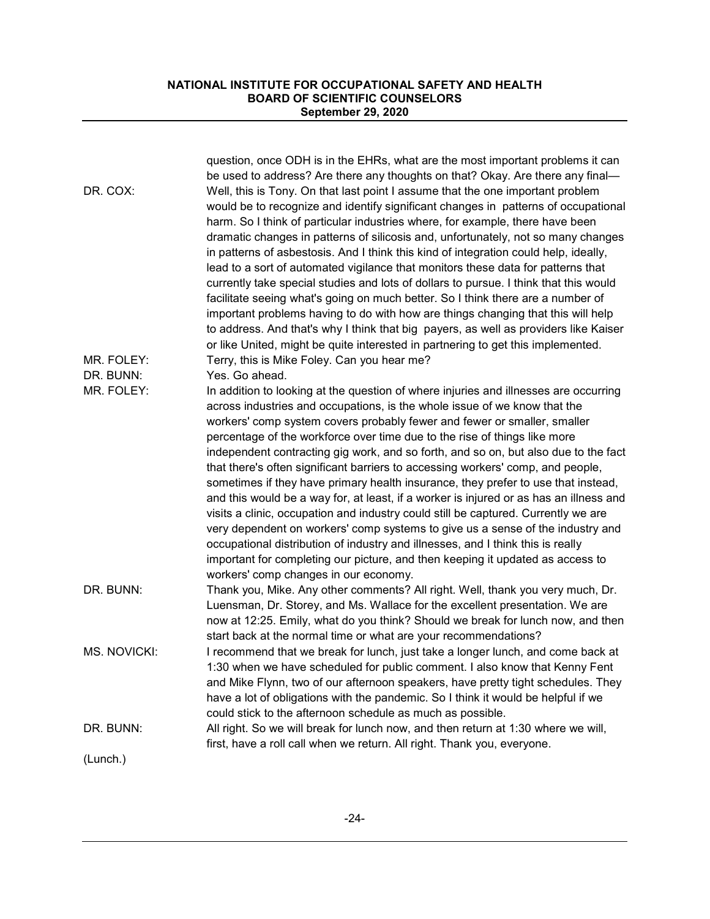| DR. COX:<br>MR. FOLEY:<br>DR. BUNN: | question, once ODH is in the EHRs, what are the most important problems it can<br>be used to address? Are there any thoughts on that? Okay. Are there any final-<br>Well, this is Tony. On that last point I assume that the one important problem<br>would be to recognize and identify significant changes in patterns of occupational<br>harm. So I think of particular industries where, for example, there have been<br>dramatic changes in patterns of silicosis and, unfortunately, not so many changes<br>in patterns of asbestosis. And I think this kind of integration could help, ideally,<br>lead to a sort of automated vigilance that monitors these data for patterns that<br>currently take special studies and lots of dollars to pursue. I think that this would<br>facilitate seeing what's going on much better. So I think there are a number of<br>important problems having to do with how are things changing that this will help<br>to address. And that's why I think that big payers, as well as providers like Kaiser<br>or like United, might be quite interested in partnering to get this implemented.<br>Terry, this is Mike Foley. Can you hear me?<br>Yes. Go ahead. |
|-------------------------------------|---------------------------------------------------------------------------------------------------------------------------------------------------------------------------------------------------------------------------------------------------------------------------------------------------------------------------------------------------------------------------------------------------------------------------------------------------------------------------------------------------------------------------------------------------------------------------------------------------------------------------------------------------------------------------------------------------------------------------------------------------------------------------------------------------------------------------------------------------------------------------------------------------------------------------------------------------------------------------------------------------------------------------------------------------------------------------------------------------------------------------------------------------------------------------------------------------------|
| MR. FOLEY:                          | In addition to looking at the question of where injuries and illnesses are occurring<br>across industries and occupations, is the whole issue of we know that the<br>workers' comp system covers probably fewer and fewer or smaller, smaller<br>percentage of the workforce over time due to the rise of things like more<br>independent contracting gig work, and so forth, and so on, but also due to the fact<br>that there's often significant barriers to accessing workers' comp, and people,<br>sometimes if they have primary health insurance, they prefer to use that instead,<br>and this would be a way for, at least, if a worker is injured or as has an illness and<br>visits a clinic, occupation and industry could still be captured. Currently we are<br>very dependent on workers' comp systems to give us a sense of the industry and<br>occupational distribution of industry and illnesses, and I think this is really<br>important for completing our picture, and then keeping it updated as access to<br>workers' comp changes in our economy.                                                                                                                               |
| DR. BUNN:                           | Thank you, Mike. Any other comments? All right. Well, thank you very much, Dr.<br>Luensman, Dr. Storey, and Ms. Wallace for the excellent presentation. We are<br>now at 12:25. Emily, what do you think? Should we break for lunch now, and then<br>start back at the normal time or what are your recommendations?                                                                                                                                                                                                                                                                                                                                                                                                                                                                                                                                                                                                                                                                                                                                                                                                                                                                                    |
| MS. NOVICKI:                        | I recommend that we break for lunch, just take a longer lunch, and come back at<br>1:30 when we have scheduled for public comment. I also know that Kenny Fent<br>and Mike Flynn, two of our afternoon speakers, have pretty tight schedules. They<br>have a lot of obligations with the pandemic. So I think it would be helpful if we<br>could stick to the afternoon schedule as much as possible.                                                                                                                                                                                                                                                                                                                                                                                                                                                                                                                                                                                                                                                                                                                                                                                                   |
| DR. BUNN:                           | All right. So we will break for lunch now, and then return at 1:30 where we will,<br>first, have a roll call when we return. All right. Thank you, everyone.                                                                                                                                                                                                                                                                                                                                                                                                                                                                                                                                                                                                                                                                                                                                                                                                                                                                                                                                                                                                                                            |
| (Lunch.)                            |                                                                                                                                                                                                                                                                                                                                                                                                                                                                                                                                                                                                                                                                                                                                                                                                                                                                                                                                                                                                                                                                                                                                                                                                         |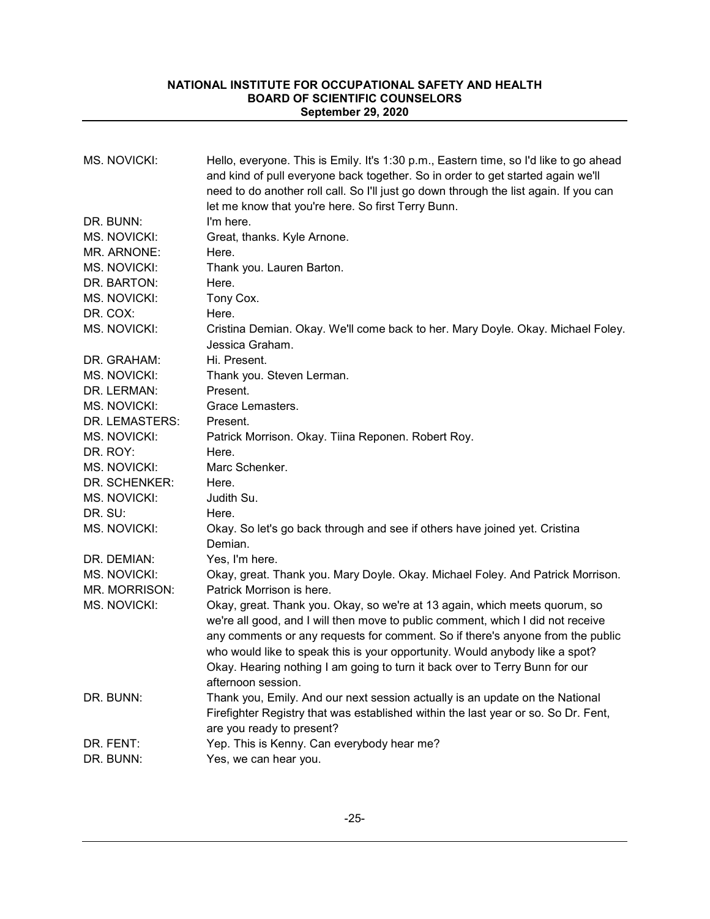| <b>MS. NOVICKI:</b> | Hello, everyone. This is Emily. It's 1:30 p.m., Eastern time, so I'd like to go ahead<br>and kind of pull everyone back together. So in order to get started again we'll<br>need to do another roll call. So I'll just go down through the list again. If you can<br>let me know that you're here. So first Terry Bunn.                                                                                                              |
|---------------------|--------------------------------------------------------------------------------------------------------------------------------------------------------------------------------------------------------------------------------------------------------------------------------------------------------------------------------------------------------------------------------------------------------------------------------------|
| DR. BUNN:           | I'm here.                                                                                                                                                                                                                                                                                                                                                                                                                            |
| <b>MS. NOVICKI:</b> | Great, thanks. Kyle Arnone.                                                                                                                                                                                                                                                                                                                                                                                                          |
| MR. ARNONE:         | Here.                                                                                                                                                                                                                                                                                                                                                                                                                                |
| MS. NOVICKI:        | Thank you. Lauren Barton.                                                                                                                                                                                                                                                                                                                                                                                                            |
| DR. BARTON:         | Here.                                                                                                                                                                                                                                                                                                                                                                                                                                |
| MS. NOVICKI:        | Tony Cox.                                                                                                                                                                                                                                                                                                                                                                                                                            |
| DR. COX:            | Here.                                                                                                                                                                                                                                                                                                                                                                                                                                |
| <b>MS. NOVICKI:</b> | Cristina Demian. Okay. We'll come back to her. Mary Doyle. Okay. Michael Foley.<br>Jessica Graham.                                                                                                                                                                                                                                                                                                                                   |
| DR. GRAHAM:         | Hi. Present.                                                                                                                                                                                                                                                                                                                                                                                                                         |
| <b>MS. NOVICKI:</b> | Thank you. Steven Lerman.                                                                                                                                                                                                                                                                                                                                                                                                            |
| DR. LERMAN:         | Present.                                                                                                                                                                                                                                                                                                                                                                                                                             |
| <b>MS. NOVICKI:</b> | Grace Lemasters.                                                                                                                                                                                                                                                                                                                                                                                                                     |
| DR. LEMASTERS:      | Present.                                                                                                                                                                                                                                                                                                                                                                                                                             |
| <b>MS. NOVICKI:</b> | Patrick Morrison. Okay. Tiina Reponen. Robert Roy.                                                                                                                                                                                                                                                                                                                                                                                   |
| DR. ROY:            | Here.                                                                                                                                                                                                                                                                                                                                                                                                                                |
| <b>MS. NOVICKI:</b> | Marc Schenker.                                                                                                                                                                                                                                                                                                                                                                                                                       |
| DR. SCHENKER:       | Here.                                                                                                                                                                                                                                                                                                                                                                                                                                |
| MS. NOVICKI:        | Judith Su.                                                                                                                                                                                                                                                                                                                                                                                                                           |
| DR. SU:             | Here.                                                                                                                                                                                                                                                                                                                                                                                                                                |
| <b>MS. NOVICKI:</b> | Okay. So let's go back through and see if others have joined yet. Cristina<br>Demian.                                                                                                                                                                                                                                                                                                                                                |
| DR. DEMIAN:         | Yes, I'm here.                                                                                                                                                                                                                                                                                                                                                                                                                       |
| MS. NOVICKI:        | Okay, great. Thank you. Mary Doyle. Okay. Michael Foley. And Patrick Morrison.                                                                                                                                                                                                                                                                                                                                                       |
| MR. MORRISON:       | Patrick Morrison is here.                                                                                                                                                                                                                                                                                                                                                                                                            |
| MS. NOVICKI:        | Okay, great. Thank you. Okay, so we're at 13 again, which meets quorum, so<br>we're all good, and I will then move to public comment, which I did not receive<br>any comments or any requests for comment. So if there's anyone from the public<br>who would like to speak this is your opportunity. Would anybody like a spot?<br>Okay. Hearing nothing I am going to turn it back over to Terry Bunn for our<br>afternoon session. |
| DR. BUNN:           | Thank you, Emily. And our next session actually is an update on the National<br>Firefighter Registry that was established within the last year or so. So Dr. Fent,<br>are you ready to present?                                                                                                                                                                                                                                      |
| DR. FENT:           | Yep. This is Kenny. Can everybody hear me?                                                                                                                                                                                                                                                                                                                                                                                           |
| DR. BUNN:           | Yes, we can hear you.                                                                                                                                                                                                                                                                                                                                                                                                                |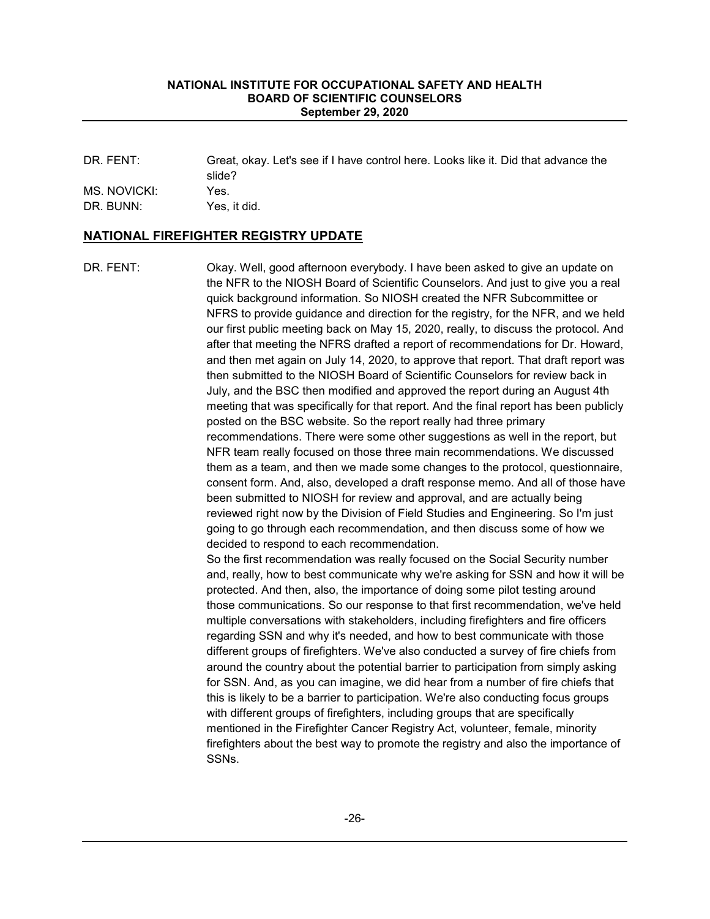DR. FENT: Great, okay. Let's see if I have control here. Looks like it. Did that advance the slide? MS. NOVICKI: Yes.

DR. BUNN: Yes, it did.

## **NATIONAL FIREFIGHTER REGISTRY UPDATE**

DR. FENT: Okay. Well, good afternoon everybody. I have been asked to give an update on the NFR to the NIOSH Board of Scientific Counselors. And just to give you a real quick background information. So NIOSH created the NFR Subcommittee or NFRS to provide guidance and direction for the registry, for the NFR, and we held our first public meeting back on May 15, 2020, really, to discuss the protocol. And after that meeting the NFRS drafted a report of recommendations for Dr. Howard, and then met again on July 14, 2020, to approve that report. That draft report was then submitted to the NIOSH Board of Scientific Counselors for review back in July, and the BSC then modified and approved the report during an August 4th meeting that was specifically for that report. And the final report has been publicly posted on the BSC website. So the report really had three primary recommendations. There were some other suggestions as well in the report, but NFR team really focused on those three main recommendations. We discussed them as a team, and then we made some changes to the protocol, questionnaire, consent form. And, also, developed a draft response memo. And all of those have been submitted to NIOSH for review and approval, and are actually being reviewed right now by the Division of Field Studies and Engineering. So I'm just going to go through each recommendation, and then discuss some of how we decided to respond to each recommendation. So the first recommendation was really focused on the Social Security number and, really, how to best communicate why we're asking for SSN and how it will be protected. And then, also, the importance of doing some pilot testing around those communications. So our response to that first recommendation, we've held multiple conversations with stakeholders, including firefighters and fire officers regarding SSN and why it's needed, and how to best communicate with those different groups of firefighters. We've also conducted a survey of fire chiefs from around the country about the potential barrier to participation from simply asking for SSN. And, as you can imagine, we did hear from a number of fire chiefs that this is likely to be a barrier to participation. We're also conducting focus groups with different groups of firefighters, including groups that are specifically mentioned in the Firefighter Cancer Registry Act, volunteer, female, minority firefighters about the best way to promote the registry and also the importance of SSNs.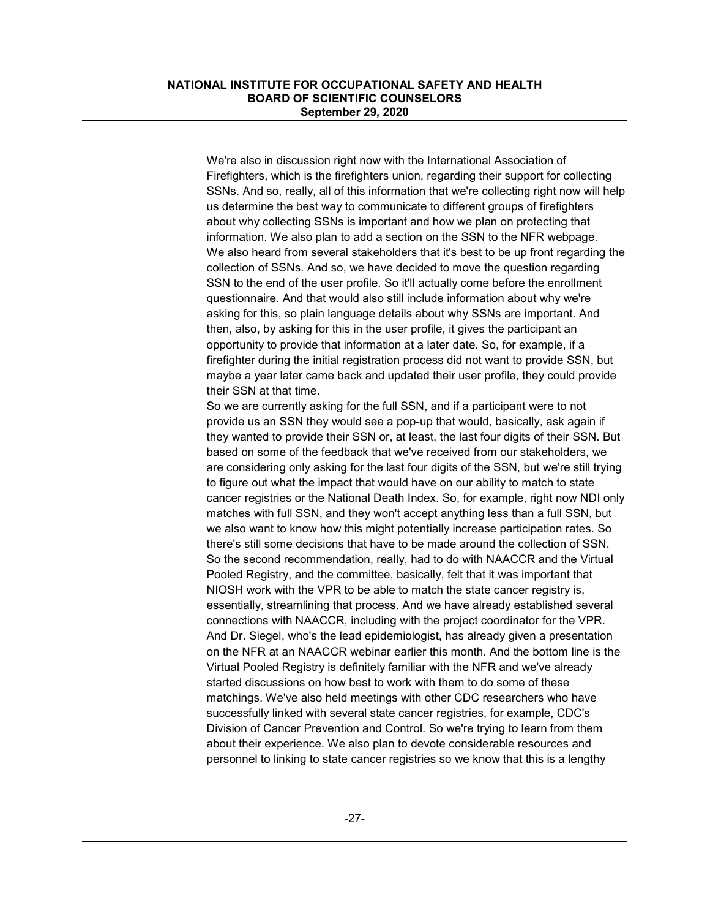We're also in discussion right now with the International Association of Firefighters, which is the firefighters union, regarding their support for collecting SSNs. And so, really, all of this information that we're collecting right now will help us determine the best way to communicate to different groups of firefighters about why collecting SSNs is important and how we plan on protecting that information. We also plan to add a section on the SSN to the NFR webpage. We also heard from several stakeholders that it's best to be up front regarding the collection of SSNs. And so, we have decided to move the question regarding SSN to the end of the user profile. So it'll actually come before the enrollment questionnaire. And that would also still include information about why we're asking for this, so plain language details about why SSNs are important. And then, also, by asking for this in the user profile, it gives the participant an opportunity to provide that information at a later date. So, for example, if a firefighter during the initial registration process did not want to provide SSN, but maybe a year later came back and updated their user profile, they could provide their SSN at that time.

So we are currently asking for the full SSN, and if a participant were to not provide us an SSN they would see a pop-up that would, basically, ask again if they wanted to provide their SSN or, at least, the last four digits of their SSN. But based on some of the feedback that we've received from our stakeholders, we are considering only asking for the last four digits of the SSN, but we're still trying to figure out what the impact that would have on our ability to match to state cancer registries or the National Death Index. So, for example, right now NDI only matches with full SSN, and they won't accept anything less than a full SSN, but we also want to know how this might potentially increase participation rates. So there's still some decisions that have to be made around the collection of SSN. So the second recommendation, really, had to do with NAACCR and the Virtual Pooled Registry, and the committee, basically, felt that it was important that NIOSH work with the VPR to be able to match the state cancer registry is, essentially, streamlining that process. And we have already established several connections with NAACCR, including with the project coordinator for the VPR. And Dr. Siegel, who's the lead epidemiologist, has already given a presentation on the NFR at an NAACCR webinar earlier this month. And the bottom line is the Virtual Pooled Registry is definitely familiar with the NFR and we've already started discussions on how best to work with them to do some of these matchings. We've also held meetings with other CDC researchers who have successfully linked with several state cancer registries, for example, CDC's Division of Cancer Prevention and Control. So we're trying to learn from them about their experience. We also plan to devote considerable resources and personnel to linking to state cancer registries so we know that this is a lengthy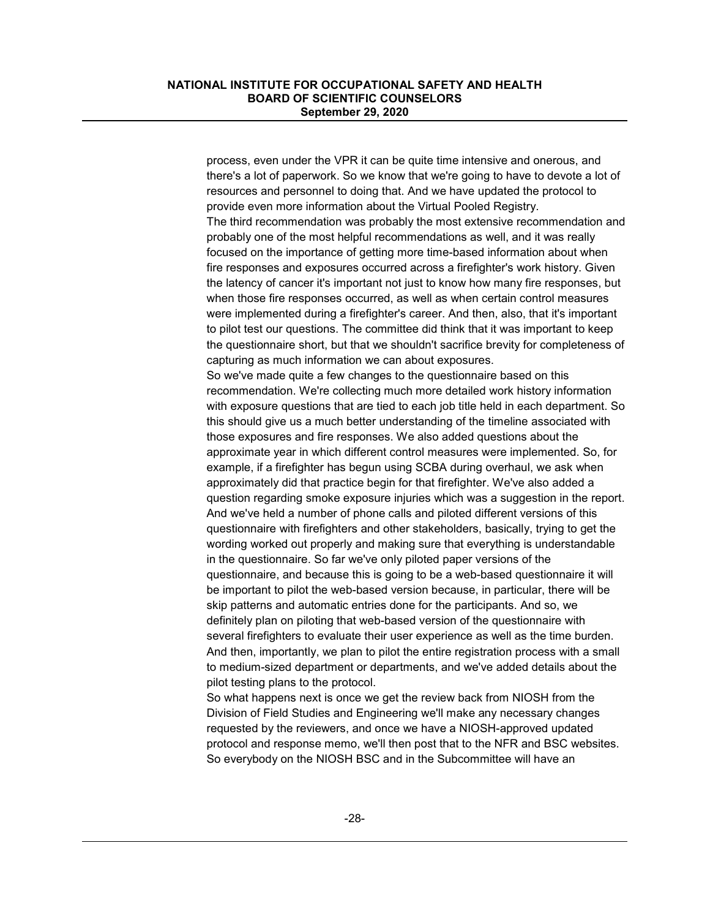process, even under the VPR it can be quite time intensive and onerous, and there's a lot of paperwork. So we know that we're going to have to devote a lot of resources and personnel to doing that. And we have updated the protocol to provide even more information about the Virtual Pooled Registry. The third recommendation was probably the most extensive recommendation and probably one of the most helpful recommendations as well, and it was really focused on the importance of getting more time-based information about when fire responses and exposures occurred across a firefighter's work history. Given the latency of cancer it's important not just to know how many fire responses, but when those fire responses occurred, as well as when certain control measures were implemented during a firefighter's career. And then, also, that it's important to pilot test our questions. The committee did think that it was important to keep the questionnaire short, but that we shouldn't sacrifice brevity for completeness of capturing as much information we can about exposures. So we've made quite a few changes to the questionnaire based on this recommendation. We're collecting much more detailed work history information with exposure questions that are tied to each job title held in each department. So this should give us a much better understanding of the timeline associated with those exposures and fire responses. We also added questions about the approximate year in which different control measures were implemented. So, for example, if a firefighter has begun using SCBA during overhaul, we ask when approximately did that practice begin for that firefighter. We've also added a question regarding smoke exposure injuries which was a suggestion in the report. And we've held a number of phone calls and piloted different versions of this questionnaire with firefighters and other stakeholders, basically, trying to get the wording worked out properly and making sure that everything is understandable in the questionnaire. So far we've only piloted paper versions of the questionnaire, and because this is going to be a web-based questionnaire it will be important to pilot the web-based version because, in particular, there will be skip patterns and automatic entries done for the participants. And so, we definitely plan on piloting that web-based version of the questionnaire with several firefighters to evaluate their user experience as well as the time burden. And then, importantly, we plan to pilot the entire registration process with a small to medium-sized department or departments, and we've added details about the pilot testing plans to the protocol.

So what happens next is once we get the review back from NIOSH from the Division of Field Studies and Engineering we'll make any necessary changes requested by the reviewers, and once we have a NIOSH-approved updated protocol and response memo, we'll then post that to the NFR and BSC websites. So everybody on the NIOSH BSC and in the Subcommittee will have an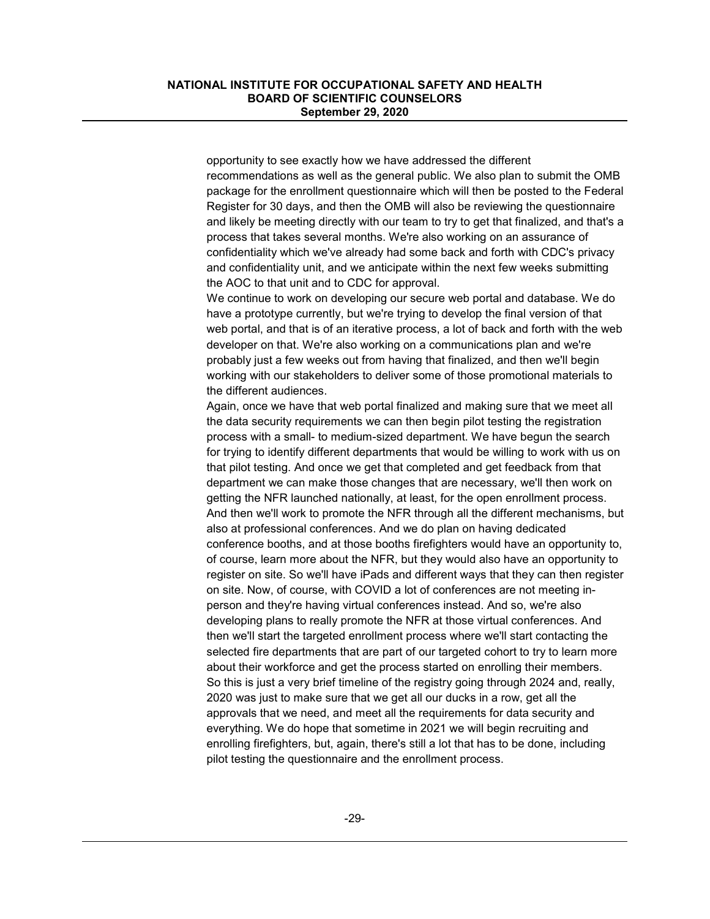opportunity to see exactly how we have addressed the different recommendations as well as the general public. We also plan to submit the OMB package for the enrollment questionnaire which will then be posted to the Federal Register for 30 days, and then the OMB will also be reviewing the questionnaire and likely be meeting directly with our team to try to get that finalized, and that's a process that takes several months. We're also working on an assurance of confidentiality which we've already had some back and forth with CDC's privacy and confidentiality unit, and we anticipate within the next few weeks submitting the AOC to that unit and to CDC for approval.

We continue to work on developing our secure web portal and database. We do have a prototype currently, but we're trying to develop the final version of that web portal, and that is of an iterative process, a lot of back and forth with the web developer on that. We're also working on a communications plan and we're probably just a few weeks out from having that finalized, and then we'll begin working with our stakeholders to deliver some of those promotional materials to the different audiences.

Again, once we have that web portal finalized and making sure that we meet all the data security requirements we can then begin pilot testing the registration process with a small- to medium-sized department. We have begun the search for trying to identify different departments that would be willing to work with us on that pilot testing. And once we get that completed and get feedback from that department we can make those changes that are necessary, we'll then work on getting the NFR launched nationally, at least, for the open enrollment process. And then we'll work to promote the NFR through all the different mechanisms, but also at professional conferences. And we do plan on having dedicated conference booths, and at those booths firefighters would have an opportunity to, of course, learn more about the NFR, but they would also have an opportunity to register on site. So we'll have iPads and different ways that they can then register on site. Now, of course, with COVID a lot of conferences are not meeting inperson and they're having virtual conferences instead. And so, we're also developing plans to really promote the NFR at those virtual conferences. And then we'll start the targeted enrollment process where we'll start contacting the selected fire departments that are part of our targeted cohort to try to learn more about their workforce and get the process started on enrolling their members. So this is just a very brief timeline of the registry going through 2024 and, really, 2020 was just to make sure that we get all our ducks in a row, get all the approvals that we need, and meet all the requirements for data security and everything. We do hope that sometime in 2021 we will begin recruiting and enrolling firefighters, but, again, there's still a lot that has to be done, including pilot testing the questionnaire and the enrollment process.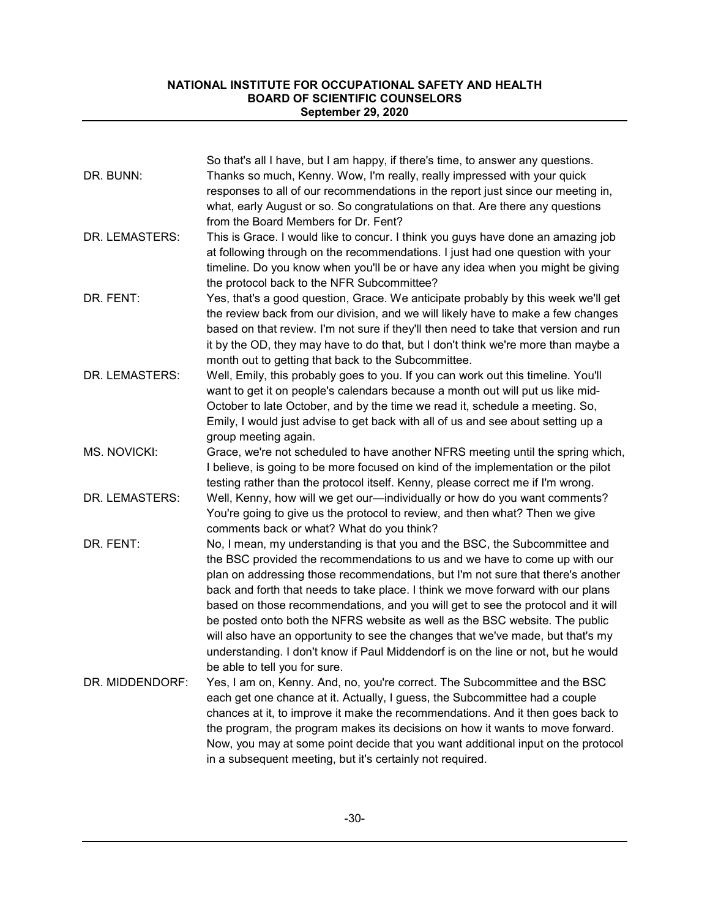| DR. BUNN:       | So that's all I have, but I am happy, if there's time, to answer any questions.<br>Thanks so much, Kenny. Wow, I'm really, really impressed with your quick<br>responses to all of our recommendations in the report just since our meeting in,<br>what, early August or so. So congratulations on that. Are there any questions                                                                                                                                                                                                                                                                                                                                           |
|-----------------|----------------------------------------------------------------------------------------------------------------------------------------------------------------------------------------------------------------------------------------------------------------------------------------------------------------------------------------------------------------------------------------------------------------------------------------------------------------------------------------------------------------------------------------------------------------------------------------------------------------------------------------------------------------------------|
| DR. LEMASTERS:  | from the Board Members for Dr. Fent?<br>This is Grace. I would like to concur. I think you guys have done an amazing job<br>at following through on the recommendations. I just had one question with your<br>timeline. Do you know when you'll be or have any idea when you might be giving                                                                                                                                                                                                                                                                                                                                                                               |
| DR. FENT:       | the protocol back to the NFR Subcommittee?<br>Yes, that's a good question, Grace. We anticipate probably by this week we'll get<br>the review back from our division, and we will likely have to make a few changes<br>based on that review. I'm not sure if they'll then need to take that version and run                                                                                                                                                                                                                                                                                                                                                                |
| DR. LEMASTERS:  | it by the OD, they may have to do that, but I don't think we're more than maybe a<br>month out to getting that back to the Subcommittee.<br>Well, Emily, this probably goes to you. If you can work out this timeline. You'll<br>want to get it on people's calendars because a month out will put us like mid-<br>October to late October, and by the time we read it, schedule a meeting. So,<br>Emily, I would just advise to get back with all of us and see about setting up a                                                                                                                                                                                        |
| MS. NOVICKI:    | group meeting again.<br>Grace, we're not scheduled to have another NFRS meeting until the spring which,<br>I believe, is going to be more focused on kind of the implementation or the pilot<br>testing rather than the protocol itself. Kenny, please correct me if I'm wrong.                                                                                                                                                                                                                                                                                                                                                                                            |
| DR. LEMASTERS:  | Well, Kenny, how will we get our-individually or how do you want comments?<br>You're going to give us the protocol to review, and then what? Then we give<br>comments back or what? What do you think?                                                                                                                                                                                                                                                                                                                                                                                                                                                                     |
| DR. FENT:       | No, I mean, my understanding is that you and the BSC, the Subcommittee and<br>the BSC provided the recommendations to us and we have to come up with our<br>plan on addressing those recommendations, but I'm not sure that there's another<br>back and forth that needs to take place. I think we move forward with our plans<br>based on those recommendations, and you will get to see the protocol and it will<br>be posted onto both the NFRS website as well as the BSC website. The public<br>will also have an opportunity to see the changes that we've made, but that's my<br>understanding. I don't know if Paul Middendorf is on the line or not, but he would |
| DR. MIDDENDORF: | be able to tell you for sure.<br>Yes, I am on, Kenny. And, no, you're correct. The Subcommittee and the BSC<br>each get one chance at it. Actually, I guess, the Subcommittee had a couple<br>chances at it, to improve it make the recommendations. And it then goes back to<br>the program, the program makes its decisions on how it wants to move forward.<br>Now, you may at some point decide that you want additional input on the protocol<br>in a subsequent meeting, but it's certainly not required.                                                                                                                                                            |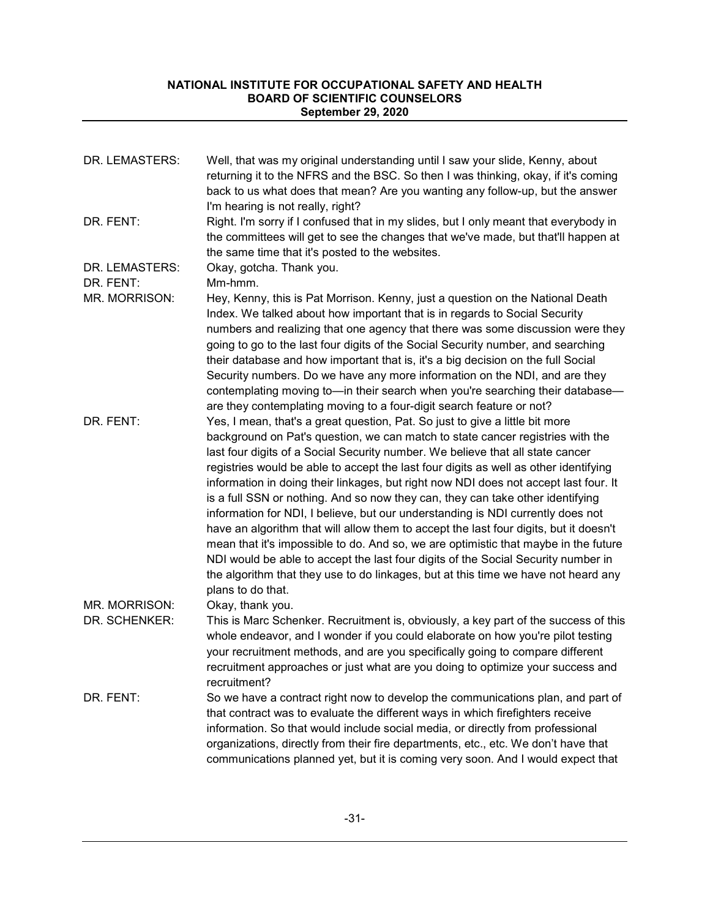| DR. LEMASTERS:                 | Well, that was my original understanding until I saw your slide, Kenny, about<br>returning it to the NFRS and the BSC. So then I was thinking, okay, if it's coming<br>back to us what does that mean? Are you wanting any follow-up, but the answer<br>I'm hearing is not really, right?                                                                                                                                                                                                                                                                                                                                                                                                                                                                                                                                                                                                                                                                                             |
|--------------------------------|---------------------------------------------------------------------------------------------------------------------------------------------------------------------------------------------------------------------------------------------------------------------------------------------------------------------------------------------------------------------------------------------------------------------------------------------------------------------------------------------------------------------------------------------------------------------------------------------------------------------------------------------------------------------------------------------------------------------------------------------------------------------------------------------------------------------------------------------------------------------------------------------------------------------------------------------------------------------------------------|
| DR. FENT:                      | Right. I'm sorry if I confused that in my slides, but I only meant that everybody in<br>the committees will get to see the changes that we've made, but that'll happen at<br>the same time that it's posted to the websites.                                                                                                                                                                                                                                                                                                                                                                                                                                                                                                                                                                                                                                                                                                                                                          |
| DR. LEMASTERS:                 | Okay, gotcha. Thank you.                                                                                                                                                                                                                                                                                                                                                                                                                                                                                                                                                                                                                                                                                                                                                                                                                                                                                                                                                              |
| DR. FENT:<br>MR. MORRISON:     | Mm-hmm.<br>Hey, Kenny, this is Pat Morrison. Kenny, just a question on the National Death<br>Index. We talked about how important that is in regards to Social Security<br>numbers and realizing that one agency that there was some discussion were they<br>going to go to the last four digits of the Social Security number, and searching<br>their database and how important that is, it's a big decision on the full Social<br>Security numbers. Do we have any more information on the NDI, and are they<br>contemplating moving to-in their search when you're searching their database-<br>are they contemplating moving to a four-digit search feature or not?                                                                                                                                                                                                                                                                                                              |
| DR. FENT:                      | Yes, I mean, that's a great question, Pat. So just to give a little bit more<br>background on Pat's question, we can match to state cancer registries with the<br>last four digits of a Social Security number. We believe that all state cancer<br>registries would be able to accept the last four digits as well as other identifying<br>information in doing their linkages, but right now NDI does not accept last four. It<br>is a full SSN or nothing. And so now they can, they can take other identifying<br>information for NDI, I believe, but our understanding is NDI currently does not<br>have an algorithm that will allow them to accept the last four digits, but it doesn't<br>mean that it's impossible to do. And so, we are optimistic that maybe in the future<br>NDI would be able to accept the last four digits of the Social Security number in<br>the algorithm that they use to do linkages, but at this time we have not heard any<br>plans to do that. |
| MR. MORRISON:<br>DR. SCHENKER: | Okay, thank you.<br>This is Marc Schenker. Recruitment is, obviously, a key part of the success of this<br>whole endeavor, and I wonder if you could elaborate on how you're pilot testing<br>your recruitment methods, and are you specifically going to compare different<br>recruitment approaches or just what are you doing to optimize your success and<br>recruitment?                                                                                                                                                                                                                                                                                                                                                                                                                                                                                                                                                                                                         |
| DR. FENT:                      | So we have a contract right now to develop the communications plan, and part of<br>that contract was to evaluate the different ways in which firefighters receive<br>information. So that would include social media, or directly from professional<br>organizations, directly from their fire departments, etc., etc. We don't have that<br>communications planned yet, but it is coming very soon. And I would expect that                                                                                                                                                                                                                                                                                                                                                                                                                                                                                                                                                          |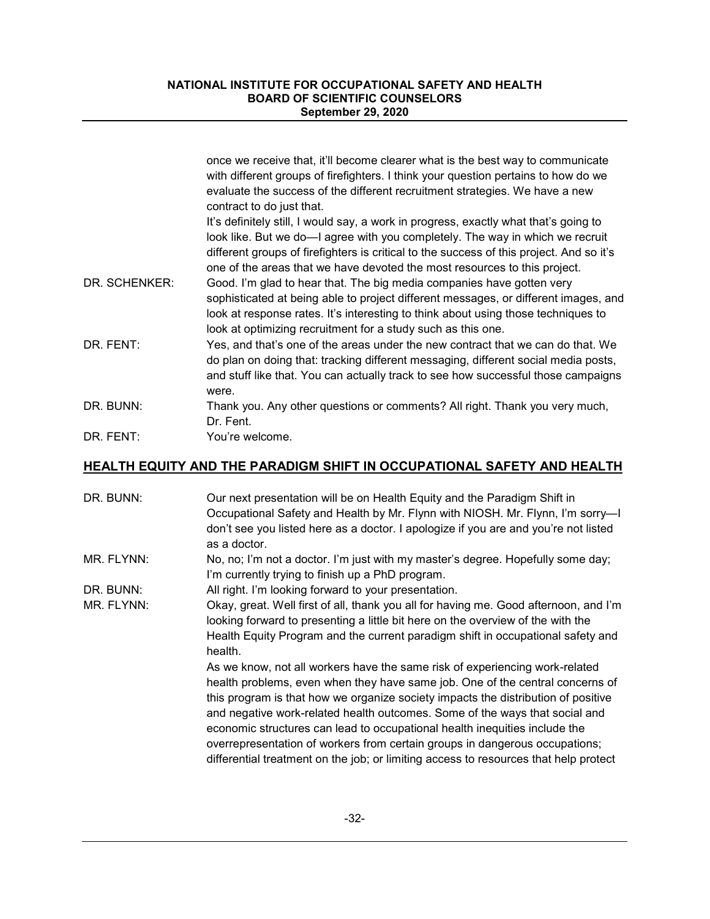|               | once we receive that, it'll become clearer what is the best way to communicate<br>with different groups of firefighters. I think your question pertains to how do we<br>evaluate the success of the different recruitment strategies. We have a new<br>contract to do just that.                                                               |
|---------------|------------------------------------------------------------------------------------------------------------------------------------------------------------------------------------------------------------------------------------------------------------------------------------------------------------------------------------------------|
|               | It's definitely still, I would say, a work in progress, exactly what that's going to<br>look like. But we do—I agree with you completely. The way in which we recruit<br>different groups of firefighters is critical to the success of this project. And so it's<br>one of the areas that we have devoted the most resources to this project. |
| DR. SCHENKER: | Good. I'm glad to hear that. The big media companies have gotten very<br>sophisticated at being able to project different messages, or different images, and<br>look at response rates. It's interesting to think about using those techniques to<br>look at optimizing recruitment for a study such as this one.                              |
| DR. FENT:     | Yes, and that's one of the areas under the new contract that we can do that. We<br>do plan on doing that: tracking different messaging, different social media posts,<br>and stuff like that. You can actually track to see how successful those campaigns<br>were.                                                                            |
| DR. BUNN:     | Thank you. Any other questions or comments? All right. Thank you very much,<br>Dr. Fent.                                                                                                                                                                                                                                                       |
| DR. FENT:     | You're welcome.                                                                                                                                                                                                                                                                                                                                |

## **HEALTH EQUITY AND THE PARADIGM SHIFT IN OCCUPATIONAL SAFETY AND HEALTH**

| DR. BUNN:  | Our next presentation will be on Health Equity and the Paradigm Shift in<br>Occupational Safety and Health by Mr. Flynn with NIOSH. Mr. Flynn, I'm sorry-I<br>don't see you listed here as a doctor. I apologize if you are and you're not listed<br>as a doctor.                                                                                                                                                                                                                                                                                                                     |
|------------|---------------------------------------------------------------------------------------------------------------------------------------------------------------------------------------------------------------------------------------------------------------------------------------------------------------------------------------------------------------------------------------------------------------------------------------------------------------------------------------------------------------------------------------------------------------------------------------|
| MR. FLYNN: | No, no; I'm not a doctor. I'm just with my master's degree. Hopefully some day;<br>I'm currently trying to finish up a PhD program.                                                                                                                                                                                                                                                                                                                                                                                                                                                   |
| DR. BUNN:  | All right. I'm looking forward to your presentation.                                                                                                                                                                                                                                                                                                                                                                                                                                                                                                                                  |
| MR. FLYNN: | Okay, great. Well first of all, thank you all for having me. Good afternoon, and I'm<br>looking forward to presenting a little bit here on the overview of the with the<br>Health Equity Program and the current paradigm shift in occupational safety and<br>health.                                                                                                                                                                                                                                                                                                                 |
|            | As we know, not all workers have the same risk of experiencing work-related<br>health problems, even when they have same job. One of the central concerns of<br>this program is that how we organize society impacts the distribution of positive<br>and negative work-related health outcomes. Some of the ways that social and<br>economic structures can lead to occupational health inequities include the<br>overrepresentation of workers from certain groups in dangerous occupations;<br>differential treatment on the job; or limiting access to resources that help protect |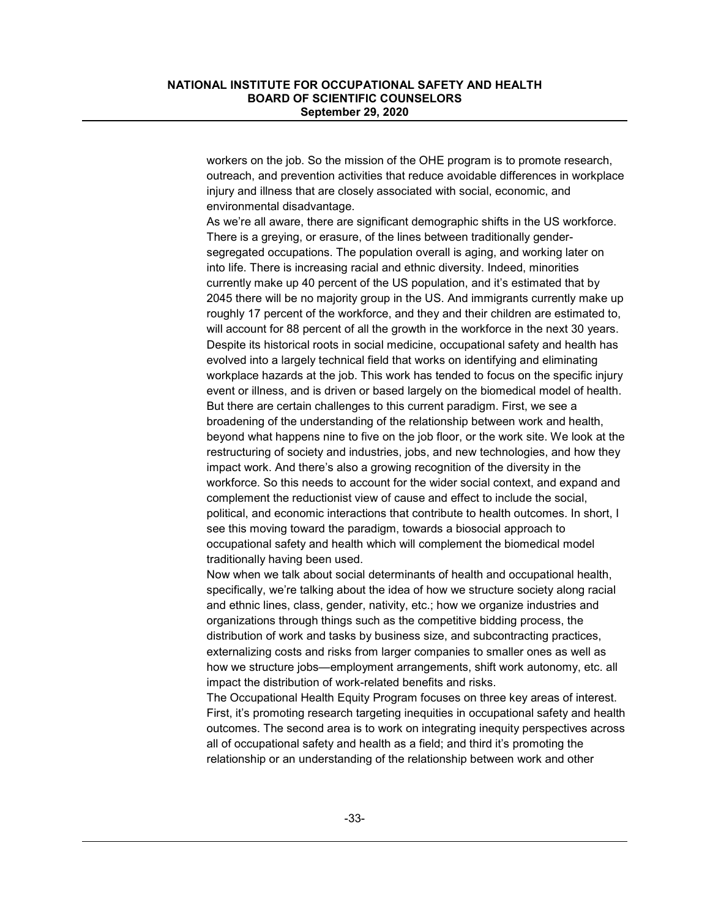workers on the job. So the mission of the OHE program is to promote research, outreach, and prevention activities that reduce avoidable differences in workplace injury and illness that are closely associated with social, economic, and environmental disadvantage.

As we're all aware, there are significant demographic shifts in the US workforce. There is a greying, or erasure, of the lines between traditionally gendersegregated occupations. The population overall is aging, and working later on into life. There is increasing racial and ethnic diversity. Indeed, minorities currently make up 40 percent of the US population, and it's estimated that by 2045 there will be no majority group in the US. And immigrants currently make up roughly 17 percent of the workforce, and they and their children are estimated to, will account for 88 percent of all the growth in the workforce in the next 30 years. Despite its historical roots in social medicine, occupational safety and health has evolved into a largely technical field that works on identifying and eliminating workplace hazards at the job. This work has tended to focus on the specific injury event or illness, and is driven or based largely on the biomedical model of health. But there are certain challenges to this current paradigm. First, we see a broadening of the understanding of the relationship between work and health, beyond what happens nine to five on the job floor, or the work site. We look at the restructuring of society and industries, jobs, and new technologies, and how they impact work. And there's also a growing recognition of the diversity in the workforce. So this needs to account for the wider social context, and expand and complement the reductionist view of cause and effect to include the social, political, and economic interactions that contribute to health outcomes. In short, I see this moving toward the paradigm, towards a biosocial approach to occupational safety and health which will complement the biomedical model traditionally having been used.

Now when we talk about social determinants of health and occupational health, specifically, we're talking about the idea of how we structure society along racial and ethnic lines, class, gender, nativity, etc.; how we organize industries and organizations through things such as the competitive bidding process, the distribution of work and tasks by business size, and subcontracting practices, externalizing costs and risks from larger companies to smaller ones as well as how we structure jobs—employment arrangements, shift work autonomy, etc. all impact the distribution of work-related benefits and risks.

The Occupational Health Equity Program focuses on three key areas of interest. First, it's promoting research targeting inequities in occupational safety and health outcomes. The second area is to work on integrating inequity perspectives across all of occupational safety and health as a field; and third it's promoting the relationship or an understanding of the relationship between work and other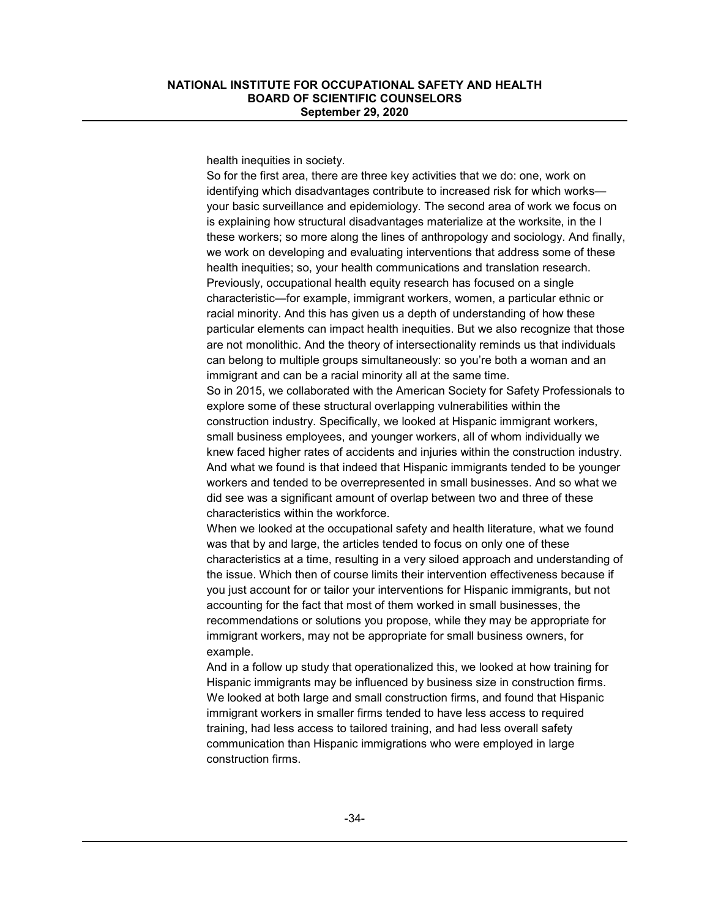health inequities in society.

So for the first area, there are three key activities that we do: one, work on identifying which disadvantages contribute to increased risk for which works your basic surveillance and epidemiology. The second area of work we focus on is explaining how structural disadvantages materialize at the worksite, in the l these workers; so more along the lines of anthropology and sociology. And finally, we work on developing and evaluating interventions that address some of these health inequities; so, your health communications and translation research. Previously, occupational health equity research has focused on a single characteristic—for example, immigrant workers, women, a particular ethnic or racial minority. And this has given us a depth of understanding of how these particular elements can impact health inequities. But we also recognize that those are not monolithic. And the theory of intersectionality reminds us that individuals can belong to multiple groups simultaneously: so you're both a woman and an immigrant and can be a racial minority all at the same time.

So in 2015, we collaborated with the American Society for Safety Professionals to explore some of these structural overlapping vulnerabilities within the construction industry. Specifically, we looked at Hispanic immigrant workers, small business employees, and younger workers, all of whom individually we knew faced higher rates of accidents and injuries within the construction industry. And what we found is that indeed that Hispanic immigrants tended to be younger workers and tended to be overrepresented in small businesses. And so what we did see was a significant amount of overlap between two and three of these characteristics within the workforce.

When we looked at the occupational safety and health literature, what we found was that by and large, the articles tended to focus on only one of these characteristics at a time, resulting in a very siloed approach and understanding of the issue. Which then of course limits their intervention effectiveness because if you just account for or tailor your interventions for Hispanic immigrants, but not accounting for the fact that most of them worked in small businesses, the recommendations or solutions you propose, while they may be appropriate for immigrant workers, may not be appropriate for small business owners, for example.

And in a follow up study that operationalized this, we looked at how training for Hispanic immigrants may be influenced by business size in construction firms. We looked at both large and small construction firms, and found that Hispanic immigrant workers in smaller firms tended to have less access to required training, had less access to tailored training, and had less overall safety communication than Hispanic immigrations who were employed in large construction firms.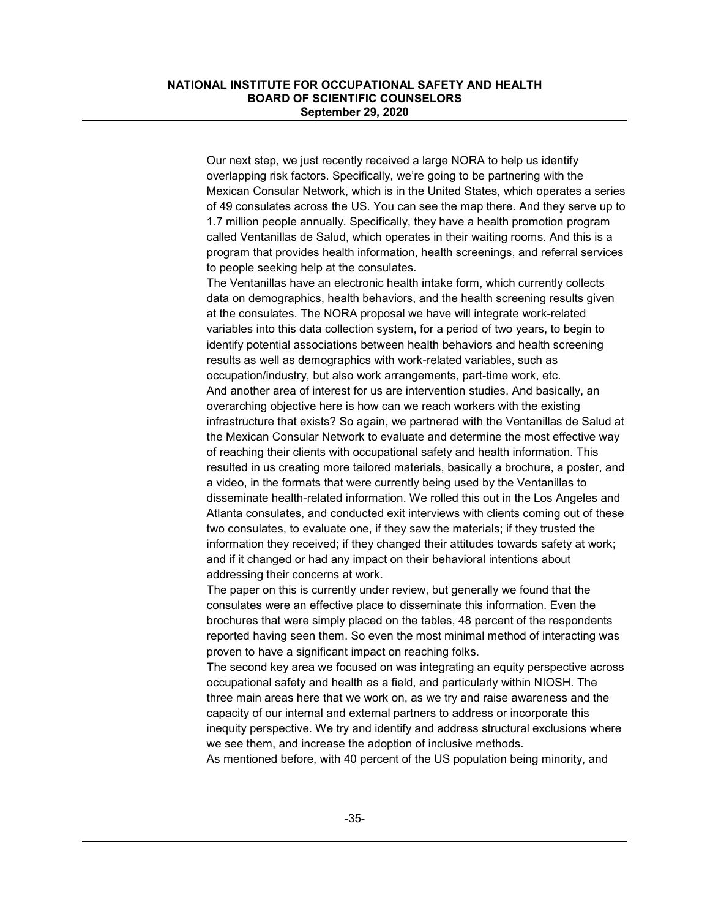Our next step, we just recently received a large NORA to help us identify overlapping risk factors. Specifically, we're going to be partnering with the Mexican Consular Network, which is in the United States, which operates a series of 49 consulates across the US. You can see the map there. And they serve up to 1.7 million people annually. Specifically, they have a health promotion program called Ventanillas de Salud, which operates in their waiting rooms. And this is a program that provides health information, health screenings, and referral services to people seeking help at the consulates.

The Ventanillas have an electronic health intake form, which currently collects data on demographics, health behaviors, and the health screening results given at the consulates. The NORA proposal we have will integrate work-related variables into this data collection system, for a period of two years, to begin to identify potential associations between health behaviors and health screening results as well as demographics with work-related variables, such as occupation/industry, but also work arrangements, part-time work, etc. And another area of interest for us are intervention studies. And basically, an overarching objective here is how can we reach workers with the existing infrastructure that exists? So again, we partnered with the Ventanillas de Salud at the Mexican Consular Network to evaluate and determine the most effective way of reaching their clients with occupational safety and health information. This resulted in us creating more tailored materials, basically a brochure, a poster, and a video, in the formats that were currently being used by the Ventanillas to disseminate health-related information. We rolled this out in the Los Angeles and Atlanta consulates, and conducted exit interviews with clients coming out of these two consulates, to evaluate one, if they saw the materials; if they trusted the information they received; if they changed their attitudes towards safety at work; and if it changed or had any impact on their behavioral intentions about addressing their concerns at work.

The paper on this is currently under review, but generally we found that the consulates were an effective place to disseminate this information. Even the brochures that were simply placed on the tables, 48 percent of the respondents reported having seen them. So even the most minimal method of interacting was proven to have a significant impact on reaching folks.

The second key area we focused on was integrating an equity perspective across occupational safety and health as a field, and particularly within NIOSH. The three main areas here that we work on, as we try and raise awareness and the capacity of our internal and external partners to address or incorporate this inequity perspective. We try and identify and address structural exclusions where we see them, and increase the adoption of inclusive methods.

As mentioned before, with 40 percent of the US population being minority, and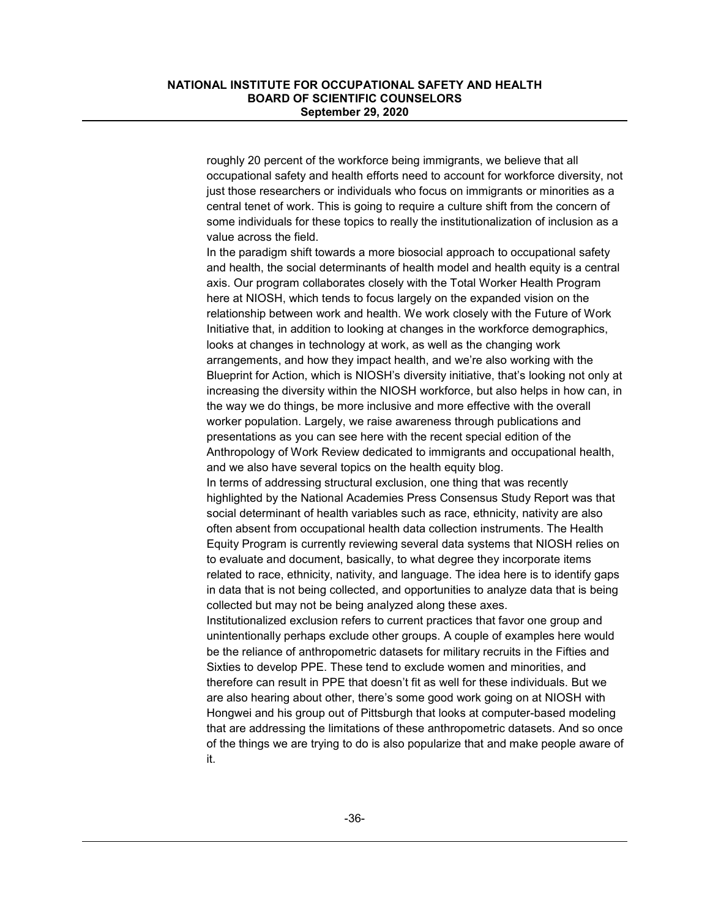roughly 20 percent of the workforce being immigrants, we believe that all occupational safety and health efforts need to account for workforce diversity, not just those researchers or individuals who focus on immigrants or minorities as a central tenet of work. This is going to require a culture shift from the concern of some individuals for these topics to really the institutionalization of inclusion as a value across the field.

In the paradigm shift towards a more biosocial approach to occupational safety and health, the social determinants of health model and health equity is a central axis. Our program collaborates closely with the Total Worker Health Program here at NIOSH, which tends to focus largely on the expanded vision on the relationship between work and health. We work closely with the Future of Work Initiative that, in addition to looking at changes in the workforce demographics, looks at changes in technology at work, as well as the changing work arrangements, and how they impact health, and we're also working with the Blueprint for Action, which is NIOSH's diversity initiative, that's looking not only at increasing the diversity within the NIOSH workforce, but also helps in how can, in the way we do things, be more inclusive and more effective with the overall worker population. Largely, we raise awareness through publications and presentations as you can see here with the recent special edition of the Anthropology of Work Review dedicated to immigrants and occupational health, and we also have several topics on the health equity blog.

In terms of addressing structural exclusion, one thing that was recently highlighted by the National Academies Press Consensus Study Report was that social determinant of health variables such as race, ethnicity, nativity are also often absent from occupational health data collection instruments. The Health Equity Program is currently reviewing several data systems that NIOSH relies on to evaluate and document, basically, to what degree they incorporate items related to race, ethnicity, nativity, and language. The idea here is to identify gaps in data that is not being collected, and opportunities to analyze data that is being collected but may not be being analyzed along these axes.

Institutionalized exclusion refers to current practices that favor one group and unintentionally perhaps exclude other groups. A couple of examples here would be the reliance of anthropometric datasets for military recruits in the Fifties and Sixties to develop PPE. These tend to exclude women and minorities, and therefore can result in PPE that doesn't fit as well for these individuals. But we are also hearing about other, there's some good work going on at NIOSH with Hongwei and his group out of Pittsburgh that looks at computer-based modeling that are addressing the limitations of these anthropometric datasets. And so once of the things we are trying to do is also popularize that and make people aware of it.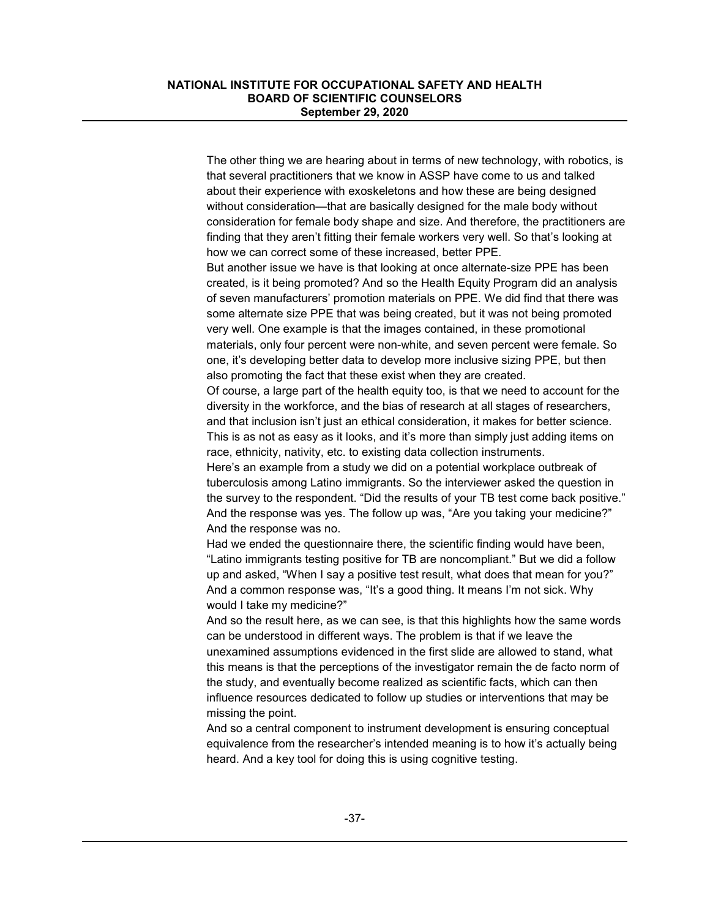The other thing we are hearing about in terms of new technology, with robotics, is that several practitioners that we know in ASSP have come to us and talked about their experience with exoskeletons and how these are being designed without consideration—that are basically designed for the male body without consideration for female body shape and size. And therefore, the practitioners are finding that they aren't fitting their female workers very well. So that's looking at how we can correct some of these increased, better PPE.

But another issue we have is that looking at once alternate-size PPE has been created, is it being promoted? And so the Health Equity Program did an analysis of seven manufacturers' promotion materials on PPE. We did find that there was some alternate size PPE that was being created, but it was not being promoted very well. One example is that the images contained, in these promotional materials, only four percent were non-white, and seven percent were female. So one, it's developing better data to develop more inclusive sizing PPE, but then also promoting the fact that these exist when they are created.

Of course, a large part of the health equity too, is that we need to account for the diversity in the workforce, and the bias of research at all stages of researchers, and that inclusion isn't just an ethical consideration, it makes for better science. This is as not as easy as it looks, and it's more than simply just adding items on race, ethnicity, nativity, etc. to existing data collection instruments.

Here's an example from a study we did on a potential workplace outbreak of tuberculosis among Latino immigrants. So the interviewer asked the question in the survey to the respondent. "Did the results of your TB test come back positive." And the response was yes. The follow up was, "Are you taking your medicine?" And the response was no.

Had we ended the questionnaire there, the scientific finding would have been, "Latino immigrants testing positive for TB are noncompliant." But we did a follow up and asked, "When I say a positive test result, what does that mean for you?" And a common response was, "It's a good thing. It means I'm not sick. Why would I take my medicine?"

And so the result here, as we can see, is that this highlights how the same words can be understood in different ways. The problem is that if we leave the unexamined assumptions evidenced in the first slide are allowed to stand, what this means is that the perceptions of the investigator remain the de facto norm of the study, and eventually become realized as scientific facts, which can then influence resources dedicated to follow up studies or interventions that may be missing the point.

And so a central component to instrument development is ensuring conceptual equivalence from the researcher's intended meaning is to how it's actually being heard. And a key tool for doing this is using cognitive testing.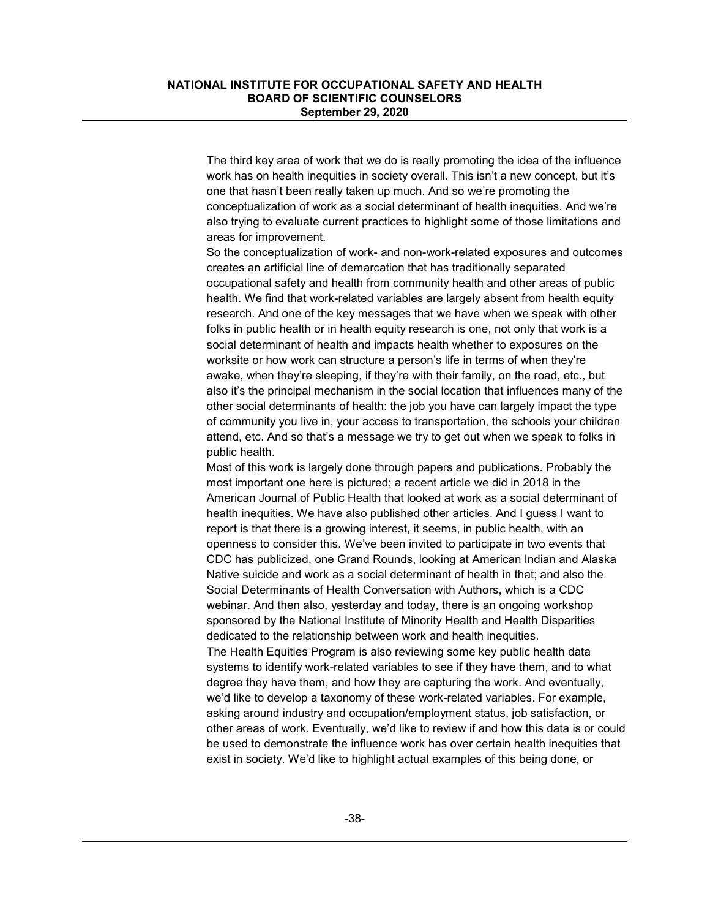The third key area of work that we do is really promoting the idea of the influence work has on health inequities in society overall. This isn't a new concept, but it's one that hasn't been really taken up much. And so we're promoting the conceptualization of work as a social determinant of health inequities. And we're also trying to evaluate current practices to highlight some of those limitations and areas for improvement.

So the conceptualization of work- and non-work-related exposures and outcomes creates an artificial line of demarcation that has traditionally separated occupational safety and health from community health and other areas of public health. We find that work-related variables are largely absent from health equity research. And one of the key messages that we have when we speak with other folks in public health or in health equity research is one, not only that work is a social determinant of health and impacts health whether to exposures on the worksite or how work can structure a person's life in terms of when they're awake, when they're sleeping, if they're with their family, on the road, etc., but also it's the principal mechanism in the social location that influences many of the other social determinants of health: the job you have can largely impact the type of community you live in, your access to transportation, the schools your children attend, etc. And so that's a message we try to get out when we speak to folks in public health.

Most of this work is largely done through papers and publications. Probably the most important one here is pictured; a recent article we did in 2018 in the American Journal of Public Health that looked at work as a social determinant of health inequities. We have also published other articles. And I guess I want to report is that there is a growing interest, it seems, in public health, with an openness to consider this. We've been invited to participate in two events that CDC has publicized, one Grand Rounds, looking at American Indian and Alaska Native suicide and work as a social determinant of health in that; and also the Social Determinants of Health Conversation with Authors, which is a CDC webinar. And then also, yesterday and today, there is an ongoing workshop sponsored by the National Institute of Minority Health and Health Disparities dedicated to the relationship between work and health inequities. The Health Equities Program is also reviewing some key public health data systems to identify work-related variables to see if they have them, and to what

degree they have them, and how they are capturing the work. And eventually, we'd like to develop a taxonomy of these work-related variables. For example, asking around industry and occupation/employment status, job satisfaction, or other areas of work. Eventually, we'd like to review if and how this data is or could be used to demonstrate the influence work has over certain health inequities that exist in society. We'd like to highlight actual examples of this being done, or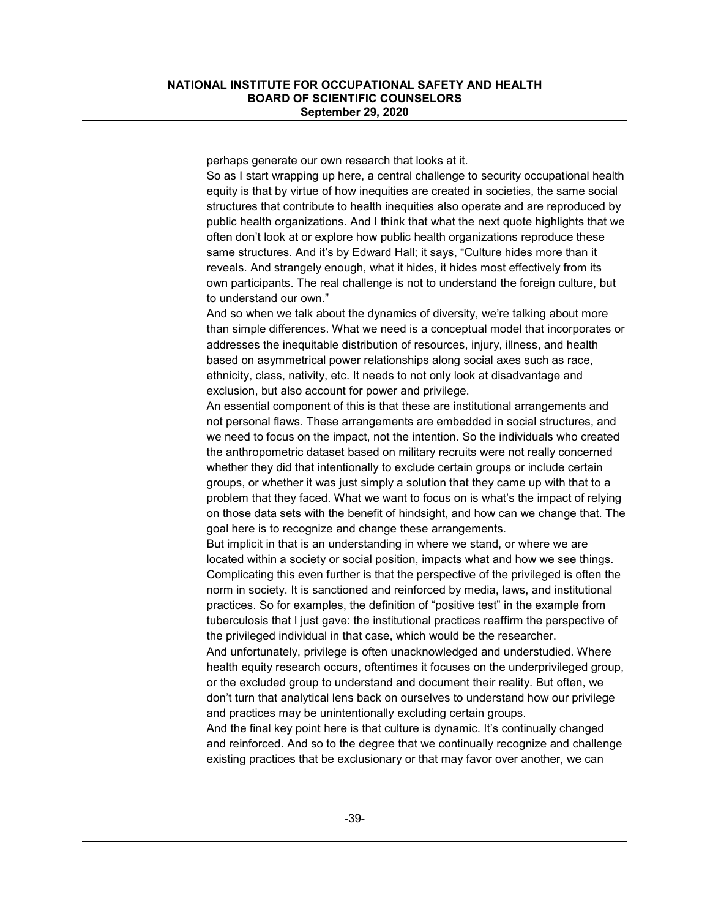perhaps generate our own research that looks at it.

So as I start wrapping up here, a central challenge to security occupational health equity is that by virtue of how inequities are created in societies, the same social structures that contribute to health inequities also operate and are reproduced by public health organizations. And I think that what the next quote highlights that we often don't look at or explore how public health organizations reproduce these same structures. And it's by Edward Hall; it says, "Culture hides more than it reveals. And strangely enough, what it hides, it hides most effectively from its own participants. The real challenge is not to understand the foreign culture, but to understand our own."

And so when we talk about the dynamics of diversity, we're talking about more than simple differences. What we need is a conceptual model that incorporates or addresses the inequitable distribution of resources, injury, illness, and health based on asymmetrical power relationships along social axes such as race, ethnicity, class, nativity, etc. It needs to not only look at disadvantage and exclusion, but also account for power and privilege.

An essential component of this is that these are institutional arrangements and not personal flaws. These arrangements are embedded in social structures, and we need to focus on the impact, not the intention. So the individuals who created the anthropometric dataset based on military recruits were not really concerned whether they did that intentionally to exclude certain groups or include certain groups, or whether it was just simply a solution that they came up with that to a problem that they faced. What we want to focus on is what's the impact of relying on those data sets with the benefit of hindsight, and how can we change that. The goal here is to recognize and change these arrangements.

But implicit in that is an understanding in where we stand, or where we are located within a society or social position, impacts what and how we see things. Complicating this even further is that the perspective of the privileged is often the norm in society. It is sanctioned and reinforced by media, laws, and institutional practices. So for examples, the definition of "positive test" in the example from tuberculosis that I just gave: the institutional practices reaffirm the perspective of the privileged individual in that case, which would be the researcher.

And unfortunately, privilege is often unacknowledged and understudied. Where health equity research occurs, oftentimes it focuses on the underprivileged group, or the excluded group to understand and document their reality. But often, we don't turn that analytical lens back on ourselves to understand how our privilege and practices may be unintentionally excluding certain groups.

And the final key point here is that culture is dynamic. It's continually changed and reinforced. And so to the degree that we continually recognize and challenge existing practices that be exclusionary or that may favor over another, we can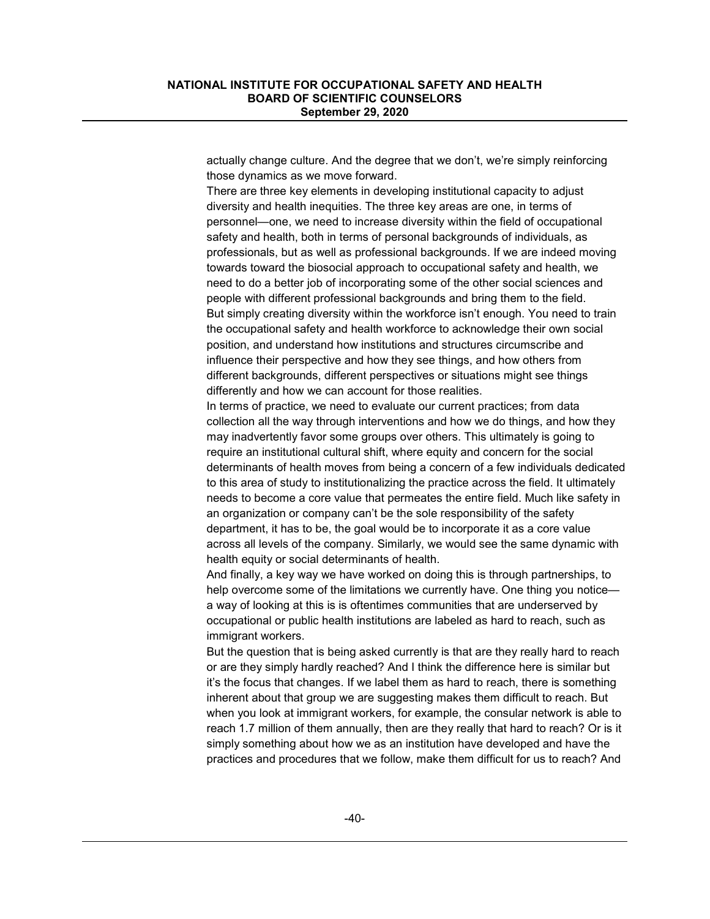actually change culture. And the degree that we don't, we're simply reinforcing those dynamics as we move forward.

There are three key elements in developing institutional capacity to adjust diversity and health inequities. The three key areas are one, in terms of personnel—one, we need to increase diversity within the field of occupational safety and health, both in terms of personal backgrounds of individuals, as professionals, but as well as professional backgrounds. If we are indeed moving towards toward the biosocial approach to occupational safety and health, we need to do a better job of incorporating some of the other social sciences and people with different professional backgrounds and bring them to the field. But simply creating diversity within the workforce isn't enough. You need to train the occupational safety and health workforce to acknowledge their own social position, and understand how institutions and structures circumscribe and influence their perspective and how they see things, and how others from different backgrounds, different perspectives or situations might see things differently and how we can account for those realities.

In terms of practice, we need to evaluate our current practices; from data collection all the way through interventions and how we do things, and how they may inadvertently favor some groups over others. This ultimately is going to require an institutional cultural shift, where equity and concern for the social determinants of health moves from being a concern of a few individuals dedicated to this area of study to institutionalizing the practice across the field. It ultimately needs to become a core value that permeates the entire field. Much like safety in an organization or company can't be the sole responsibility of the safety department, it has to be, the goal would be to incorporate it as a core value across all levels of the company. Similarly, we would see the same dynamic with health equity or social determinants of health.

And finally, a key way we have worked on doing this is through partnerships, to help overcome some of the limitations we currently have. One thing you notice a way of looking at this is is oftentimes communities that are underserved by occupational or public health institutions are labeled as hard to reach, such as immigrant workers.

But the question that is being asked currently is that are they really hard to reach or are they simply hardly reached? And I think the difference here is similar but it's the focus that changes. If we label them as hard to reach, there is something inherent about that group we are suggesting makes them difficult to reach. But when you look at immigrant workers, for example, the consular network is able to reach 1.7 million of them annually, then are they really that hard to reach? Or is it simply something about how we as an institution have developed and have the practices and procedures that we follow, make them difficult for us to reach? And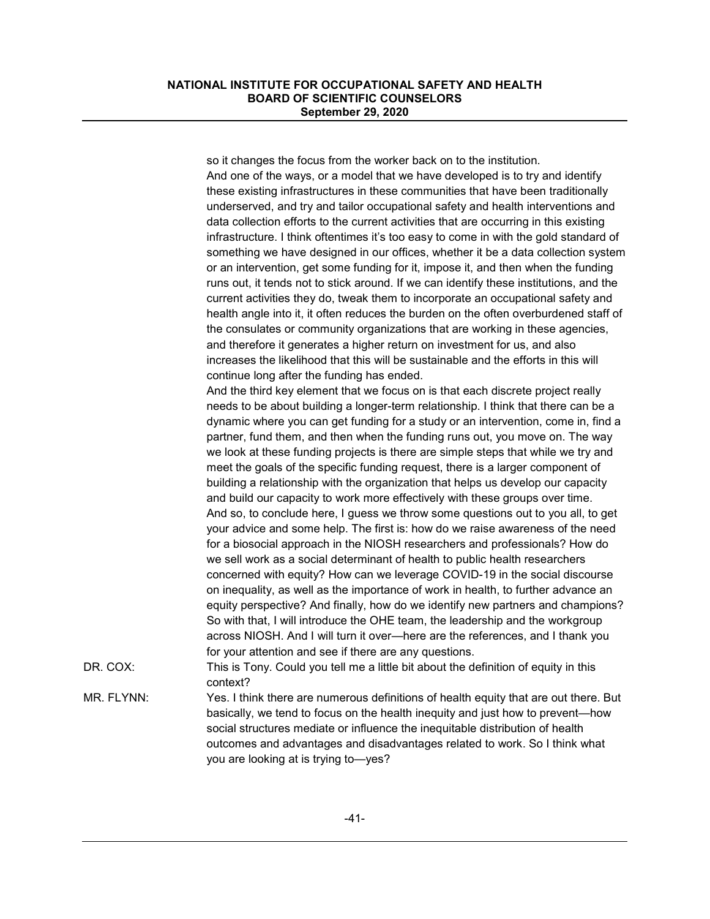so it changes the focus from the worker back on to the institution. And one of the ways, or a model that we have developed is to try and identify these existing infrastructures in these communities that have been traditionally underserved, and try and tailor occupational safety and health interventions and data collection efforts to the current activities that are occurring in this existing infrastructure. I think oftentimes it's too easy to come in with the gold standard of something we have designed in our offices, whether it be a data collection system or an intervention, get some funding for it, impose it, and then when the funding runs out, it tends not to stick around. If we can identify these institutions, and the current activities they do, tweak them to incorporate an occupational safety and health angle into it, it often reduces the burden on the often overburdened staff of the consulates or community organizations that are working in these agencies, and therefore it generates a higher return on investment for us, and also increases the likelihood that this will be sustainable and the efforts in this will continue long after the funding has ended. And the third key element that we focus on is that each discrete project really needs to be about building a longer-term relationship. I think that there can be a dynamic where you can get funding for a study or an intervention, come in, find a partner, fund them, and then when the funding runs out, you move on. The way we look at these funding projects is there are simple steps that while we try and meet the goals of the specific funding request, there is a larger component of building a relationship with the organization that helps us develop our capacity and build our capacity to work more effectively with these groups over time. And so, to conclude here, I guess we throw some questions out to you all, to get your advice and some help. The first is: how do we raise awareness of the need for a biosocial approach in the NIOSH researchers and professionals? How do we sell work as a social determinant of health to public health researchers concerned with equity? How can we leverage COVID-19 in the social discourse on inequality, as well as the importance of work in health, to further advance an equity perspective? And finally, how do we identify new partners and champions? So with that, I will introduce the OHE team, the leadership and the workgroup across NIOSH. And I will turn it over—here are the references, and I thank you for your attention and see if there are any questions. DR. COX: This is Tony. Could you tell me a little bit about the definition of equity in this context? MR. FLYNN: Yes. I think there are numerous definitions of health equity that are out there. But basically, we tend to focus on the health inequity and just how to prevent—how social structures mediate or influence the inequitable distribution of health outcomes and advantages and disadvantages related to work. So I think what you are looking at is trying to—yes?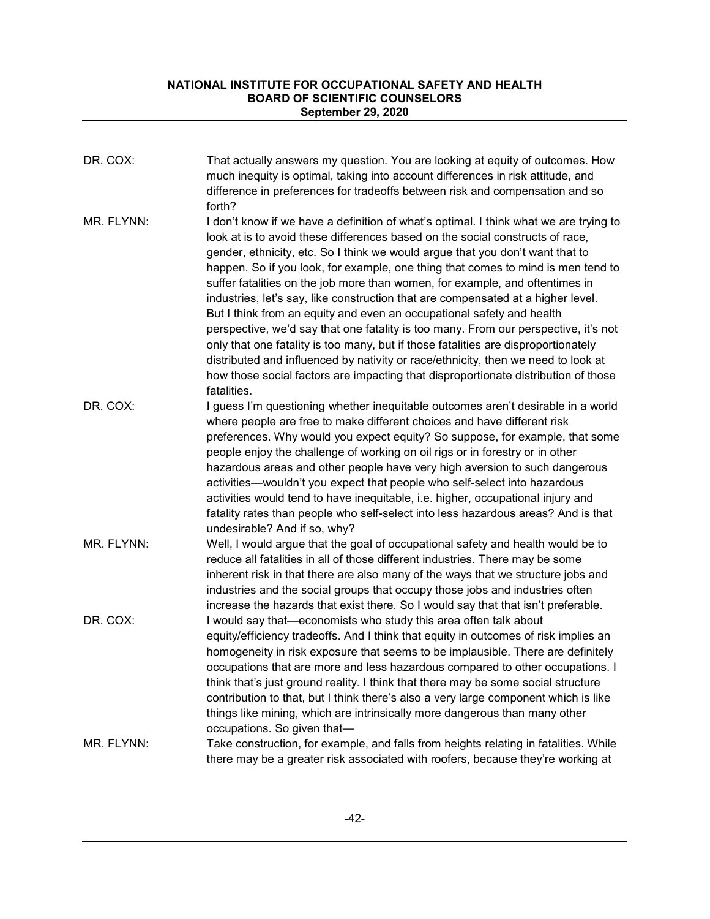| DR. COX:   | That actually answers my question. You are looking at equity of outcomes. How<br>much inequity is optimal, taking into account differences in risk attitude, and<br>difference in preferences for tradeoffs between risk and compensation and so<br>forth?                                                                                                                                                                                                                                                                                                                                                                                                                                                                                                                                                                                                                                                                                                      |
|------------|-----------------------------------------------------------------------------------------------------------------------------------------------------------------------------------------------------------------------------------------------------------------------------------------------------------------------------------------------------------------------------------------------------------------------------------------------------------------------------------------------------------------------------------------------------------------------------------------------------------------------------------------------------------------------------------------------------------------------------------------------------------------------------------------------------------------------------------------------------------------------------------------------------------------------------------------------------------------|
| MR. FLYNN: | I don't know if we have a definition of what's optimal. I think what we are trying to<br>look at is to avoid these differences based on the social constructs of race,<br>gender, ethnicity, etc. So I think we would argue that you don't want that to<br>happen. So if you look, for example, one thing that comes to mind is men tend to<br>suffer fatalities on the job more than women, for example, and oftentimes in<br>industries, let's say, like construction that are compensated at a higher level.<br>But I think from an equity and even an occupational safety and health<br>perspective, we'd say that one fatality is too many. From our perspective, it's not<br>only that one fatality is too many, but if those fatalities are disproportionately<br>distributed and influenced by nativity or race/ethnicity, then we need to look at<br>how those social factors are impacting that disproportionate distribution of those<br>fatalities. |
| DR. COX:   | I guess I'm questioning whether inequitable outcomes aren't desirable in a world<br>where people are free to make different choices and have different risk<br>preferences. Why would you expect equity? So suppose, for example, that some<br>people enjoy the challenge of working on oil rigs or in forestry or in other<br>hazardous areas and other people have very high aversion to such dangerous<br>activities-wouldn't you expect that people who self-select into hazardous<br>activities would tend to have inequitable, i.e. higher, occupational injury and<br>fatality rates than people who self-select into less hazardous areas? And is that<br>undesirable? And if so, why?                                                                                                                                                                                                                                                                  |
| MR. FLYNN: | Well, I would argue that the goal of occupational safety and health would be to<br>reduce all fatalities in all of those different industries. There may be some<br>inherent risk in that there are also many of the ways that we structure jobs and<br>industries and the social groups that occupy those jobs and industries often<br>increase the hazards that exist there. So I would say that that isn't preferable.                                                                                                                                                                                                                                                                                                                                                                                                                                                                                                                                       |
| DR. COX:   | I would say that—economists who study this area often talk about<br>equity/efficiency tradeoffs. And I think that equity in outcomes of risk implies an<br>homogeneity in risk exposure that seems to be implausible. There are definitely<br>occupations that are more and less hazardous compared to other occupations. I<br>think that's just ground reality. I think that there may be some social structure<br>contribution to that, but I think there's also a very large component which is like<br>things like mining, which are intrinsically more dangerous than many other<br>occupations. So given that-                                                                                                                                                                                                                                                                                                                                            |
| MR. FLYNN: | Take construction, for example, and falls from heights relating in fatalities. While<br>there may be a greater risk associated with roofers, because they're working at                                                                                                                                                                                                                                                                                                                                                                                                                                                                                                                                                                                                                                                                                                                                                                                         |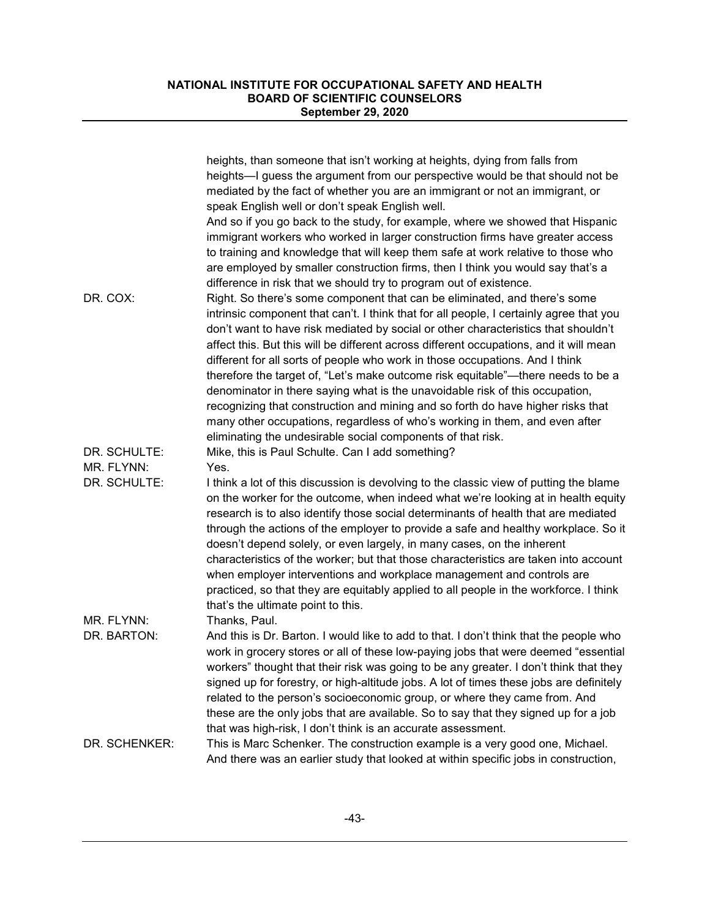|               | heights, than someone that isn't working at heights, dying from falls from<br>heights—I guess the argument from our perspective would be that should not be<br>mediated by the fact of whether you are an immigrant or not an immigrant, or                                                                                                          |
|---------------|------------------------------------------------------------------------------------------------------------------------------------------------------------------------------------------------------------------------------------------------------------------------------------------------------------------------------------------------------|
|               | speak English well or don't speak English well.                                                                                                                                                                                                                                                                                                      |
|               | And so if you go back to the study, for example, where we showed that Hispanic<br>immigrant workers who worked in larger construction firms have greater access<br>to training and knowledge that will keep them safe at work relative to those who                                                                                                  |
|               | are employed by smaller construction firms, then I think you would say that's a                                                                                                                                                                                                                                                                      |
|               | difference in risk that we should try to program out of existence.                                                                                                                                                                                                                                                                                   |
| DR. COX:      | Right. So there's some component that can be eliminated, and there's some<br>intrinsic component that can't. I think that for all people, I certainly agree that you<br>don't want to have risk mediated by social or other characteristics that shouldn't<br>affect this. But this will be different across different occupations, and it will mean |
|               | different for all sorts of people who work in those occupations. And I think<br>therefore the target of, "Let's make outcome risk equitable"—there needs to be a                                                                                                                                                                                     |
|               | denominator in there saying what is the unavoidable risk of this occupation,<br>recognizing that construction and mining and so forth do have higher risks that                                                                                                                                                                                      |
|               | many other occupations, regardless of who's working in them, and even after<br>eliminating the undesirable social components of that risk.                                                                                                                                                                                                           |
| DR. SCHULTE:  | Mike, this is Paul Schulte. Can I add something?                                                                                                                                                                                                                                                                                                     |
| MR. FLYNN:    | Yes.                                                                                                                                                                                                                                                                                                                                                 |
| DR. SCHULTE:  | I think a lot of this discussion is devolving to the classic view of putting the blame<br>on the worker for the outcome, when indeed what we're looking at in health equity<br>research is to also identify those social determinants of health that are mediated                                                                                    |
|               | through the actions of the employer to provide a safe and healthy workplace. So it<br>doesn't depend solely, or even largely, in many cases, on the inherent<br>characteristics of the worker; but that those characteristics are taken into account                                                                                                 |
|               | when employer interventions and workplace management and controls are<br>practiced, so that they are equitably applied to all people in the workforce. I think<br>that's the ultimate point to this.                                                                                                                                                 |
| MR. FLYNN:    | Thanks, Paul.                                                                                                                                                                                                                                                                                                                                        |
| DR. BARTON:   | And this is Dr. Barton. I would like to add to that. I don't think that the people who                                                                                                                                                                                                                                                               |
|               | work in grocery stores or all of these low-paying jobs that were deemed "essential<br>workers" thought that their risk was going to be any greater. I don't think that they<br>signed up for forestry, or high-altitude jobs. A lot of times these jobs are definitely<br>related to the person's socioeconomic group, or where they came from. And  |
|               | these are the only jobs that are available. So to say that they signed up for a job                                                                                                                                                                                                                                                                  |
| DR. SCHENKER: | that was high-risk, I don't think is an accurate assessment.<br>This is Marc Schenker. The construction example is a very good one, Michael.                                                                                                                                                                                                         |
|               | And there was an earlier study that looked at within specific jobs in construction,                                                                                                                                                                                                                                                                  |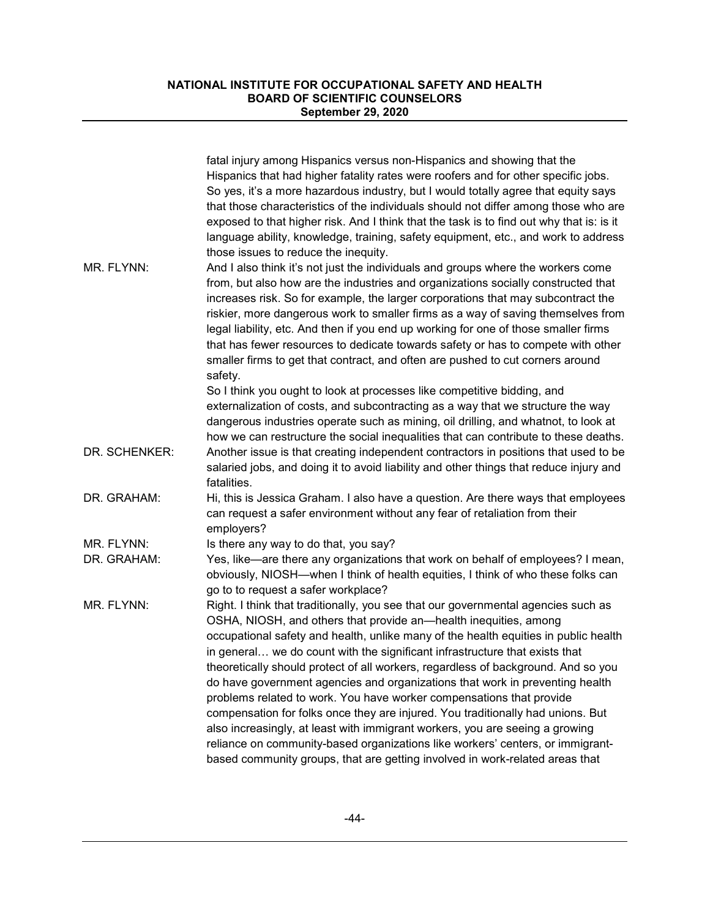|               | fatal injury among Hispanics versus non-Hispanics and showing that the<br>Hispanics that had higher fatality rates were roofers and for other specific jobs.<br>So yes, it's a more hazardous industry, but I would totally agree that equity says<br>that those characteristics of the individuals should not differ among those who are<br>exposed to that higher risk. And I think that the task is to find out why that is: is it<br>language ability, knowledge, training, safety equipment, etc., and work to address<br>those issues to reduce the inequity.                                                                                                                                                                                                                                                                                                                                           |
|---------------|---------------------------------------------------------------------------------------------------------------------------------------------------------------------------------------------------------------------------------------------------------------------------------------------------------------------------------------------------------------------------------------------------------------------------------------------------------------------------------------------------------------------------------------------------------------------------------------------------------------------------------------------------------------------------------------------------------------------------------------------------------------------------------------------------------------------------------------------------------------------------------------------------------------|
| MR. FLYNN:    | And I also think it's not just the individuals and groups where the workers come<br>from, but also how are the industries and organizations socially constructed that<br>increases risk. So for example, the larger corporations that may subcontract the<br>riskier, more dangerous work to smaller firms as a way of saving themselves from<br>legal liability, etc. And then if you end up working for one of those smaller firms<br>that has fewer resources to dedicate towards safety or has to compete with other<br>smaller firms to get that contract, and often are pushed to cut corners around<br>safety.                                                                                                                                                                                                                                                                                         |
|               | So I think you ought to look at processes like competitive bidding, and<br>externalization of costs, and subcontracting as a way that we structure the way<br>dangerous industries operate such as mining, oil drilling, and whatnot, to look at<br>how we can restructure the social inequalities that can contribute to these deaths.                                                                                                                                                                                                                                                                                                                                                                                                                                                                                                                                                                       |
| DR. SCHENKER: | Another issue is that creating independent contractors in positions that used to be<br>salaried jobs, and doing it to avoid liability and other things that reduce injury and<br>fatalities.                                                                                                                                                                                                                                                                                                                                                                                                                                                                                                                                                                                                                                                                                                                  |
| DR. GRAHAM:   | Hi, this is Jessica Graham. I also have a question. Are there ways that employees<br>can request a safer environment without any fear of retaliation from their<br>employers?                                                                                                                                                                                                                                                                                                                                                                                                                                                                                                                                                                                                                                                                                                                                 |
| MR. FLYNN:    | Is there any way to do that, you say?                                                                                                                                                                                                                                                                                                                                                                                                                                                                                                                                                                                                                                                                                                                                                                                                                                                                         |
| DR. GRAHAM:   | Yes, like—are there any organizations that work on behalf of employees? I mean,<br>obviously, NIOSH—when I think of health equities, I think of who these folks can<br>go to to request a safer workplace?                                                                                                                                                                                                                                                                                                                                                                                                                                                                                                                                                                                                                                                                                                    |
| MR. FLYNN:    | Right. I think that traditionally, you see that our governmental agencies such as<br>OSHA, NIOSH, and others that provide an—health inequities, among<br>occupational safety and health, unlike many of the health equities in public health<br>in general we do count with the significant infrastructure that exists that<br>theoretically should protect of all workers, regardless of background. And so you<br>do have government agencies and organizations that work in preventing health<br>problems related to work. You have worker compensations that provide<br>compensation for folks once they are injured. You traditionally had unions. But<br>also increasingly, at least with immigrant workers, you are seeing a growing<br>reliance on community-based organizations like workers' centers, or immigrant-<br>based community groups, that are getting involved in work-related areas that |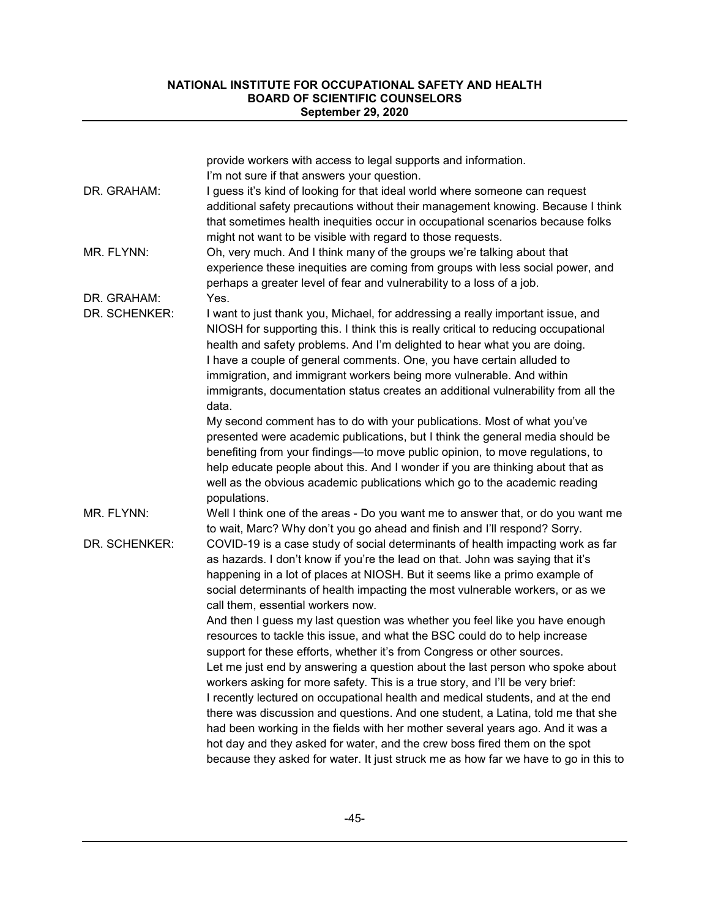|               | provide workers with access to legal supports and information.<br>I'm not sure if that answers your question.                                                                                                                                                                                                                                                                                                                                                                                      |
|---------------|----------------------------------------------------------------------------------------------------------------------------------------------------------------------------------------------------------------------------------------------------------------------------------------------------------------------------------------------------------------------------------------------------------------------------------------------------------------------------------------------------|
| DR. GRAHAM:   | I guess it's kind of looking for that ideal world where someone can request<br>additional safety precautions without their management knowing. Because I think<br>that sometimes health inequities occur in occupational scenarios because folks<br>might not want to be visible with regard to those requests.                                                                                                                                                                                    |
| MR. FLYNN:    | Oh, very much. And I think many of the groups we're talking about that<br>experience these inequities are coming from groups with less social power, and<br>perhaps a greater level of fear and vulnerability to a loss of a job.                                                                                                                                                                                                                                                                  |
| DR. GRAHAM:   | Yes.                                                                                                                                                                                                                                                                                                                                                                                                                                                                                               |
| DR. SCHENKER: | I want to just thank you, Michael, for addressing a really important issue, and<br>NIOSH for supporting this. I think this is really critical to reducing occupational<br>health and safety problems. And I'm delighted to hear what you are doing.<br>I have a couple of general comments. One, you have certain alluded to<br>immigration, and immigrant workers being more vulnerable. And within<br>immigrants, documentation status creates an additional vulnerability from all the<br>data. |
|               | My second comment has to do with your publications. Most of what you've<br>presented were academic publications, but I think the general media should be<br>benefiting from your findings-to move public opinion, to move regulations, to<br>help educate people about this. And I wonder if you are thinking about that as<br>well as the obvious academic publications which go to the academic reading<br>populations.                                                                          |
| MR. FLYNN:    | Well I think one of the areas - Do you want me to answer that, or do you want me<br>to wait, Marc? Why don't you go ahead and finish and I'll respond? Sorry.                                                                                                                                                                                                                                                                                                                                      |
| DR. SCHENKER: | COVID-19 is a case study of social determinants of health impacting work as far<br>as hazards. I don't know if you're the lead on that. John was saying that it's<br>happening in a lot of places at NIOSH. But it seems like a primo example of<br>social determinants of health impacting the most vulnerable workers, or as we<br>call them, essential workers now.                                                                                                                             |
|               | And then I guess my last question was whether you feel like you have enough<br>resources to tackle this issue, and what the BSC could do to help increase<br>support for these efforts, whether it's from Congress or other sources.                                                                                                                                                                                                                                                               |
|               | Let me just end by answering a question about the last person who spoke about<br>workers asking for more safety. This is a true story, and I'll be very brief:                                                                                                                                                                                                                                                                                                                                     |
|               | I recently lectured on occupational health and medical students, and at the end<br>there was discussion and questions. And one student, a Latina, told me that she                                                                                                                                                                                                                                                                                                                                 |
|               | had been working in the fields with her mother several years ago. And it was a<br>hot day and they asked for water, and the crew boss fired them on the spot                                                                                                                                                                                                                                                                                                                                       |
|               | because they asked for water. It just struck me as how far we have to go in this to                                                                                                                                                                                                                                                                                                                                                                                                                |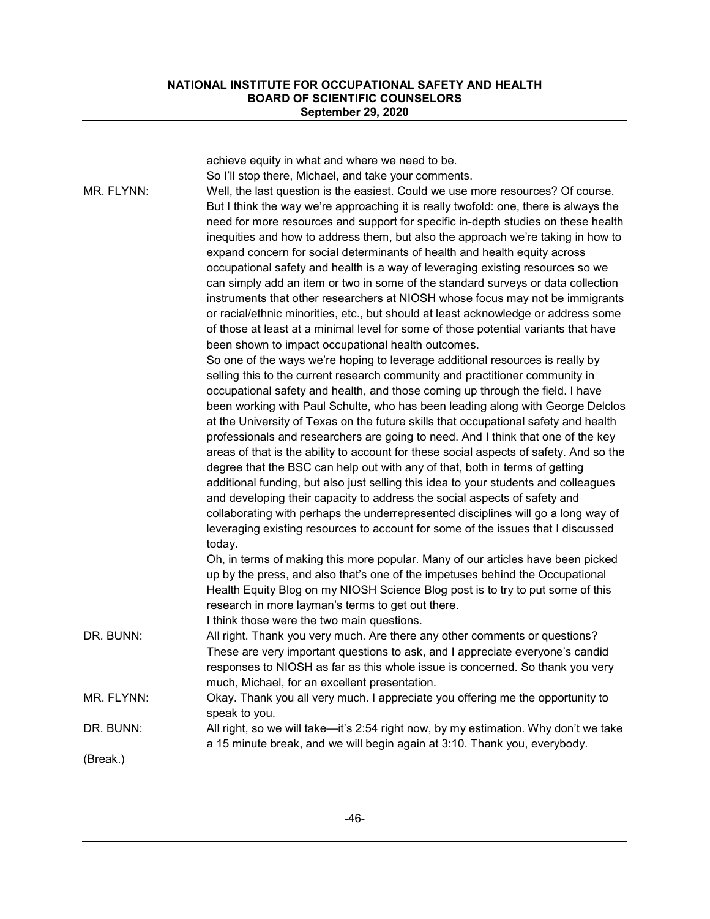| MR. FLYNN: | achieve equity in what and where we need to be.<br>So I'll stop there, Michael, and take your comments.<br>Well, the last question is the easiest. Could we use more resources? Of course.<br>But I think the way we're approaching it is really twofold: one, there is always the<br>need for more resources and support for specific in-depth studies on these health<br>inequities and how to address them, but also the approach we're taking in how to<br>expand concern for social determinants of health and health equity across<br>occupational safety and health is a way of leveraging existing resources so we<br>can simply add an item or two in some of the standard surveys or data collection |
|------------|----------------------------------------------------------------------------------------------------------------------------------------------------------------------------------------------------------------------------------------------------------------------------------------------------------------------------------------------------------------------------------------------------------------------------------------------------------------------------------------------------------------------------------------------------------------------------------------------------------------------------------------------------------------------------------------------------------------|
|            | instruments that other researchers at NIOSH whose focus may not be immigrants<br>or racial/ethnic minorities, etc., but should at least acknowledge or address some<br>of those at least at a minimal level for some of those potential variants that have<br>been shown to impact occupational health outcomes.                                                                                                                                                                                                                                                                                                                                                                                               |
|            | So one of the ways we're hoping to leverage additional resources is really by<br>selling this to the current research community and practitioner community in<br>occupational safety and health, and those coming up through the field. I have                                                                                                                                                                                                                                                                                                                                                                                                                                                                 |
|            | been working with Paul Schulte, who has been leading along with George Delclos<br>at the University of Texas on the future skills that occupational safety and health<br>professionals and researchers are going to need. And I think that one of the key<br>areas of that is the ability to account for these social aspects of safety. And so the<br>degree that the BSC can help out with any of that, both in terms of getting                                                                                                                                                                                                                                                                             |
|            | additional funding, but also just selling this idea to your students and colleagues<br>and developing their capacity to address the social aspects of safety and<br>collaborating with perhaps the underrepresented disciplines will go a long way of<br>leveraging existing resources to account for some of the issues that I discussed<br>today.                                                                                                                                                                                                                                                                                                                                                            |
|            | Oh, in terms of making this more popular. Many of our articles have been picked<br>up by the press, and also that's one of the impetuses behind the Occupational<br>Health Equity Blog on my NIOSH Science Blog post is to try to put some of this<br>research in more layman's terms to get out there.<br>I think those were the two main questions.                                                                                                                                                                                                                                                                                                                                                          |
| DR. BUNN:  | All right. Thank you very much. Are there any other comments or questions?<br>These are very important questions to ask, and I appreciate everyone's candid<br>responses to NIOSH as far as this whole issue is concerned. So thank you very<br>much, Michael, for an excellent presentation.                                                                                                                                                                                                                                                                                                                                                                                                                  |
| MR. FLYNN: | Okay. Thank you all very much. I appreciate you offering me the opportunity to<br>speak to you.                                                                                                                                                                                                                                                                                                                                                                                                                                                                                                                                                                                                                |
| DR. BUNN:  | All right, so we will take—it's 2:54 right now, by my estimation. Why don't we take<br>a 15 minute break, and we will begin again at 3:10. Thank you, everybody.                                                                                                                                                                                                                                                                                                                                                                                                                                                                                                                                               |
| (Break.)   |                                                                                                                                                                                                                                                                                                                                                                                                                                                                                                                                                                                                                                                                                                                |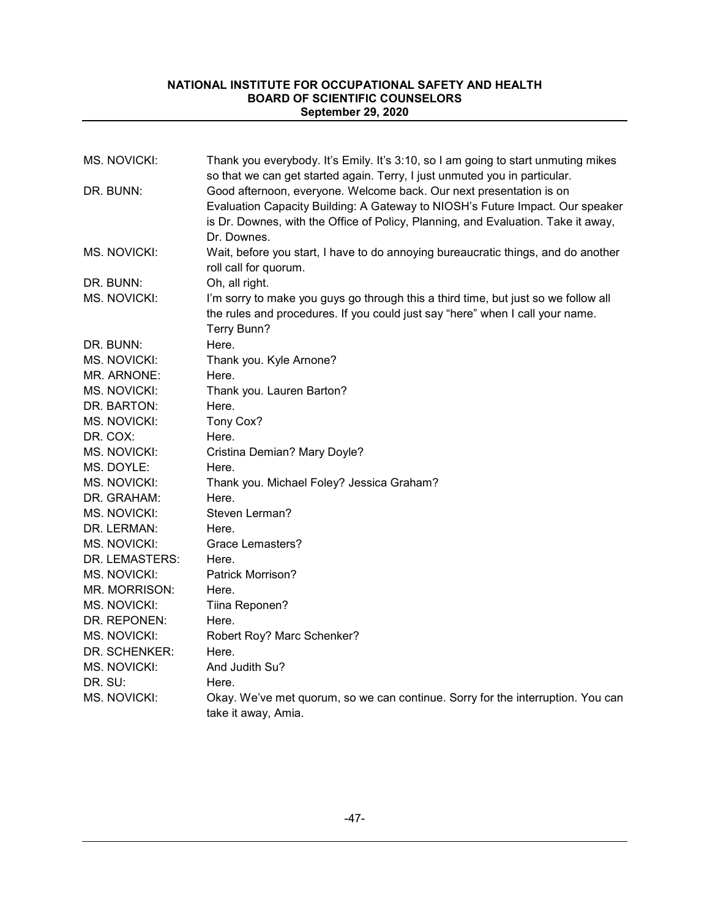| <b>MS. NOVICKI:</b> | Thank you everybody. It's Emily. It's 3:10, so I am going to start unmuting mikes<br>so that we can get started again. Terry, I just unmuted you in particular. |
|---------------------|-----------------------------------------------------------------------------------------------------------------------------------------------------------------|
| DR. BUNN:           | Good afternoon, everyone. Welcome back. Our next presentation is on                                                                                             |
|                     | Evaluation Capacity Building: A Gateway to NIOSH's Future Impact. Our speaker                                                                                   |
|                     | is Dr. Downes, with the Office of Policy, Planning, and Evaluation. Take it away,                                                                               |
|                     | Dr. Downes.                                                                                                                                                     |
| MS. NOVICKI:        | Wait, before you start, I have to do annoying bureaucratic things, and do another                                                                               |
|                     | roll call for quorum.                                                                                                                                           |
| DR. BUNN:           | Oh, all right.                                                                                                                                                  |
| MS. NOVICKI:        | I'm sorry to make you guys go through this a third time, but just so we follow all                                                                              |
|                     | the rules and procedures. If you could just say "here" when I call your name.                                                                                   |
|                     | Terry Bunn?                                                                                                                                                     |
| DR. BUNN:           | Here.                                                                                                                                                           |
| <b>MS. NOVICKI:</b> | Thank you. Kyle Arnone?                                                                                                                                         |
| MR. ARNONE:         | Here.                                                                                                                                                           |
| MS. NOVICKI:        | Thank you. Lauren Barton?                                                                                                                                       |
| DR. BARTON:         | Here.                                                                                                                                                           |
| MS. NOVICKI:        | Tony Cox?                                                                                                                                                       |
| DR. COX:            | Here.                                                                                                                                                           |
| <b>MS. NOVICKI:</b> | Cristina Demian? Mary Doyle?                                                                                                                                    |
| MS. DOYLE:          | Here.                                                                                                                                                           |
| MS. NOVICKI:        | Thank you. Michael Foley? Jessica Graham?                                                                                                                       |
| DR. GRAHAM:         | Here.                                                                                                                                                           |
| <b>MS. NOVICKI:</b> | Steven Lerman?                                                                                                                                                  |
| DR. LERMAN:         | Here.                                                                                                                                                           |
| MS. NOVICKI:        | <b>Grace Lemasters?</b>                                                                                                                                         |
| DR. LEMASTERS:      | Here.                                                                                                                                                           |
| MS. NOVICKI:        | Patrick Morrison?                                                                                                                                               |
| MR. MORRISON:       | Here.                                                                                                                                                           |
| <b>MS. NOVICKI:</b> | Tiina Reponen?                                                                                                                                                  |
| DR. REPONEN:        | Here.                                                                                                                                                           |
| MS. NOVICKI:        | Robert Roy? Marc Schenker?                                                                                                                                      |
| DR. SCHENKER:       | Here.                                                                                                                                                           |
| MS. NOVICKI:        | And Judith Su?                                                                                                                                                  |
| DR. SU:             | Here.                                                                                                                                                           |
| MS. NOVICKI:        | Okay. We've met quorum, so we can continue. Sorry for the interruption. You can                                                                                 |
|                     | take it away, Amia.                                                                                                                                             |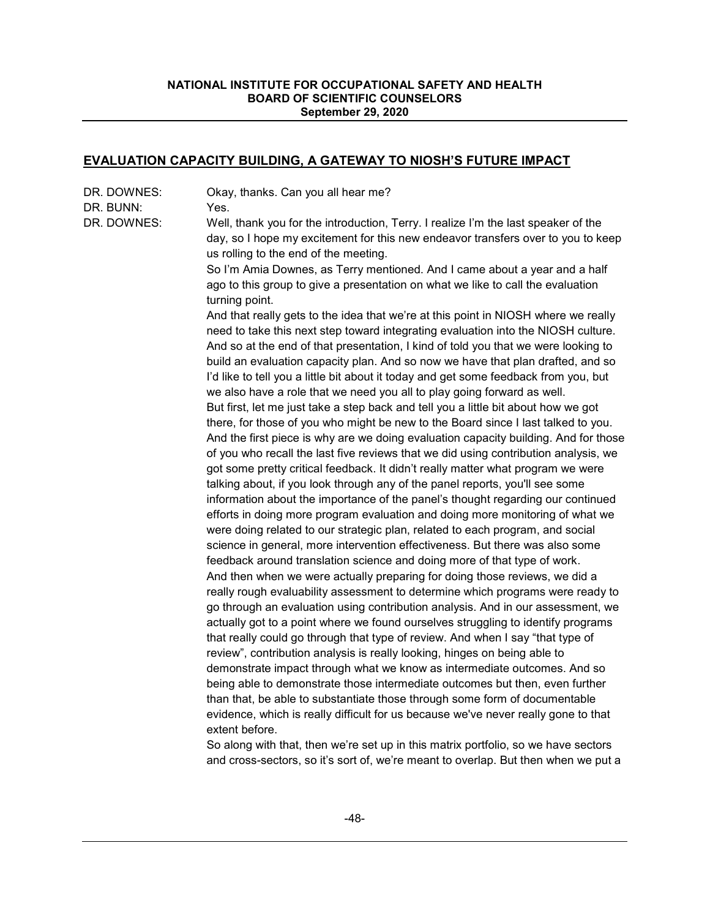## **EVALUATION CAPACITY BUILDING, A GATEWAY TO NIOSH'S FUTURE IMPACT**

| DR. DOWNES:<br>DR. BUNN: | Okay, thanks. Can you all hear me?<br>Yes.                                                                                                                                                                                                                                                                                                         |
|--------------------------|----------------------------------------------------------------------------------------------------------------------------------------------------------------------------------------------------------------------------------------------------------------------------------------------------------------------------------------------------|
| DR. DOWNES:              | Well, thank you for the introduction, Terry. I realize I'm the last speaker of the<br>day, so I hope my excitement for this new endeavor transfers over to you to keep<br>us rolling to the end of the meeting.                                                                                                                                    |
|                          | So I'm Amia Downes, as Terry mentioned. And I came about a year and a half<br>ago to this group to give a presentation on what we like to call the evaluation<br>turning point.                                                                                                                                                                    |
|                          | And that really gets to the idea that we're at this point in NIOSH where we really<br>need to take this next step toward integrating evaluation into the NIOSH culture.<br>And so at the end of that presentation, I kind of told you that we were looking to<br>build an evaluation capacity plan. And so now we have that plan drafted, and so   |
|                          | I'd like to tell you a little bit about it today and get some feedback from you, but<br>we also have a role that we need you all to play going forward as well.<br>But first, let me just take a step back and tell you a little bit about how we got                                                                                              |
|                          | there, for those of you who might be new to the Board since I last talked to you.<br>And the first piece is why are we doing evaluation capacity building. And for those<br>of you who recall the last five reviews that we did using contribution analysis, we<br>got some pretty critical feedback. It didn't really matter what program we were |
|                          | talking about, if you look through any of the panel reports, you'll see some<br>information about the importance of the panel's thought regarding our continued<br>efforts in doing more program evaluation and doing more monitoring of what we<br>were doing related to our strategic plan, related to each program, and social                  |
|                          | science in general, more intervention effectiveness. But there was also some<br>feedback around translation science and doing more of that type of work.<br>And then when we were actually preparing for doing those reviews, we did a                                                                                                             |
|                          | really rough evaluability assessment to determine which programs were ready to<br>go through an evaluation using contribution analysis. And in our assessment, we<br>actually got to a point where we found ourselves struggling to identify programs<br>that really could go through that type of review. And when I say "that type of            |
|                          | review", contribution analysis is really looking, hinges on being able to<br>demonstrate impact through what we know as intermediate outcomes. And so                                                                                                                                                                                              |
|                          | being able to demonstrate those intermediate outcomes but then, even further<br>than that, be able to substantiate those through some form of documentable<br>evidence, which is really difficult for us because we've never really gone to that<br>extent before.                                                                                 |
|                          |                                                                                                                                                                                                                                                                                                                                                    |

So along with that, then we're set up in this matrix portfolio, so we have sectors and cross-sectors, so it's sort of, we're meant to overlap. But then when we put a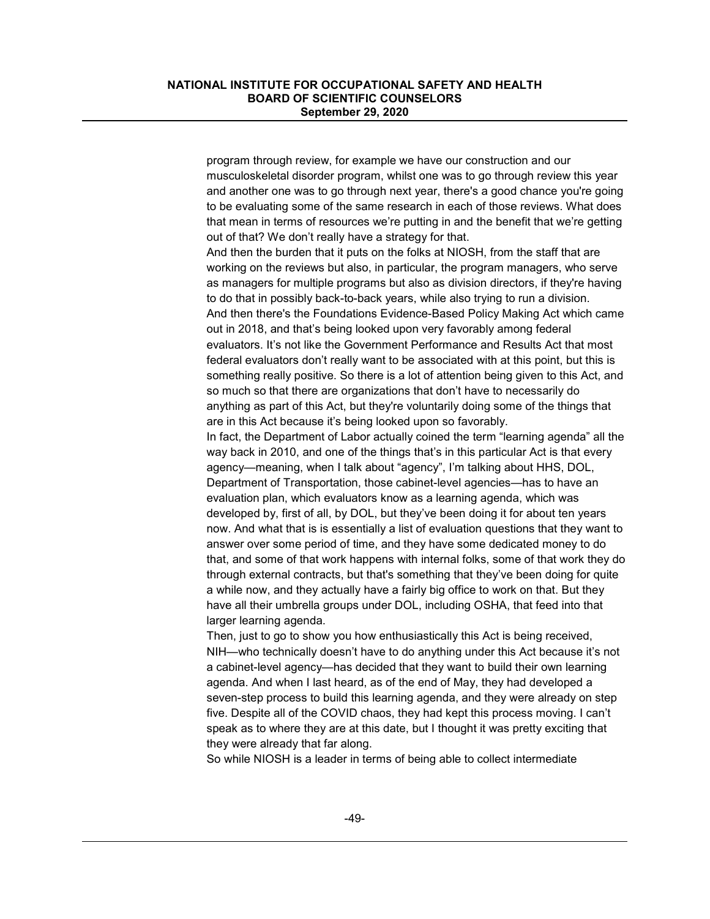program through review, for example we have our construction and our musculoskeletal disorder program, whilst one was to go through review this year and another one was to go through next year, there's a good chance you're going to be evaluating some of the same research in each of those reviews. What does that mean in terms of resources we're putting in and the benefit that we're getting out of that? We don't really have a strategy for that.

And then the burden that it puts on the folks at NIOSH, from the staff that are working on the reviews but also, in particular, the program managers, who serve as managers for multiple programs but also as division directors, if they're having to do that in possibly back-to-back years, while also trying to run a division. And then there's the Foundations Evidence-Based Policy Making Act which came out in 2018, and that's being looked upon very favorably among federal evaluators. It's not like the Government Performance and Results Act that most federal evaluators don't really want to be associated with at this point, but this is something really positive. So there is a lot of attention being given to this Act, and so much so that there are organizations that don't have to necessarily do anything as part of this Act, but they're voluntarily doing some of the things that are in this Act because it's being looked upon so favorably.

In fact, the Department of Labor actually coined the term "learning agenda" all the way back in 2010, and one of the things that's in this particular Act is that every agency—meaning, when I talk about "agency", I'm talking about HHS, DOL, Department of Transportation, those cabinet-level agencies—has to have an evaluation plan, which evaluators know as a learning agenda, which was developed by, first of all, by DOL, but they've been doing it for about ten years now. And what that is is essentially a list of evaluation questions that they want to answer over some period of time, and they have some dedicated money to do that, and some of that work happens with internal folks, some of that work they do through external contracts, but that's something that they've been doing for quite a while now, and they actually have a fairly big office to work on that. But they have all their umbrella groups under DOL, including OSHA, that feed into that larger learning agenda.

Then, just to go to show you how enthusiastically this Act is being received, NIH—who technically doesn't have to do anything under this Act because it's not a cabinet-level agency—has decided that they want to build their own learning agenda. And when I last heard, as of the end of May, they had developed a seven-step process to build this learning agenda, and they were already on step five. Despite all of the COVID chaos, they had kept this process moving. I can't speak as to where they are at this date, but I thought it was pretty exciting that they were already that far along.

So while NIOSH is a leader in terms of being able to collect intermediate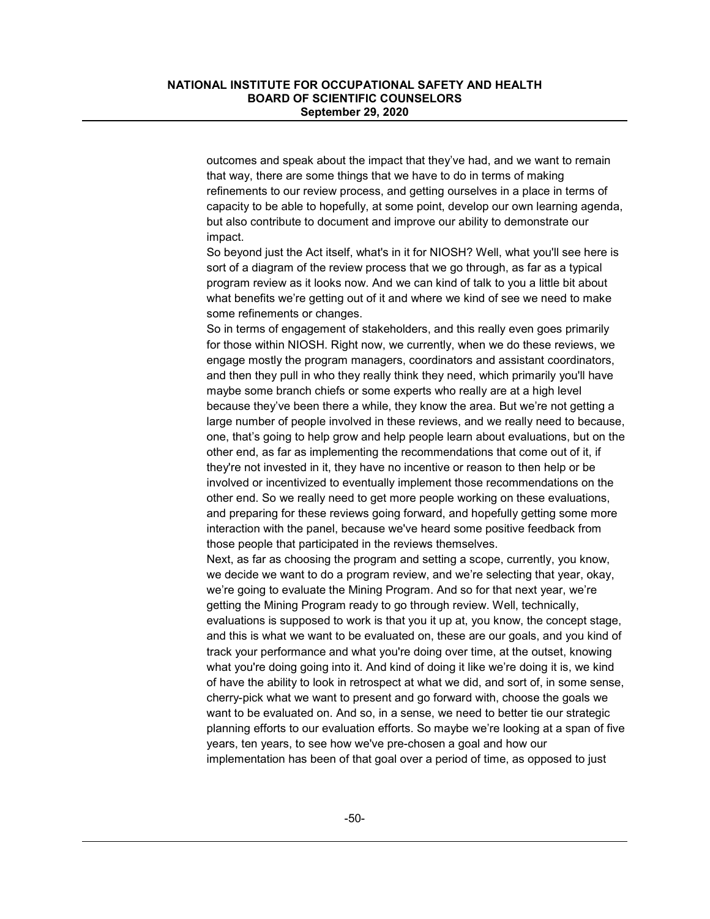outcomes and speak about the impact that they've had, and we want to remain that way, there are some things that we have to do in terms of making refinements to our review process, and getting ourselves in a place in terms of capacity to be able to hopefully, at some point, develop our own learning agenda, but also contribute to document and improve our ability to demonstrate our impact.

So beyond just the Act itself, what's in it for NIOSH? Well, what you'll see here is sort of a diagram of the review process that we go through, as far as a typical program review as it looks now. And we can kind of talk to you a little bit about what benefits we're getting out of it and where we kind of see we need to make some refinements or changes.

So in terms of engagement of stakeholders, and this really even goes primarily for those within NIOSH. Right now, we currently, when we do these reviews, we engage mostly the program managers, coordinators and assistant coordinators, and then they pull in who they really think they need, which primarily you'll have maybe some branch chiefs or some experts who really are at a high level because they've been there a while, they know the area. But we're not getting a large number of people involved in these reviews, and we really need to because, one, that's going to help grow and help people learn about evaluations, but on the other end, as far as implementing the recommendations that come out of it, if they're not invested in it, they have no incentive or reason to then help or be involved or incentivized to eventually implement those recommendations on the other end. So we really need to get more people working on these evaluations, and preparing for these reviews going forward, and hopefully getting some more interaction with the panel, because we've heard some positive feedback from those people that participated in the reviews themselves.

Next, as far as choosing the program and setting a scope, currently, you know, we decide we want to do a program review, and we're selecting that year, okay, we're going to evaluate the Mining Program. And so for that next year, we're getting the Mining Program ready to go through review. Well, technically, evaluations is supposed to work is that you it up at, you know, the concept stage, and this is what we want to be evaluated on, these are our goals, and you kind of track your performance and what you're doing over time, at the outset, knowing what you're doing going into it. And kind of doing it like we're doing it is, we kind of have the ability to look in retrospect at what we did, and sort of, in some sense, cherry-pick what we want to present and go forward with, choose the goals we want to be evaluated on. And so, in a sense, we need to better tie our strategic planning efforts to our evaluation efforts. So maybe we're looking at a span of five years, ten years, to see how we've pre-chosen a goal and how our implementation has been of that goal over a period of time, as opposed to just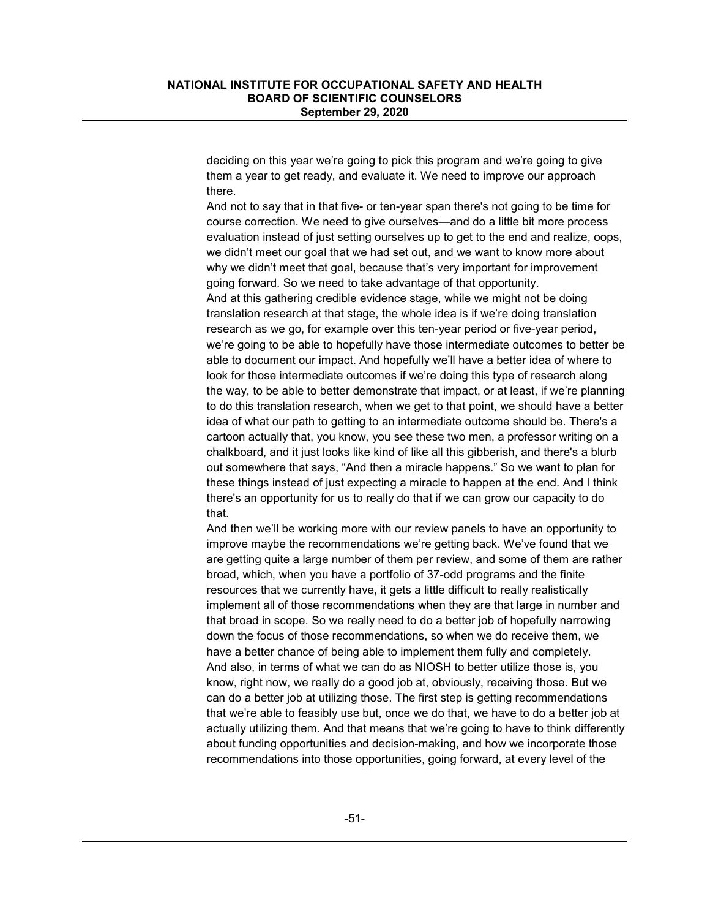deciding on this year we're going to pick this program and we're going to give them a year to get ready, and evaluate it. We need to improve our approach there.

And not to say that in that five- or ten-year span there's not going to be time for course correction. We need to give ourselves—and do a little bit more process evaluation instead of just setting ourselves up to get to the end and realize, oops, we didn't meet our goal that we had set out, and we want to know more about why we didn't meet that goal, because that's very important for improvement going forward. So we need to take advantage of that opportunity. And at this gathering credible evidence stage, while we might not be doing translation research at that stage, the whole idea is if we're doing translation research as we go, for example over this ten-year period or five-year period, we're going to be able to hopefully have those intermediate outcomes to better be able to document our impact. And hopefully we'll have a better idea of where to look for those intermediate outcomes if we're doing this type of research along the way, to be able to better demonstrate that impact, or at least, if we're planning to do this translation research, when we get to that point, we should have a better idea of what our path to getting to an intermediate outcome should be. There's a cartoon actually that, you know, you see these two men, a professor writing on a chalkboard, and it just looks like kind of like all this gibberish, and there's a blurb out somewhere that says, "And then a miracle happens." So we want to plan for these things instead of just expecting a miracle to happen at the end. And I think there's an opportunity for us to really do that if we can grow our capacity to do that.

And then we'll be working more with our review panels to have an opportunity to improve maybe the recommendations we're getting back. We've found that we are getting quite a large number of them per review, and some of them are rather broad, which, when you have a portfolio of 37-odd programs and the finite resources that we currently have, it gets a little difficult to really realistically implement all of those recommendations when they are that large in number and that broad in scope. So we really need to do a better job of hopefully narrowing down the focus of those recommendations, so when we do receive them, we have a better chance of being able to implement them fully and completely. And also, in terms of what we can do as NIOSH to better utilize those is, you know, right now, we really do a good job at, obviously, receiving those. But we can do a better job at utilizing those. The first step is getting recommendations that we're able to feasibly use but, once we do that, we have to do a better job at actually utilizing them. And that means that we're going to have to think differently about funding opportunities and decision-making, and how we incorporate those recommendations into those opportunities, going forward, at every level of the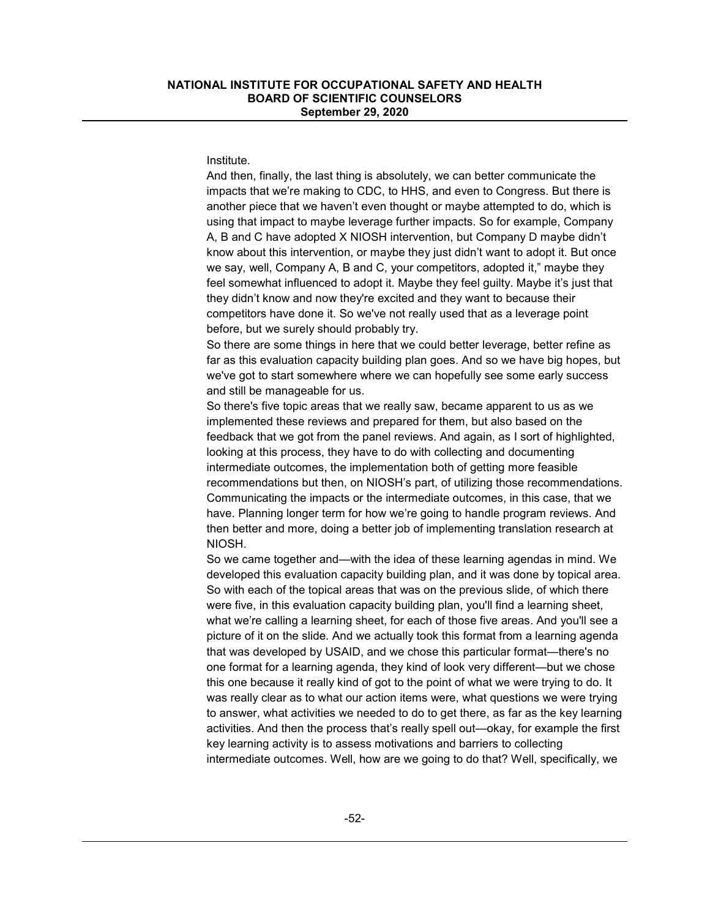#### Institute.

And then, finally, the last thing is absolutely, we can better communicate the impacts that we're making to CDC, to HHS, and even to Congress. But there is another piece that we haven't even thought or maybe attempted to do, which is using that impact to maybe leverage further impacts. So for example, Company A, B and C have adopted X NIOSH intervention, but Company D maybe didn't know about this intervention, or maybe they just didn't want to adopt it. But once we say, well, Company A, B and C, your competitors, adopted it," maybe they feel somewhat influenced to adopt it. Maybe they feel guilty. Maybe it's just that they didn't know and now they're excited and they want to because their competitors have done it. So we've not really used that as a leverage point before, but we surely should probably try.

So there are some things in here that we could better leverage, better refine as far as this evaluation capacity building plan goes. And so we have big hopes, but we've got to start somewhere where we can hopefully see some early success and still be manageable for us.

So there's five topic areas that we really saw, became apparent to us as we implemented these reviews and prepared for them, but also based on the feedback that we got from the panel reviews. And again, as I sort of highlighted, looking at this process, they have to do with collecting and documenting intermediate outcomes, the implementation both of getting more feasible recommendations but then, on NIOSH's part, of utilizing those recommendations. Communicating the impacts or the intermediate outcomes, in this case, that we have. Planning longer term for how we're going to handle program reviews. And then better and more, doing a better job of implementing translation research at NIOSH.

So we came together and—with the idea of these learning agendas in mind. We developed this evaluation capacity building plan, and it was done by topical area. So with each of the topical areas that was on the previous slide, of which there were five, in this evaluation capacity building plan, you'll find a learning sheet, what we're calling a learning sheet, for each of those five areas. And you'll see a picture of it on the slide. And we actually took this format from a learning agenda that was developed by USAID, and we chose this particular format—there's no one format for a learning agenda, they kind of look very different—but we chose this one because it really kind of got to the point of what we were trying to do. It was really clear as to what our action items were, what questions we were trying to answer, what activities we needed to do to get there, as far as the key learning activities. And then the process that's really spell out—okay, for example the first key learning activity is to assess motivations and barriers to collecting intermediate outcomes. Well, how are we going to do that? Well, specifically, we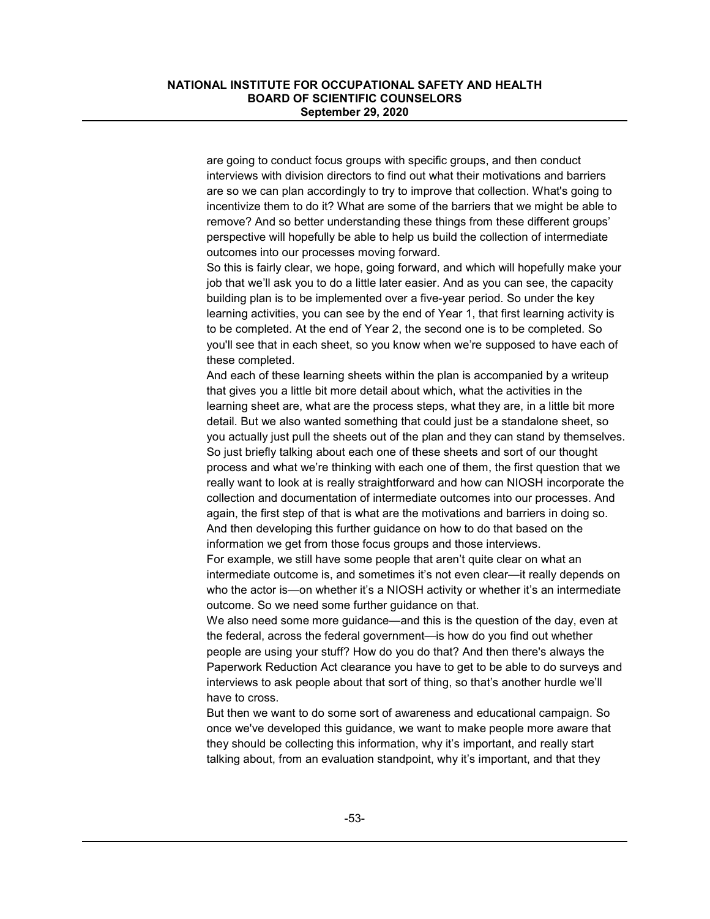are going to conduct focus groups with specific groups, and then conduct interviews with division directors to find out what their motivations and barriers are so we can plan accordingly to try to improve that collection. What's going to incentivize them to do it? What are some of the barriers that we might be able to remove? And so better understanding these things from these different groups' perspective will hopefully be able to help us build the collection of intermediate outcomes into our processes moving forward.

So this is fairly clear, we hope, going forward, and which will hopefully make your job that we'll ask you to do a little later easier. And as you can see, the capacity building plan is to be implemented over a five-year period. So under the key learning activities, you can see by the end of Year 1, that first learning activity is to be completed. At the end of Year 2, the second one is to be completed. So you'll see that in each sheet, so you know when we're supposed to have each of these completed.

And each of these learning sheets within the plan is accompanied by a writeup that gives you a little bit more detail about which, what the activities in the learning sheet are, what are the process steps, what they are, in a little bit more detail. But we also wanted something that could just be a standalone sheet, so you actually just pull the sheets out of the plan and they can stand by themselves. So just briefly talking about each one of these sheets and sort of our thought process and what we're thinking with each one of them, the first question that we really want to look at is really straightforward and how can NIOSH incorporate the collection and documentation of intermediate outcomes into our processes. And again, the first step of that is what are the motivations and barriers in doing so. And then developing this further guidance on how to do that based on the information we get from those focus groups and those interviews.

For example, we still have some people that aren't quite clear on what an intermediate outcome is, and sometimes it's not even clear—it really depends on who the actor is—on whether it's a NIOSH activity or whether it's an intermediate outcome. So we need some further guidance on that.

We also need some more guidance—and this is the question of the day, even at the federal, across the federal government—is how do you find out whether people are using your stuff? How do you do that? And then there's always the Paperwork Reduction Act clearance you have to get to be able to do surveys and interviews to ask people about that sort of thing, so that's another hurdle we'll have to cross.

But then we want to do some sort of awareness and educational campaign. So once we've developed this guidance, we want to make people more aware that they should be collecting this information, why it's important, and really start talking about, from an evaluation standpoint, why it's important, and that they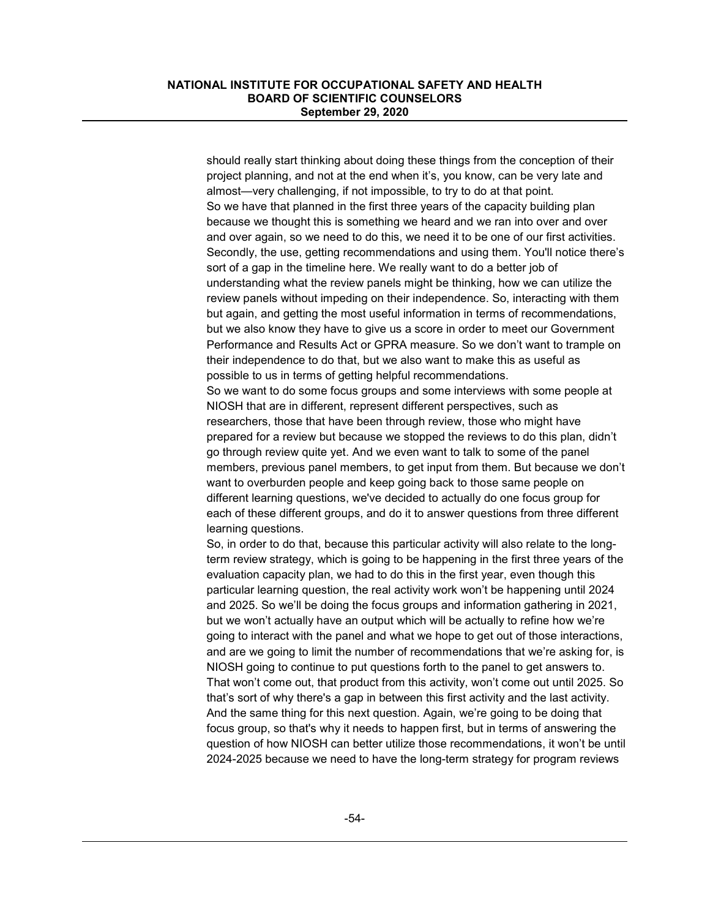should really start thinking about doing these things from the conception of their project planning, and not at the end when it's, you know, can be very late and almost—very challenging, if not impossible, to try to do at that point. So we have that planned in the first three years of the capacity building plan because we thought this is something we heard and we ran into over and over and over again, so we need to do this, we need it to be one of our first activities. Secondly, the use, getting recommendations and using them. You'll notice there's sort of a gap in the timeline here. We really want to do a better job of understanding what the review panels might be thinking, how we can utilize the review panels without impeding on their independence. So, interacting with them but again, and getting the most useful information in terms of recommendations, but we also know they have to give us a score in order to meet our Government Performance and Results Act or GPRA measure. So we don't want to trample on their independence to do that, but we also want to make this as useful as possible to us in terms of getting helpful recommendations.

So we want to do some focus groups and some interviews with some people at NIOSH that are in different, represent different perspectives, such as researchers, those that have been through review, those who might have prepared for a review but because we stopped the reviews to do this plan, didn't go through review quite yet. And we even want to talk to some of the panel members, previous panel members, to get input from them. But because we don't want to overburden people and keep going back to those same people on different learning questions, we've decided to actually do one focus group for each of these different groups, and do it to answer questions from three different learning questions.

So, in order to do that, because this particular activity will also relate to the longterm review strategy, which is going to be happening in the first three years of the evaluation capacity plan, we had to do this in the first year, even though this particular learning question, the real activity work won't be happening until 2024 and 2025. So we'll be doing the focus groups and information gathering in 2021, but we won't actually have an output which will be actually to refine how we're going to interact with the panel and what we hope to get out of those interactions, and are we going to limit the number of recommendations that we're asking for, is NIOSH going to continue to put questions forth to the panel to get answers to. That won't come out, that product from this activity, won't come out until 2025. So that's sort of why there's a gap in between this first activity and the last activity. And the same thing for this next question. Again, we're going to be doing that focus group, so that's why it needs to happen first, but in terms of answering the question of how NIOSH can better utilize those recommendations, it won't be until 2024-2025 because we need to have the long-term strategy for program reviews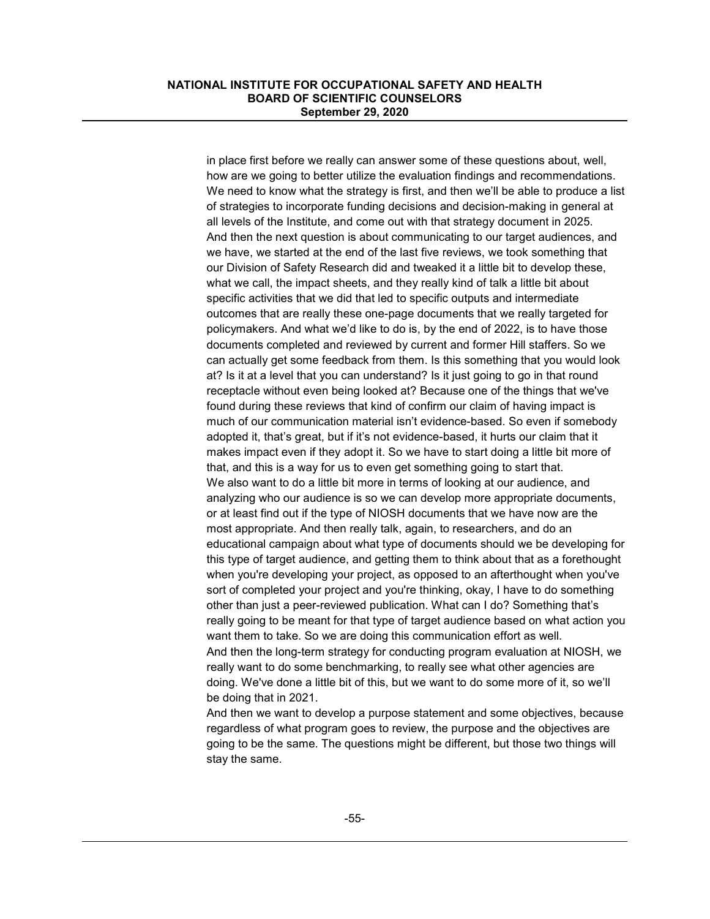in place first before we really can answer some of these questions about, well, how are we going to better utilize the evaluation findings and recommendations. We need to know what the strategy is first, and then we'll be able to produce a list of strategies to incorporate funding decisions and decision-making in general at all levels of the Institute, and come out with that strategy document in 2025. And then the next question is about communicating to our target audiences, and we have, we started at the end of the last five reviews, we took something that our Division of Safety Research did and tweaked it a little bit to develop these, what we call, the impact sheets, and they really kind of talk a little bit about specific activities that we did that led to specific outputs and intermediate outcomes that are really these one-page documents that we really targeted for policymakers. And what we'd like to do is, by the end of 2022, is to have those documents completed and reviewed by current and former Hill staffers. So we can actually get some feedback from them. Is this something that you would look at? Is it at a level that you can understand? Is it just going to go in that round receptacle without even being looked at? Because one of the things that we've found during these reviews that kind of confirm our claim of having impact is much of our communication material isn't evidence-based. So even if somebody adopted it, that's great, but if it's not evidence-based, it hurts our claim that it makes impact even if they adopt it. So we have to start doing a little bit more of that, and this is a way for us to even get something going to start that. We also want to do a little bit more in terms of looking at our audience, and analyzing who our audience is so we can develop more appropriate documents, or at least find out if the type of NIOSH documents that we have now are the most appropriate. And then really talk, again, to researchers, and do an educational campaign about what type of documents should we be developing for this type of target audience, and getting them to think about that as a forethought when you're developing your project, as opposed to an afterthought when you've sort of completed your project and you're thinking, okay, I have to do something other than just a peer-reviewed publication. What can I do? Something that's really going to be meant for that type of target audience based on what action you want them to take. So we are doing this communication effort as well. And then the long-term strategy for conducting program evaluation at NIOSH, we really want to do some benchmarking, to really see what other agencies are doing. We've done a little bit of this, but we want to do some more of it, so we'll be doing that in 2021.

And then we want to develop a purpose statement and some objectives, because regardless of what program goes to review, the purpose and the objectives are going to be the same. The questions might be different, but those two things will stay the same.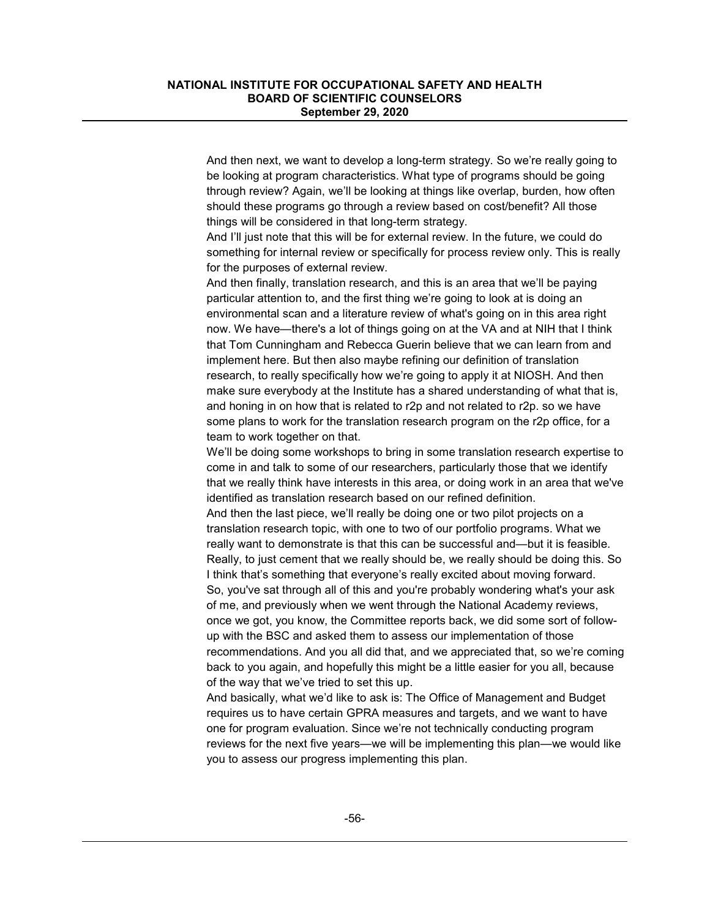And then next, we want to develop a long-term strategy. So we're really going to be looking at program characteristics. What type of programs should be going through review? Again, we'll be looking at things like overlap, burden, how often should these programs go through a review based on cost/benefit? All those things will be considered in that long-term strategy.

And I'll just note that this will be for external review. In the future, we could do something for internal review or specifically for process review only. This is really for the purposes of external review.

And then finally, translation research, and this is an area that we'll be paying particular attention to, and the first thing we're going to look at is doing an environmental scan and a literature review of what's going on in this area right now. We have—there's a lot of things going on at the VA and at NIH that I think that Tom Cunningham and Rebecca Guerin believe that we can learn from and implement here. But then also maybe refining our definition of translation research, to really specifically how we're going to apply it at NIOSH. And then make sure everybody at the Institute has a shared understanding of what that is, and honing in on how that is related to r2p and not related to r2p. so we have some plans to work for the translation research program on the r2p office, for a team to work together on that.

We'll be doing some workshops to bring in some translation research expertise to come in and talk to some of our researchers, particularly those that we identify that we really think have interests in this area, or doing work in an area that we've identified as translation research based on our refined definition.

And then the last piece, we'll really be doing one or two pilot projects on a translation research topic, with one to two of our portfolio programs. What we really want to demonstrate is that this can be successful and—but it is feasible. Really, to just cement that we really should be, we really should be doing this. So I think that's something that everyone's really excited about moving forward. So, you've sat through all of this and you're probably wondering what's your ask of me, and previously when we went through the National Academy reviews, once we got, you know, the Committee reports back, we did some sort of followup with the BSC and asked them to assess our implementation of those recommendations. And you all did that, and we appreciated that, so we're coming back to you again, and hopefully this might be a little easier for you all, because of the way that we've tried to set this up.

And basically, what we'd like to ask is: The Office of Management and Budget requires us to have certain GPRA measures and targets, and we want to have one for program evaluation. Since we're not technically conducting program reviews for the next five years—we will be implementing this plan—we would like you to assess our progress implementing this plan.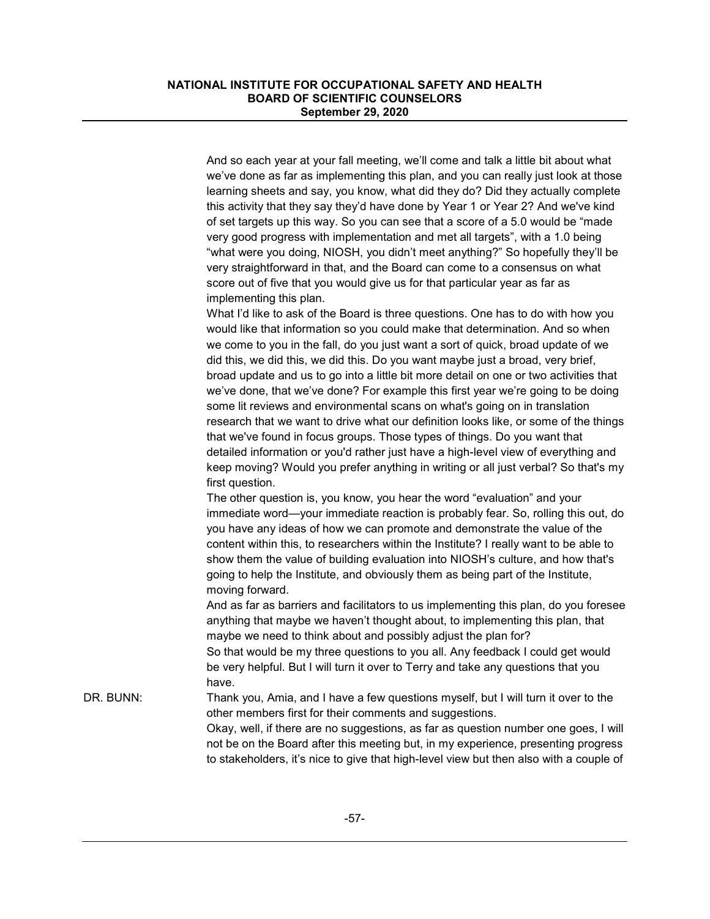And so each year at your fall meeting, we'll come and talk a little bit about what we've done as far as implementing this plan, and you can really just look at those learning sheets and say, you know, what did they do? Did they actually complete this activity that they say they'd have done by Year 1 or Year 2? And we've kind of set targets up this way. So you can see that a score of a 5.0 would be "made very good progress with implementation and met all targets", with a 1.0 being "what were you doing, NIOSH, you didn't meet anything?" So hopefully they'll be very straightforward in that, and the Board can come to a consensus on what score out of five that you would give us for that particular year as far as implementing this plan. What I'd like to ask of the Board is three questions. One has to do with how you would like that information so you could make that determination. And so when we come to you in the fall, do you just want a sort of quick, broad update of we did this, we did this, we did this. Do you want maybe just a broad, very brief, broad update and us to go into a little bit more detail on one or two activities that we've done, that we've done? For example this first year we're going to be doing some lit reviews and environmental scans on what's going on in translation research that we want to drive what our definition looks like, or some of the things that we've found in focus groups. Those types of things. Do you want that detailed information or you'd rather just have a high-level view of everything and keep moving? Would you prefer anything in writing or all just verbal? So that's my first question. The other question is, you know, you hear the word "evaluation" and your immediate word—your immediate reaction is probably fear. So, rolling this out, do you have any ideas of how we can promote and demonstrate the value of the content within this, to researchers within the Institute? I really want to be able to show them the value of building evaluation into NIOSH's culture, and how that's going to help the Institute, and obviously them as being part of the Institute, moving forward. And as far as barriers and facilitators to us implementing this plan, do you foresee anything that maybe we haven't thought about, to implementing this plan, that maybe we need to think about and possibly adjust the plan for? So that would be my three questions to you all. Any feedback I could get would be very helpful. But I will turn it over to Terry and take any questions that you have. DR. BUNN: Thank you, Amia, and I have a few questions myself, but I will turn it over to the other members first for their comments and suggestions. Okay, well, if there are no suggestions, as far as question number one goes, I will not be on the Board after this meeting but, in my experience, presenting progress to stakeholders, it's nice to give that high-level view but then also with a couple of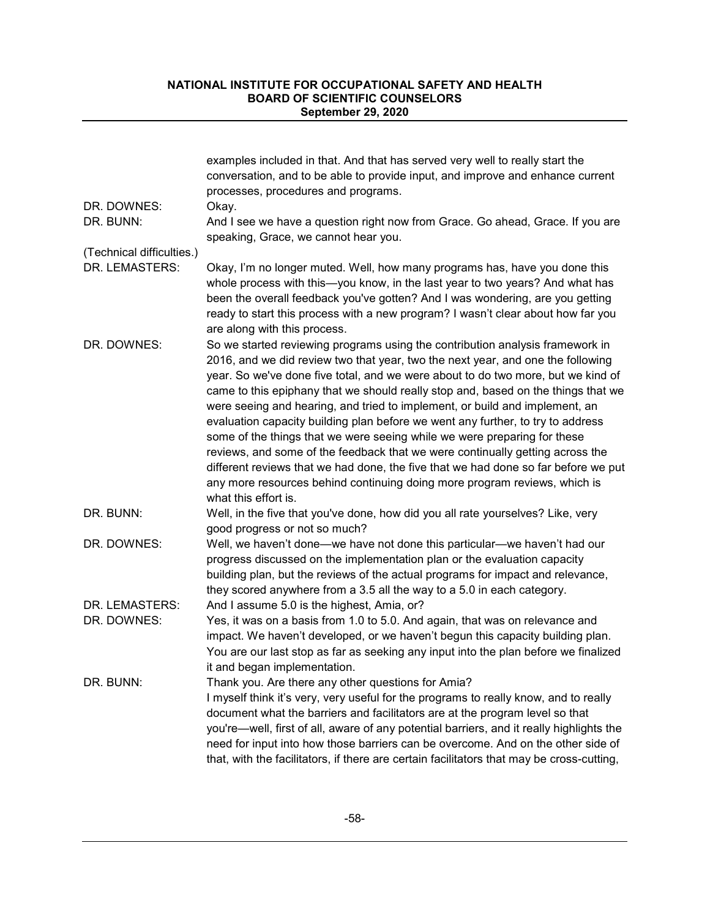| DR. DOWNES:                   | examples included in that. And that has served very well to really start the<br>conversation, and to be able to provide input, and improve and enhance current<br>processes, procedures and programs.<br>Okay.                                                                                                                                                                                                                                                                                                                                                                                                                                                                                                                                                                                                                                                      |
|-------------------------------|---------------------------------------------------------------------------------------------------------------------------------------------------------------------------------------------------------------------------------------------------------------------------------------------------------------------------------------------------------------------------------------------------------------------------------------------------------------------------------------------------------------------------------------------------------------------------------------------------------------------------------------------------------------------------------------------------------------------------------------------------------------------------------------------------------------------------------------------------------------------|
| DR. BUNN:                     | And I see we have a question right now from Grace. Go ahead, Grace. If you are<br>speaking, Grace, we cannot hear you.                                                                                                                                                                                                                                                                                                                                                                                                                                                                                                                                                                                                                                                                                                                                              |
| (Technical difficulties.)     |                                                                                                                                                                                                                                                                                                                                                                                                                                                                                                                                                                                                                                                                                                                                                                                                                                                                     |
| DR. LEMASTERS:                | Okay, I'm no longer muted. Well, how many programs has, have you done this<br>whole process with this—you know, in the last year to two years? And what has<br>been the overall feedback you've gotten? And I was wondering, are you getting<br>ready to start this process with a new program? I wasn't clear about how far you<br>are along with this process.                                                                                                                                                                                                                                                                                                                                                                                                                                                                                                    |
| DR. DOWNES:                   | So we started reviewing programs using the contribution analysis framework in<br>2016, and we did review two that year, two the next year, and one the following<br>year. So we've done five total, and we were about to do two more, but we kind of<br>came to this epiphany that we should really stop and, based on the things that we<br>were seeing and hearing, and tried to implement, or build and implement, an<br>evaluation capacity building plan before we went any further, to try to address<br>some of the things that we were seeing while we were preparing for these<br>reviews, and some of the feedback that we were continually getting across the<br>different reviews that we had done, the five that we had done so far before we put<br>any more resources behind continuing doing more program reviews, which is<br>what this effort is. |
| DR. BUNN:                     | Well, in the five that you've done, how did you all rate yourselves? Like, very<br>good progress or not so much?                                                                                                                                                                                                                                                                                                                                                                                                                                                                                                                                                                                                                                                                                                                                                    |
| DR. DOWNES:                   | Well, we haven't done-we have not done this particular-we haven't had our<br>progress discussed on the implementation plan or the evaluation capacity<br>building plan, but the reviews of the actual programs for impact and relevance,<br>they scored anywhere from a 3.5 all the way to a 5.0 in each category.                                                                                                                                                                                                                                                                                                                                                                                                                                                                                                                                                  |
| DR. LEMASTERS:<br>DR. DOWNES: | And I assume 5.0 is the highest, Amia, or?<br>Yes, it was on a basis from 1.0 to 5.0. And again, that was on relevance and<br>impact. We haven't developed, or we haven't begun this capacity building plan.<br>You are our last stop as far as seeking any input into the plan before we finalized<br>it and began implementation.                                                                                                                                                                                                                                                                                                                                                                                                                                                                                                                                 |
| DR. BUNN:                     | Thank you. Are there any other questions for Amia?<br>I myself think it's very, very useful for the programs to really know, and to really<br>document what the barriers and facilitators are at the program level so that<br>you're—well, first of all, aware of any potential barriers, and it really highlights the<br>need for input into how those barriers can be overcome. And on the other side of<br>that, with the facilitators, if there are certain facilitators that may be cross-cutting,                                                                                                                                                                                                                                                                                                                                                             |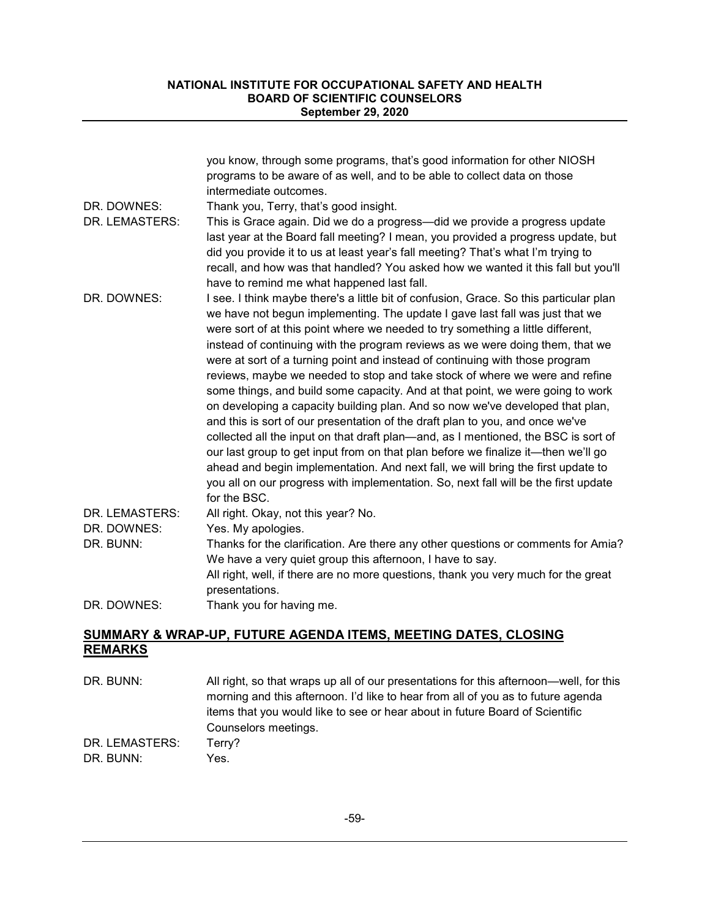|                | you know, through some programs, that's good information for other NIOSH                                                                                                                                                                                                                                                                                                                                                                                                                                                                                                                                                                                                                                                                                                                                                                                                                                                                                                                                                                                                                                                            |
|----------------|-------------------------------------------------------------------------------------------------------------------------------------------------------------------------------------------------------------------------------------------------------------------------------------------------------------------------------------------------------------------------------------------------------------------------------------------------------------------------------------------------------------------------------------------------------------------------------------------------------------------------------------------------------------------------------------------------------------------------------------------------------------------------------------------------------------------------------------------------------------------------------------------------------------------------------------------------------------------------------------------------------------------------------------------------------------------------------------------------------------------------------------|
|                | programs to be aware of as well, and to be able to collect data on those                                                                                                                                                                                                                                                                                                                                                                                                                                                                                                                                                                                                                                                                                                                                                                                                                                                                                                                                                                                                                                                            |
|                | intermediate outcomes.                                                                                                                                                                                                                                                                                                                                                                                                                                                                                                                                                                                                                                                                                                                                                                                                                                                                                                                                                                                                                                                                                                              |
| DR. DOWNES:    | Thank you, Terry, that's good insight.                                                                                                                                                                                                                                                                                                                                                                                                                                                                                                                                                                                                                                                                                                                                                                                                                                                                                                                                                                                                                                                                                              |
| DR. LEMASTERS: | This is Grace again. Did we do a progress—did we provide a progress update<br>last year at the Board fall meeting? I mean, you provided a progress update, but<br>did you provide it to us at least year's fall meeting? That's what I'm trying to                                                                                                                                                                                                                                                                                                                                                                                                                                                                                                                                                                                                                                                                                                                                                                                                                                                                                  |
|                | recall, and how was that handled? You asked how we wanted it this fall but you'll<br>have to remind me what happened last fall.                                                                                                                                                                                                                                                                                                                                                                                                                                                                                                                                                                                                                                                                                                                                                                                                                                                                                                                                                                                                     |
| DR. DOWNES:    | I see. I think maybe there's a little bit of confusion, Grace. So this particular plan<br>we have not begun implementing. The update I gave last fall was just that we<br>were sort of at this point where we needed to try something a little different,<br>instead of continuing with the program reviews as we were doing them, that we<br>were at sort of a turning point and instead of continuing with those program<br>reviews, maybe we needed to stop and take stock of where we were and refine<br>some things, and build some capacity. And at that point, we were going to work<br>on developing a capacity building plan. And so now we've developed that plan,<br>and this is sort of our presentation of the draft plan to you, and once we've<br>collected all the input on that draft plan—and, as I mentioned, the BSC is sort of<br>our last group to get input from on that plan before we finalize it—then we'll go<br>ahead and begin implementation. And next fall, we will bring the first update to<br>you all on our progress with implementation. So, next fall will be the first update<br>for the BSC. |
| DR. LEMASTERS: | All right. Okay, not this year? No.                                                                                                                                                                                                                                                                                                                                                                                                                                                                                                                                                                                                                                                                                                                                                                                                                                                                                                                                                                                                                                                                                                 |
| DR. DOWNES:    | Yes. My apologies.                                                                                                                                                                                                                                                                                                                                                                                                                                                                                                                                                                                                                                                                                                                                                                                                                                                                                                                                                                                                                                                                                                                  |
| DR. BUNN:      | Thanks for the clarification. Are there any other questions or comments for Amia?<br>We have a very quiet group this afternoon, I have to say.                                                                                                                                                                                                                                                                                                                                                                                                                                                                                                                                                                                                                                                                                                                                                                                                                                                                                                                                                                                      |
|                | All right, well, if there are no more questions, thank you very much for the great<br>presentations.                                                                                                                                                                                                                                                                                                                                                                                                                                                                                                                                                                                                                                                                                                                                                                                                                                                                                                                                                                                                                                |
| DR. DOWNES:    | Thank you for having me.                                                                                                                                                                                                                                                                                                                                                                                                                                                                                                                                                                                                                                                                                                                                                                                                                                                                                                                                                                                                                                                                                                            |

## **SUMMARY & WRAP-UP, FUTURE AGENDA ITEMS, MEETING DATES, CLOSING REMARKS**

DR. BUNN: All right, so that wraps up all of our presentations for this afternoon—well, for this morning and this afternoon. I'd like to hear from all of you as to future agenda items that you would like to see or hear about in future Board of Scientific Counselors meetings. DR. LEMASTERS: Terry? DR. BUNN: Yes.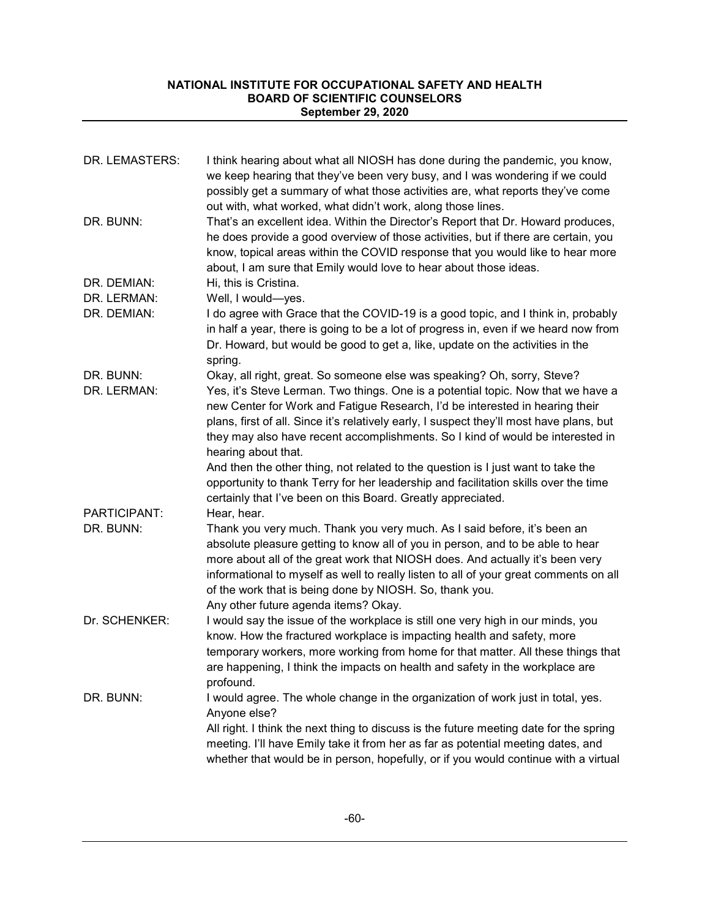| DR. LEMASTERS:             | I think hearing about what all NIOSH has done during the pandemic, you know,<br>we keep hearing that they've been very busy, and I was wondering if we could<br>possibly get a summary of what those activities are, what reports they've come<br>out with, what worked, what didn't work, along those lines.                                                                                                                                          |
|----------------------------|--------------------------------------------------------------------------------------------------------------------------------------------------------------------------------------------------------------------------------------------------------------------------------------------------------------------------------------------------------------------------------------------------------------------------------------------------------|
| DR. BUNN:                  | That's an excellent idea. Within the Director's Report that Dr. Howard produces,<br>he does provide a good overview of those activities, but if there are certain, you<br>know, topical areas within the COVID response that you would like to hear more<br>about, I am sure that Emily would love to hear about those ideas.                                                                                                                          |
| DR. DEMIAN:<br>DR. LERMAN: | Hi, this is Cristina.<br>Well, I would-yes.                                                                                                                                                                                                                                                                                                                                                                                                            |
| DR. DEMIAN:                | I do agree with Grace that the COVID-19 is a good topic, and I think in, probably<br>in half a year, there is going to be a lot of progress in, even if we heard now from<br>Dr. Howard, but would be good to get a, like, update on the activities in the<br>spring.                                                                                                                                                                                  |
| DR. BUNN:<br>DR. LERMAN:   | Okay, all right, great. So someone else was speaking? Oh, sorry, Steve?<br>Yes, it's Steve Lerman. Two things. One is a potential topic. Now that we have a<br>new Center for Work and Fatigue Research, I'd be interested in hearing their<br>plans, first of all. Since it's relatively early, I suspect they'll most have plans, but<br>they may also have recent accomplishments. So I kind of would be interested in<br>hearing about that.       |
|                            | And then the other thing, not related to the question is I just want to take the<br>opportunity to thank Terry for her leadership and facilitation skills over the time<br>certainly that I've been on this Board. Greatly appreciated.                                                                                                                                                                                                                |
| PARTICIPANT:<br>DR. BUNN:  | Hear, hear.<br>Thank you very much. Thank you very much. As I said before, it's been an<br>absolute pleasure getting to know all of you in person, and to be able to hear<br>more about all of the great work that NIOSH does. And actually it's been very<br>informational to myself as well to really listen to all of your great comments on all<br>of the work that is being done by NIOSH. So, thank you.<br>Any other future agenda items? Okay. |
| Dr. SCHENKER:              | I would say the issue of the workplace is still one very high in our minds, you<br>know. How the fractured workplace is impacting health and safety, more<br>temporary workers, more working from home for that matter. All these things that<br>are happening, I think the impacts on health and safety in the workplace are<br>profound.                                                                                                             |
| DR. BUNN:                  | I would agree. The whole change in the organization of work just in total, yes.<br>Anyone else?<br>All right. I think the next thing to discuss is the future meeting date for the spring<br>meeting. I'll have Emily take it from her as far as potential meeting dates, and<br>whether that would be in person, hopefully, or if you would continue with a virtual                                                                                   |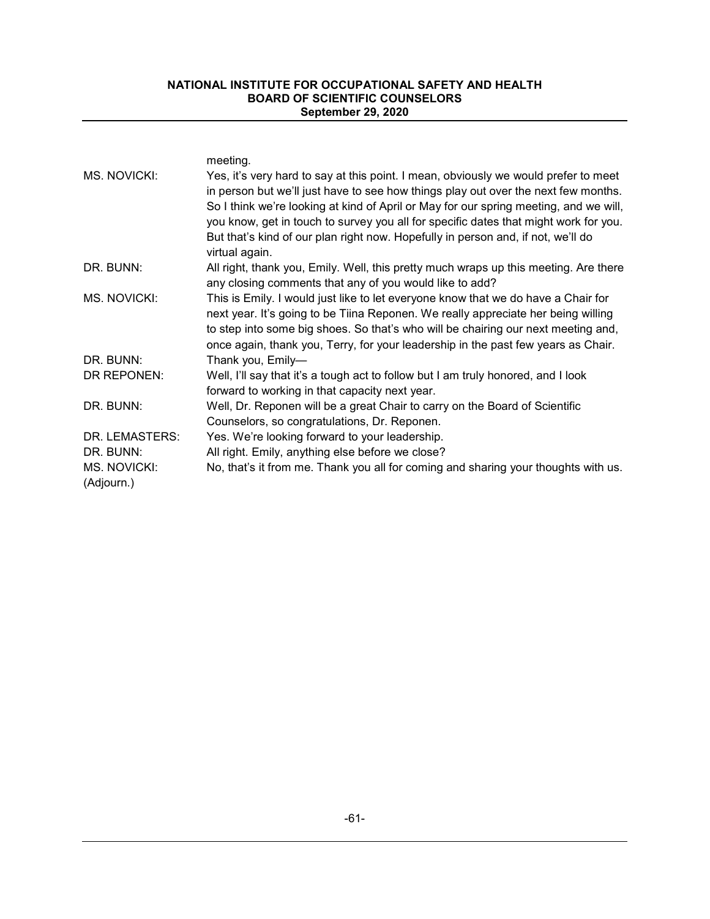| MS. NOVICKI:                                              | meeting.<br>Yes, it's very hard to say at this point. I mean, obviously we would prefer to meet<br>in person but we'll just have to see how things play out over the next few months.<br>So I think we're looking at kind of April or May for our spring meeting, and we will,<br>you know, get in touch to survey you all for specific dates that might work for you.<br>But that's kind of our plan right now. Hopefully in person and, if not, we'll do<br>virtual again. |
|-----------------------------------------------------------|------------------------------------------------------------------------------------------------------------------------------------------------------------------------------------------------------------------------------------------------------------------------------------------------------------------------------------------------------------------------------------------------------------------------------------------------------------------------------|
| DR. BUNN:                                                 | All right, thank you, Emily. Well, this pretty much wraps up this meeting. Are there<br>any closing comments that any of you would like to add?                                                                                                                                                                                                                                                                                                                              |
| MS. NOVICKI:                                              | This is Emily. I would just like to let everyone know that we do have a Chair for<br>next year. It's going to be Tiina Reponen. We really appreciate her being willing<br>to step into some big shoes. So that's who will be chairing our next meeting and,<br>once again, thank you, Terry, for your leadership in the past few years as Chair.                                                                                                                             |
| DR. BUNN:                                                 | Thank you, Emily-                                                                                                                                                                                                                                                                                                                                                                                                                                                            |
| DR REPONEN:                                               | Well, I'll say that it's a tough act to follow but I am truly honored, and I look<br>forward to working in that capacity next year.                                                                                                                                                                                                                                                                                                                                          |
| DR. BUNN:                                                 | Well, Dr. Reponen will be a great Chair to carry on the Board of Scientific<br>Counselors, so congratulations, Dr. Reponen.                                                                                                                                                                                                                                                                                                                                                  |
| DR. LEMASTERS:<br>DR. BUNN:<br>MS. NOVICKI:<br>(Adjourn.) | Yes. We're looking forward to your leadership.<br>All right. Emily, anything else before we close?<br>No, that's it from me. Thank you all for coming and sharing your thoughts with us.                                                                                                                                                                                                                                                                                     |